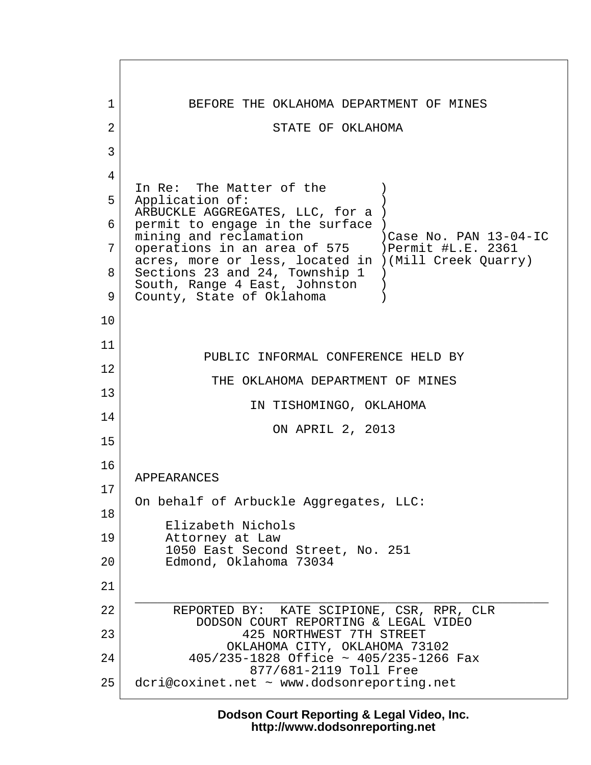1 BEFORE THE OKLAHOMA DEPARTMENT OF MINES 2 STATE OF OKLAHOMA  $3 \mid$  4 In Re: The Matter of the  $\qquad$  ) 5 Application of: ARBUCKLE AGGREGATES, LLC, for a )  $6$  permit to engage in the surface ) mining and reclamation )Case No. PAN 13-04-IC 7 | operations in an area of 575 | ) Permit #L.E. 2361 acres, more or less, located in )(Mill Creek Quarry) 8 Sections 23 and 24, Township 1 ) South, Range 4 East, Johnston ) 9 County, State of Oklahoma 10 11 PUBLIC INFORMAL CONFERENCE HELD BY 12 THE OKLAHOMA DEPARTMENT OF MINES 13 IN TISHOMINGO, OKLAHOMA 14 ON APRIL 2, 2013 15 16 APPEARANCES 17 On behalf of Arbuckle Aggregates, LLC: 18 Elizabeth Nichols 19 Attorney at Law 1050 East Second Street, No. 251 20 Edmond, Oklahoma 73034 21  $\overline{\phantom{a}}$  ,  $\overline{\phantom{a}}$  ,  $\overline{\phantom{a}}$  ,  $\overline{\phantom{a}}$  ,  $\overline{\phantom{a}}$  ,  $\overline{\phantom{a}}$  ,  $\overline{\phantom{a}}$  ,  $\overline{\phantom{a}}$  ,  $\overline{\phantom{a}}$  ,  $\overline{\phantom{a}}$  ,  $\overline{\phantom{a}}$  ,  $\overline{\phantom{a}}$  ,  $\overline{\phantom{a}}$  ,  $\overline{\phantom{a}}$  ,  $\overline{\phantom{a}}$  ,  $\overline{\phantom{a}}$ 22 REPORTED BY: KATE SCIPIONE, CSR, RPR, CLR DODSON COURT REPORTING & LEGAL VIDEO 23 425 NORTHWEST 7TH STREET OKLAHOMA CITY, OKLAHOMA 73102 24 405/235-1828 Office ~ 405/235-1266 Fax 877/681-2119 Toll Free 25 dcri@coxinet.net ~ www.dodsonreporting.net

> **Dodson Court Reporting & Legal Video, Inc. http://www.dodsonreporting.net**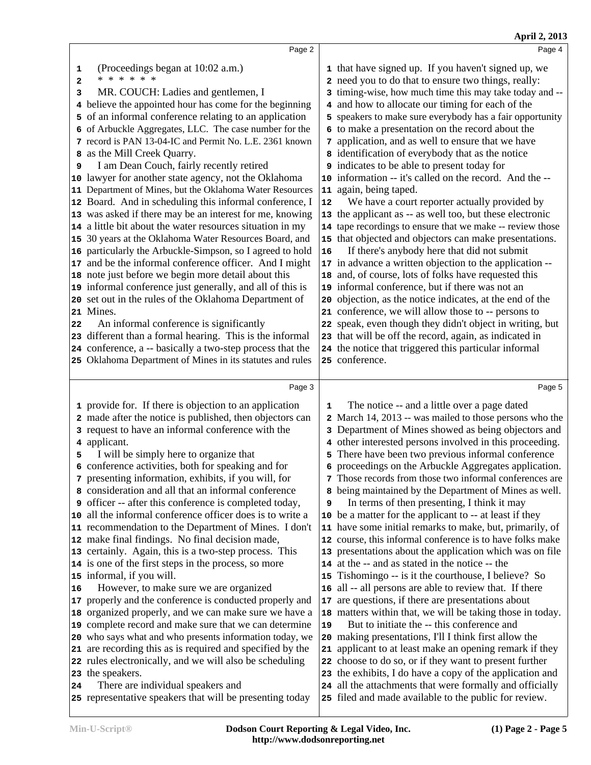|                                                                                                                                                                                                                                                                                                                                                                                                                                                                                                                                                                                                                                                                                                                                                                                                                                                                                                                                                                                                                                                                                                                                                                                                                                                                                                                               |                                | April 2, 2013                                                                                                                                                                                                                                                                                                                                                                                                                                                                                                                                                                                                                                                                                                                                                                                                                                                                                                                                                                                                                                                                                                                                                                                                                                                                                                                                                           |
|-------------------------------------------------------------------------------------------------------------------------------------------------------------------------------------------------------------------------------------------------------------------------------------------------------------------------------------------------------------------------------------------------------------------------------------------------------------------------------------------------------------------------------------------------------------------------------------------------------------------------------------------------------------------------------------------------------------------------------------------------------------------------------------------------------------------------------------------------------------------------------------------------------------------------------------------------------------------------------------------------------------------------------------------------------------------------------------------------------------------------------------------------------------------------------------------------------------------------------------------------------------------------------------------------------------------------------|--------------------------------|-------------------------------------------------------------------------------------------------------------------------------------------------------------------------------------------------------------------------------------------------------------------------------------------------------------------------------------------------------------------------------------------------------------------------------------------------------------------------------------------------------------------------------------------------------------------------------------------------------------------------------------------------------------------------------------------------------------------------------------------------------------------------------------------------------------------------------------------------------------------------------------------------------------------------------------------------------------------------------------------------------------------------------------------------------------------------------------------------------------------------------------------------------------------------------------------------------------------------------------------------------------------------------------------------------------------------------------------------------------------------|
| Page 2                                                                                                                                                                                                                                                                                                                                                                                                                                                                                                                                                                                                                                                                                                                                                                                                                                                                                                                                                                                                                                                                                                                                                                                                                                                                                                                        |                                | Page 4                                                                                                                                                                                                                                                                                                                                                                                                                                                                                                                                                                                                                                                                                                                                                                                                                                                                                                                                                                                                                                                                                                                                                                                                                                                                                                                                                                  |
| (Proceedings began at 10:02 a.m.)<br>* * * * * *<br>MR. COUCH: Ladies and gentlemen, I<br>believe the appointed hour has come for the beginning<br>of an informal conference relating to an application<br>of Arbuckle Aggregates, LLC. The case number for the<br>7 record is PAN 13-04-IC and Permit No. L.E. 2361 known<br>as the Mill Creek Quarry.<br>I am Dean Couch, fairly recently retired<br>10 lawyer for another state agency, not the Oklahoma<br>Department of Mines, but the Oklahoma Water Resources<br>11<br>12 Board. And in scheduling this informal conference, I<br>13 was asked if there may be an interest for me, knowing<br>14 a little bit about the water resources situation in my<br>15 30 years at the Oklahoma Water Resources Board, and<br>particularly the Arbuckle-Simpson, so I agreed to hold<br>and be the informal conference officer. And I might<br>17<br>note just before we begin more detail about this<br>18<br>19 informal conference just generally, and all of this is<br>20 set out in the rules of the Oklahoma Department of<br>21 Mines.<br>An informal conference is significantly<br>23 different than a formal hearing. This is the informal<br>24 conference, a -- basically a two-step process that the<br>25 Oklahoma Department of Mines in its statutes and rules | 12<br>${\bf 16}$<br>20         | 1 that have signed up. If you haven't signed up, we<br>2 need you to do that to ensure two things, really:<br>3 timing-wise, how much time this may take today and --<br>4 and how to allocate our timing for each of the<br>5 speakers to make sure everybody has a fair opportunity<br>6 to make a presentation on the record about the<br>7 application, and as well to ensure that we have<br>8 identification of everybody that as the notice<br><b>9</b> indicates to be able to present today for<br>10 information -- it's called on the record. And the --<br>11 again, being taped.<br>We have a court reporter actually provided by<br>13 the applicant as -- as well too, but these electronic<br>14 tape recordings to ensure that we make -- review those<br>15 that objected and objectors can make presentations.<br>If there's anybody here that did not submit<br>17 in advance a written objection to the application --<br>18 and, of course, lots of folks have requested this<br>19 informal conference, but if there was not an<br>objection, as the notice indicates, at the end of the<br>21 conference, we will allow those to -- persons to<br>22 speak, even though they didn't object in writing, but<br>23 that will be off the record, again, as indicated in<br>24 the notice that triggered this particular informal<br>25 conference. |
|                                                                                                                                                                                                                                                                                                                                                                                                                                                                                                                                                                                                                                                                                                                                                                                                                                                                                                                                                                                                                                                                                                                                                                                                                                                                                                                               |                                | Page 5                                                                                                                                                                                                                                                                                                                                                                                                                                                                                                                                                                                                                                                                                                                                                                                                                                                                                                                                                                                                                                                                                                                                                                                                                                                                                                                                                                  |
| 1 provide for. If there is objection to an application<br>2 made after the notice is published, then objectors can<br>3 request to have an informal conference with the<br>4 applicant.<br>I will be simply here to organize that<br>6 conference activities, both for speaking and for<br>7 presenting information, exhibits, if you will, for<br>8 consideration and all that an informal conference<br><b>9</b> officer -- after this conference is completed today,<br>all the informal conference officer does is to write a<br>10<br>11 recommendation to the Department of Mines. I don't<br>12 make final findings. No final decision made,<br>13 certainly. Again, this is a two-step process. This<br>14 is one of the first steps in the process, so more<br>15 informal, if you will.<br>However, to make sure we are organized<br>properly and the conference is conducted properly and<br>organized properly, and we can make sure we have a<br>complete record and make sure that we can determine<br>19<br>who says what and who presents information today, we<br>are recording this as is required and specified by the<br>22 rules electronically, and we will also be scheduling                                                                                                                          | 1<br>9<br>16<br>17<br>19<br>22 | The notice -- and a little over a page dated<br>2 March 14, 2013 -- was mailed to those persons who the<br>3 Department of Mines showed as being objectors and<br>4 other interested persons involved in this proceeding.<br>5 There have been two previous informal conference<br>6 proceedings on the Arbuckle Aggregates application.<br>7 Those records from those two informal conferences are<br>8 being maintained by the Department of Mines as well.<br>In terms of then presenting, I think it may<br>10 be a matter for the applicant to -- at least if they<br>11 have some initial remarks to make, but, primarily, of<br>12 course, this informal conference is to have folks make<br>13 presentations about the application which was on file<br>14 at the -- and as stated in the notice -- the<br>15 Tishomingo -- is it the courthouse, I believe? So<br>all -- all persons are able to review that. If there<br>are questions, if there are presentations about<br>18 matters within that, we will be taking those in today.<br>But to initiate the -- this conference and<br>20 making presentations, I'll I think first allow the<br>21 applicant to at least make an opening remark if they<br>choose to do so, or if they want to present further<br>23 the exhibits, I do have a copy of the application and                                    |
|                                                                                                                                                                                                                                                                                                                                                                                                                                                                                                                                                                                                                                                                                                                                                                                                                                                                                                                                                                                                                                                                                                                                                                                                                                                                                                                               | Page 3                         | 23 the speakers.                                                                                                                                                                                                                                                                                                                                                                                                                                                                                                                                                                                                                                                                                                                                                                                                                                                                                                                                                                                                                                                                                                                                                                                                                                                                                                                                                        |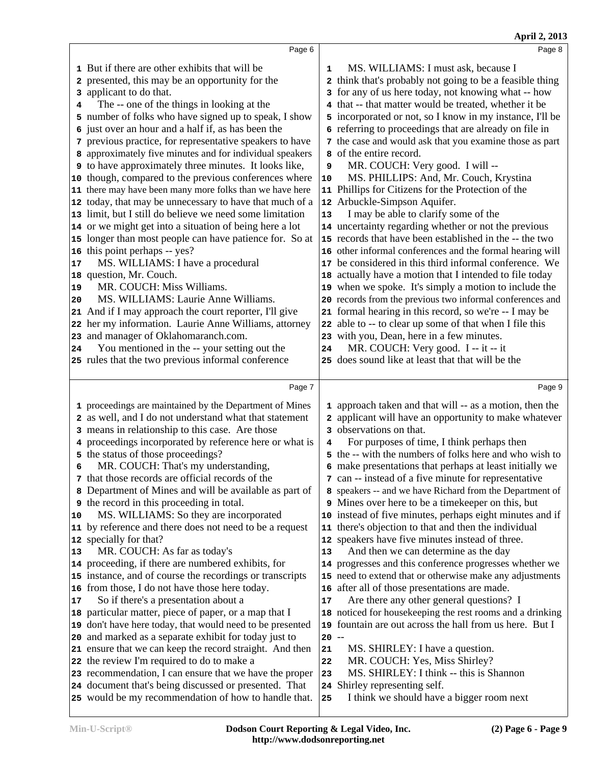|                           |                                                                                                                                                                                                                                                                                                                                                                                                                                                                                                                                                                                                                                                                                                                                                                                                                                                                                                                                                                                                                                                                                                                                                                                                                                                                                                                              |                                                 | April 2, 2013                                                                                                                                                                                                                                                                                                                                                                                                                                                                                                                                                                                                                                                                                                                                                                                                                                                                                                                                                                                                                                                                                                                                                                                                                                                                                                                   |
|---------------------------|------------------------------------------------------------------------------------------------------------------------------------------------------------------------------------------------------------------------------------------------------------------------------------------------------------------------------------------------------------------------------------------------------------------------------------------------------------------------------------------------------------------------------------------------------------------------------------------------------------------------------------------------------------------------------------------------------------------------------------------------------------------------------------------------------------------------------------------------------------------------------------------------------------------------------------------------------------------------------------------------------------------------------------------------------------------------------------------------------------------------------------------------------------------------------------------------------------------------------------------------------------------------------------------------------------------------------|-------------------------------------------------|---------------------------------------------------------------------------------------------------------------------------------------------------------------------------------------------------------------------------------------------------------------------------------------------------------------------------------------------------------------------------------------------------------------------------------------------------------------------------------------------------------------------------------------------------------------------------------------------------------------------------------------------------------------------------------------------------------------------------------------------------------------------------------------------------------------------------------------------------------------------------------------------------------------------------------------------------------------------------------------------------------------------------------------------------------------------------------------------------------------------------------------------------------------------------------------------------------------------------------------------------------------------------------------------------------------------------------|
|                           | Page 6                                                                                                                                                                                                                                                                                                                                                                                                                                                                                                                                                                                                                                                                                                                                                                                                                                                                                                                                                                                                                                                                                                                                                                                                                                                                                                                       |                                                 | Page 8                                                                                                                                                                                                                                                                                                                                                                                                                                                                                                                                                                                                                                                                                                                                                                                                                                                                                                                                                                                                                                                                                                                                                                                                                                                                                                                          |
| 4<br>17<br>19<br>20<br>24 | 1 But if there are other exhibits that will be<br>2 presented, this may be an opportunity for the<br>3 applicant to do that.<br>The -- one of the things in looking at the<br>5 number of folks who have signed up to speak, I show<br>6 just over an hour and a half if, as has been the<br>7 previous practice, for representative speakers to have<br>8 approximately five minutes and for individual speakers<br><b>9</b> to have approximately three minutes. It looks like,<br>10 though, compared to the previous conferences where<br>11 there may have been many more folks than we have here<br>12 today, that may be unnecessary to have that much of a<br>13 limit, but I still do believe we need some limitation<br>14 or we might get into a situation of being here a lot<br>15 longer than most people can have patience for. So at<br>16 this point perhaps -- yes?<br>MS. WILLIAMS: I have a procedural<br>18 question, Mr. Couch.<br>MR. COUCH: Miss Williams.<br>MS. WILLIAMS: Laurie Anne Williams.<br>21 And if I may approach the court reporter, I'll give<br>22 her my information. Laurie Anne Williams, attorney<br>23 and manager of Oklahomaranch.com.<br>You mentioned in the -- your setting out the<br>25 rules that the two previous informal conference                                   | $\mathbf{1}$<br>9<br>10<br>13<br>24             | MS. WILLIAMS: I must ask, because I<br>2 think that's probably not going to be a feasible thing<br>3 for any of us here today, not knowing what -- how<br>4 that -- that matter would be treated, whether it be<br>5 incorporated or not, so I know in my instance, I'll be<br>6 referring to proceedings that are already on file in<br>7 the case and would ask that you examine those as part<br>8 of the entire record.<br>MR. COUCH: Very good. I will --<br>MS. PHILLIPS: And, Mr. Couch, Krystina<br>11 Phillips for Citizens for the Protection of the<br>12 Arbuckle-Simpson Aquifer.<br>I may be able to clarify some of the<br>14 uncertainty regarding whether or not the previous<br>15 records that have been established in the -- the two<br>16 other informal conferences and the formal hearing will<br>17 be considered in this third informal conference. We<br>18 actually have a motion that I intended to file today<br>19 when we spoke. It's simply a motion to include the<br>20 records from the previous two informal conferences and<br>21 formal hearing in this record, so we're -- I may be<br>22 able to -- to clear up some of that when I file this<br>23 with you, Dean, here in a few minutes.<br>MR. COUCH: Very good. I -- it -- it<br>25 does sound like at least that that will be the |
|                           | Page 7                                                                                                                                                                                                                                                                                                                                                                                                                                                                                                                                                                                                                                                                                                                                                                                                                                                                                                                                                                                                                                                                                                                                                                                                                                                                                                                       |                                                 | Page 9                                                                                                                                                                                                                                                                                                                                                                                                                                                                                                                                                                                                                                                                                                                                                                                                                                                                                                                                                                                                                                                                                                                                                                                                                                                                                                                          |
| 8<br>10<br>13<br>17       | 1 proceedings are maintained by the Department of Mines<br>2 as well, and I do not understand what that statement<br>3 means in relationship to this case. Are those<br>4 proceedings incorporated by reference here or what is<br>5 the status of those proceedings?<br>MR. COUCH: That's my understanding,<br>7 that those records are official records of the<br>Department of Mines and will be available as part of<br><b>9</b> the record in this proceeding in total.<br>MS. WILLIAMS: So they are incorporated<br>11 by reference and there does not need to be a request<br>12 specially for that?<br>MR. COUCH: As far as today's<br>14 proceeding, if there are numbered exhibits, for<br>15 instance, and of course the recordings or transcripts<br>16 from those, I do not have those here today.<br>So if there's a presentation about a<br>18 particular matter, piece of paper, or a map that I<br>19 don't have here today, that would need to be presented<br>20 and marked as a separate exhibit for today just to<br>21 ensure that we can keep the record straight. And then<br>22 the review I'm required to do to make a<br>23 recommendation, I can ensure that we have the proper<br>24 document that's being discussed or presented. That<br>25 would be my recommendation of how to handle that. | 4<br>13<br>17<br>$20 -$<br>21<br>22<br>23<br>25 | 1 approach taken and that will -- as a motion, then the<br>2 applicant will have an opportunity to make whatever<br>3 observations on that.<br>For purposes of time, I think perhaps then<br>5 the -- with the numbers of folks here and who wish to<br>6 make presentations that perhaps at least initially we<br>7 can -- instead of a five minute for representative<br>8 speakers -- and we have Richard from the Department of<br><b>9</b> Mines over here to be a time keeper on this, but<br>10 instead of five minutes, perhaps eight minutes and if<br>11 there's objection to that and then the individual<br>12 speakers have five minutes instead of three.<br>And then we can determine as the day<br>14 progresses and this conference progresses whether we<br>15 need to extend that or otherwise make any adjustments<br>16 after all of those presentations are made.<br>Are there any other general questions? I<br>18 noticed for housekeeping the rest rooms and a drinking<br>19 fountain are out across the hall from us here. But I<br>MS. SHIRLEY: I have a question.<br>MR. COUCH: Yes, Miss Shirley?<br>MS. SHIRLEY: I think -- this is Shannon<br>24 Shirley representing self.<br>I think we should have a bigger room next                                                                        |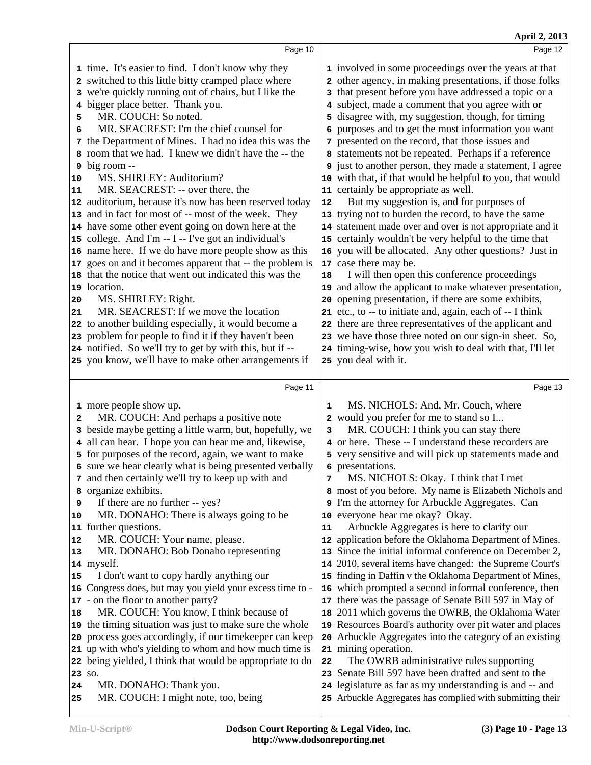| Page 12                                                                                                                                                                                                                                                                                                                                                                                                                                                                                                                                                                                                                                                                                                                                                                                                                                                                                                                                                                                                                                                                                                                                                                                                                                                                 |
|-------------------------------------------------------------------------------------------------------------------------------------------------------------------------------------------------------------------------------------------------------------------------------------------------------------------------------------------------------------------------------------------------------------------------------------------------------------------------------------------------------------------------------------------------------------------------------------------------------------------------------------------------------------------------------------------------------------------------------------------------------------------------------------------------------------------------------------------------------------------------------------------------------------------------------------------------------------------------------------------------------------------------------------------------------------------------------------------------------------------------------------------------------------------------------------------------------------------------------------------------------------------------|
| 1 involved in some proceedings over the years at that<br>2 other agency, in making presentations, if those folks<br>3 that present before you have addressed a topic or a<br>4 subject, made a comment that you agree with or<br>5 disagree with, my suggestion, though, for timing<br>6 purposes and to get the most information you want<br>7 presented on the record, that those issues and<br>8 statements not be repeated. Perhaps if a reference<br><b>9</b> just to another person, they made a statement, I agree<br>10 with that, if that would be helpful to you, that would<br>11 certainly be appropriate as well.<br>But my suggestion is, and for purposes of<br>12<br>13 trying not to burden the record, to have the same<br>14 statement made over and over is not appropriate and it<br>15 certainly wouldn't be very helpful to the time that<br>16 you will be allocated. Any other questions? Just in<br>17 case there may be.<br>I will then open this conference proceedings<br>18<br>19 and allow the applicant to make whatever presentation,<br>opening presentation, if there are some exhibits,<br>20<br>21 etc., to -- to initiate and, again, each of -- I think<br>22 there are three representatives of the applicant and               |
| 23 we have those three noted on our sign-in sheet. So,                                                                                                                                                                                                                                                                                                                                                                                                                                                                                                                                                                                                                                                                                                                                                                                                                                                                                                                                                                                                                                                                                                                                                                                                                  |
| 24 timing-wise, how you wish to deal with that, I'll let<br>25 you deal with it.                                                                                                                                                                                                                                                                                                                                                                                                                                                                                                                                                                                                                                                                                                                                                                                                                                                                                                                                                                                                                                                                                                                                                                                        |
|                                                                                                                                                                                                                                                                                                                                                                                                                                                                                                                                                                                                                                                                                                                                                                                                                                                                                                                                                                                                                                                                                                                                                                                                                                                                         |
| Page 13                                                                                                                                                                                                                                                                                                                                                                                                                                                                                                                                                                                                                                                                                                                                                                                                                                                                                                                                                                                                                                                                                                                                                                                                                                                                 |
| MS. NICHOLS: And, Mr. Couch, where<br>1<br>2 would you prefer for me to stand so I<br>MR. COUCH: I think you can stay there<br>3<br>4 or here. These -- I understand these recorders are<br>5 very sensitive and will pick up statements made and<br>6 presentations.<br>MS. NICHOLS: Okay. I think that I met<br>8 most of you before. My name is Elizabeth Nichols and<br>9 I'm the attorney for Arbuckle Aggregates. Can<br>10 everyone hear me okay? Okay.<br>Arbuckle Aggregates is here to clarify our<br>11<br>12 application before the Oklahoma Department of Mines.<br>Since the initial informal conference on December 2,<br>13<br>14 2010, several items have changed: the Supreme Court's<br>15 finding in Daffin v the Oklahoma Department of Mines,<br>16 which prompted a second informal conference, then<br>there was the passage of Senate Bill 597 in May of<br>17<br>2011 which governs the OWRB, the Oklahoma Water<br>18<br>19 Resources Board's authority over pit water and places<br>Arbuckle Aggregates into the category of an existing<br>20<br>21 mining operation.<br>The OWRB administrative rules supporting<br>22<br>23 Senate Bill 597 have been drafted and sent to the<br>24 legislature as far as my understanding is and -- and |
| Page 10<br>the Department of Mines. I had no idea this was the<br>12 auditorium, because it's now has been reserved today<br>17 goes on and it becomes apparent that -- the problem is<br>Page 11<br>beside maybe getting a little warm, but, hopefully, we<br>6 sure we hear clearly what is being presented verbally<br>16 Congress does, but may you yield your excess time to -<br>20 process goes accordingly, if our time keeper can keep<br>21 up with who's yielding to whom and how much time is<br>22 being yielded, I think that would be appropriate to do                                                                                                                                                                                                                                                                                                                                                                                                                                                                                                                                                                                                                                                                                                  |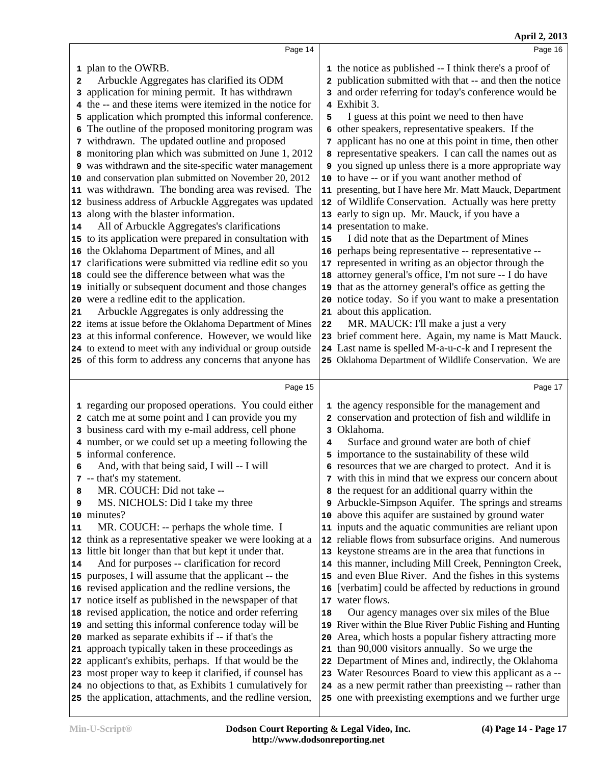|    | Page 14                                                                                                               |    | Page 16                                                                                                             |  |
|----|-----------------------------------------------------------------------------------------------------------------------|----|---------------------------------------------------------------------------------------------------------------------|--|
|    | 1 plan to the OWRB.                                                                                                   |    | 1 the notice as published -- I think there's a proof of                                                             |  |
| 2  | Arbuckle Aggregates has clarified its ODM                                                                             |    | 2 publication submitted with that -- and then the notice                                                            |  |
|    | 3 application for mining permit. It has withdrawn                                                                     |    | 3 and order referring for today's conference would be                                                               |  |
| 4  | the -- and these items were itemized in the notice for                                                                |    | 4 Exhibit 3.                                                                                                        |  |
| 5  | application which prompted this informal conference.                                                                  | 5  | I guess at this point we need to then have                                                                          |  |
|    | The outline of the proposed monitoring program was                                                                    |    | 6 other speakers, representative speakers. If the                                                                   |  |
|    | 7 withdrawn. The updated outline and proposed                                                                         |    | 7 applicant has no one at this point in time, then other                                                            |  |
|    | monitoring plan which was submitted on June 1, 2012                                                                   |    | 8 representative speakers. I can call the names out as                                                              |  |
|    | 9 was withdrawn and the site-specific water management                                                                |    | <b>9</b> you signed up unless there is a more appropriate way                                                       |  |
| 10 | and conservation plan submitted on November 20, 2012                                                                  |    | 10 to have -- or if you want another method of                                                                      |  |
| 11 | was withdrawn. The bonding area was revised. The                                                                      |    | 11 presenting, but I have here Mr. Matt Mauck, Department                                                           |  |
| 12 | business address of Arbuckle Aggregates was updated                                                                   |    | 12 of Wildlife Conservation. Actually was here pretty                                                               |  |
| 13 | along with the blaster information.                                                                                   |    | 13 early to sign up. Mr. Mauck, if you have a                                                                       |  |
| 14 | All of Arbuckle Aggregates's clarifications                                                                           |    | 14 presentation to make.                                                                                            |  |
|    | 15 to its application were prepared in consultation with                                                              | 15 | I did note that as the Department of Mines                                                                          |  |
| 16 | the Oklahoma Department of Mines, and all                                                                             |    | 16 perhaps being representative -- representative --                                                                |  |
| 17 | clarifications were submitted via redline edit so you                                                                 |    | 17 represented in writing as an objector through the                                                                |  |
|    | 18 could see the difference between what was the                                                                      |    | 18 attorney general's office, I'm not sure -- I do have                                                             |  |
|    | 19 initially or subsequent document and those changes                                                                 |    | 19 that as the attorney general's office as getting the                                                             |  |
|    | 20 were a redline edit to the application.                                                                            |    | 20 notice today. So if you want to make a presentation                                                              |  |
| 21 | Arbuckle Aggregates is only addressing the                                                                            |    | 21 about this application.                                                                                          |  |
|    | 22 items at issue before the Oklahoma Department of Mines                                                             | 22 | MR. MAUCK: I'll make a just a very                                                                                  |  |
|    | 23 at this informal conference. However, we would like                                                                |    | 23 brief comment here. Again, my name is Matt Mauck.                                                                |  |
|    | 24 to extend to meet with any individual or group outside                                                             |    | 24 Last name is spelled M-a-u-c-k and I represent the                                                               |  |
|    | 25 of this form to address any concerns that anyone has                                                               |    | 25 Oklahoma Department of Wildlife Conservation. We are                                                             |  |
|    |                                                                                                                       |    |                                                                                                                     |  |
|    |                                                                                                                       |    |                                                                                                                     |  |
|    | Page 15                                                                                                               |    | Page 17                                                                                                             |  |
|    |                                                                                                                       |    |                                                                                                                     |  |
|    | 1 regarding our proposed operations. You could either                                                                 |    | 1 the agency responsible for the management and                                                                     |  |
|    | 2 catch me at some point and I can provide you my                                                                     |    | 2 conservation and protection of fish and wildlife in                                                               |  |
|    | 3 business card with my e-mail address, cell phone                                                                    | 4  | 3 Oklahoma.                                                                                                         |  |
|    | 4 number, or we could set up a meeting following the                                                                  |    | Surface and ground water are both of chief                                                                          |  |
| 6  | 5 informal conference.                                                                                                |    | 5 importance to the sustainability of these wild                                                                    |  |
|    | And, with that being said, I will -- I will                                                                           |    | 6 resources that we are charged to protect. And it is                                                               |  |
| 8  | 7 -- that's my statement.<br>MR. COUCH: Did not take --                                                               |    | 7 with this in mind that we express our concern about                                                               |  |
| 9  | MS. NICHOLS: Did I take my three                                                                                      |    | 8 the request for an additional quarry within the<br>9 Arbuckle-Simpson Aquifer. The springs and streams            |  |
| 10 | minutes?                                                                                                              |    | 10 above this aquifer are sustained by ground water                                                                 |  |
| 11 | MR. COUCH: -- perhaps the whole time. I                                                                               |    | 11 inputs and the aquatic communities are reliant upon                                                              |  |
| 12 | think as a representative speaker we were looking at a                                                                |    | 12 reliable flows from subsurface origins. And numerous                                                             |  |
| 13 | little bit longer than that but kept it under that.                                                                   |    | 13 keystone streams are in the area that functions in                                                               |  |
| 14 | And for purposes -- clarification for record                                                                          |    | 14 this manner, including Mill Creek, Pennington Creek,                                                             |  |
| 15 | purposes, I will assume that the applicant -- the                                                                     |    | 15 and even Blue River. And the fishes in this systems                                                              |  |
| 16 | revised application and the redline versions, the                                                                     | 16 | [verbatim] could be affected by reductions in ground                                                                |  |
| 17 | notice itself as published in the newspaper of that                                                                   |    | 17 water flows.                                                                                                     |  |
| 18 | revised application, the notice and order referring                                                                   | 18 | Our agency manages over six miles of the Blue                                                                       |  |
| 19 | and setting this informal conference today will be                                                                    |    | 19 River within the Blue River Public Fishing and Hunting                                                           |  |
| 20 | marked as separate exhibits if -- if that's the                                                                       | 20 | Area, which hosts a popular fishery attracting more                                                                 |  |
| 21 | approach typically taken in these proceedings as                                                                      | 21 | than 90,000 visitors annually. So we urge the                                                                       |  |
| 22 | applicant's exhibits, perhaps. If that would be the                                                                   | 22 | Department of Mines and, indirectly, the Oklahoma                                                                   |  |
| 23 | most proper way to keep it clarified, if counsel has                                                                  |    | 23 Water Resources Board to view this applicant as a --                                                             |  |
|    | 24 no objections to that, as Exhibits 1 cumulatively for<br>25 the application, attachments, and the redline version, |    | 24 as a new permit rather than preexisting -- rather than<br>25 one with preexisting exemptions and we further urge |  |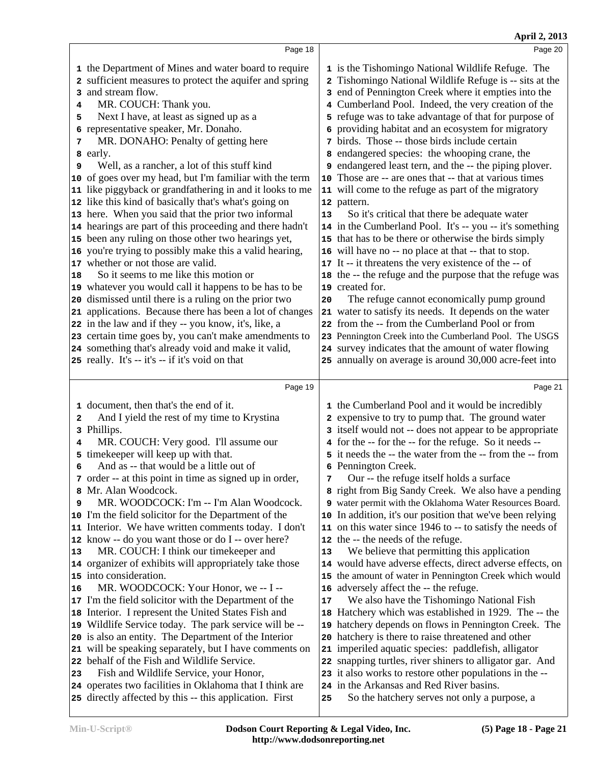|    |                                                                                  |    | April 2, 2013                                                                                                      |  |
|----|----------------------------------------------------------------------------------|----|--------------------------------------------------------------------------------------------------------------------|--|
|    | Page 18                                                                          |    | Page 20                                                                                                            |  |
|    | 1 the Department of Mines and water board to require                             |    | 1 is the Tishomingo National Wildlife Refuge. The                                                                  |  |
|    | 2 sufficient measures to protect the aquifer and spring                          | 2  | Tishomingo National Wildlife Refuge is -- sits at the                                                              |  |
|    | 3 and stream flow.                                                               | 3  | end of Pennington Creek where it empties into the                                                                  |  |
| 4  | MR. COUCH: Thank you.                                                            |    | 4 Cumberland Pool. Indeed, the very creation of the                                                                |  |
| 5  | Next I have, at least as signed up as a                                          |    | 5 refuge was to take advantage of that for purpose of                                                              |  |
|    | 6 representative speaker, Mr. Donaho.                                            | б. | providing habitat and an ecosystem for migratory                                                                   |  |
| 7  | MR. DONAHO: Penalty of getting here                                              |    | 7 birds. Those -- those birds include certain                                                                      |  |
|    | 8 early.                                                                         |    | 8 endangered species: the whooping crane, the                                                                      |  |
| 9  | Well, as a rancher, a lot of this stuff kind                                     | 9  | endangered least tern, and the -- the piping plover.                                                               |  |
|    | 10 of goes over my head, but I'm familiar with the term                          |    | 10 Those are -- are ones that -- that at various times                                                             |  |
|    | 11 like piggyback or grandfathering in and it looks to me                        |    | 11 will come to the refuge as part of the migratory                                                                |  |
|    | 12 like this kind of basically that's what's going on                            |    | 12 pattern.                                                                                                        |  |
|    | 13 here. When you said that the prior two informal                               | 13 | So it's critical that there be adequate water                                                                      |  |
|    | 14 hearings are part of this proceeding and there hadn't                         |    | 14 in the Cumberland Pool. It's -- you -- it's something                                                           |  |
|    | 15 been any ruling on those other two hearings yet,                              |    | 15 that has to be there or otherwise the birds simply                                                              |  |
|    | 16 you're trying to possibly make this a valid hearing,                          |    | 16 will have no -- no place at that -- that to stop.                                                               |  |
|    | 17 whether or not those are valid.                                               |    | 17 It -- it threatens the very existence of the -- of                                                              |  |
| 18 | So it seems to me like this motion or                                            |    | 18 the -- the refuge and the purpose that the refuge was                                                           |  |
|    | 19 whatever you would call it happens to be has to be                            |    | 19 created for.                                                                                                    |  |
|    | 20 dismissed until there is a ruling on the prior two                            | 20 | The refuge cannot economically pump ground                                                                         |  |
|    | 21 applications. Because there has been a lot of changes                         |    | 21 water to satisfy its needs. It depends on the water                                                             |  |
|    | 22 in the law and if they -- you know, it's, like, a                             |    | 22 from the -- from the Cumberland Pool or from                                                                    |  |
|    | 23 certain time goes by, you can't make amendments to                            |    | 23 Pennington Creek into the Cumberland Pool. The USGS                                                             |  |
|    | 24 something that's already void and make it valid,                              |    | 24 survey indicates that the amount of water flowing                                                               |  |
|    | 25 really. It's -- it's -- if it's void on that                                  |    | 25 annually on average is around 30,000 acre-feet into                                                             |  |
|    | Page 19                                                                          |    | Page 21                                                                                                            |  |
|    |                                                                                  |    |                                                                                                                    |  |
|    | 1 document, then that's the end of it.                                           |    | 1 the Cumberland Pool and it would be incredibly                                                                   |  |
| 2  | And I yield the rest of my time to Krystina                                      |    | 2 expensive to try to pump that. The ground water                                                                  |  |
|    | 3 Phillips.                                                                      |    | 3 itself would not -- does not appear to be appropriate                                                            |  |
| 4  | MR. COUCH: Very good. I'll assume our                                            |    | 4 for the -- for the -- for the refuge. So it needs --<br>5 it needs the -- the water from the -- from the -- from |  |
|    | 5 time keeper will keep up with that.<br>And as -- that would be a little out of |    | 6 Pennington Creek.                                                                                                |  |
| 6  | 7 order -- at this point in time as signed up in order,                          | 7  | Our -- the refuge itself holds a surface                                                                           |  |
|    | 8 Mr. Alan Woodcock.                                                             |    | 8 right from Big Sandy Creek. We also have a pending                                                               |  |
| 9  | MR. WOODCOCK: I'm -- I'm Alan Woodcock.                                          |    | 9 water permit with the Oklahoma Water Resources Board.                                                            |  |
|    | 10 I'm the field solicitor for the Department of the                             |    | 10 In addition, it's our position that we've been relying                                                          |  |
|    | 11 Interior. We have written comments today. I don't                             |    | 11 on this water since 1946 to -- to satisfy the needs of                                                          |  |
|    | 12 know -- do you want those or do I -- over here?                               |    | 12 the -- the needs of the refuge.                                                                                 |  |
| 13 | MR. COUCH: I think our timekeeper and                                            | 13 | We believe that permitting this application                                                                        |  |
|    | 14 organizer of exhibits will appropriately take those                           |    | 14 would have adverse effects, direct adverse effects, on                                                          |  |
|    | 15 into consideration.                                                           |    | 15 the amount of water in Pennington Creek which would                                                             |  |
| 16 | MR. WOODCOCK: Your Honor, we -- I --                                             |    | 16 adversely affect the -- the refuge.                                                                             |  |
|    | 17 I'm the field solicitor with the Department of the                            | 17 | We also have the Tishomingo National Fish                                                                          |  |
|    | 18 Interior. I represent the United States Fish and                              |    | 18 Hatchery which was established in 1929. The -- the                                                              |  |
|    | 19 Wildlife Service today. The park service will be --                           |    | 19 hatchery depends on flows in Pennington Creek. The                                                              |  |
|    | 20 is also an entity. The Department of the Interior                             |    | 20 hatchery is there to raise threatened and other                                                                 |  |
|    | 21 will be speaking separately, but I have comments on                           |    | 21 imperiled aquatic species: paddlefish, alligator                                                                |  |
|    | 22 behalf of the Fish and Wildlife Service.                                      |    | 22 snapping turtles, river shiners to alligator gar. And                                                           |  |
| 23 | Fish and Wildlife Service, your Honor,                                           |    | 23 it also works to restore other populations in the --                                                            |  |
|    | 24 operates two facilities in Oklahoma that I think are                          |    | 24 in the Arkansas and Red River basins.                                                                           |  |
|    | 25 directly affected by this -- this application. First                          | 25 | So the hatchery serves not only a purpose, a                                                                       |  |
|    |                                                                                  |    |                                                                                                                    |  |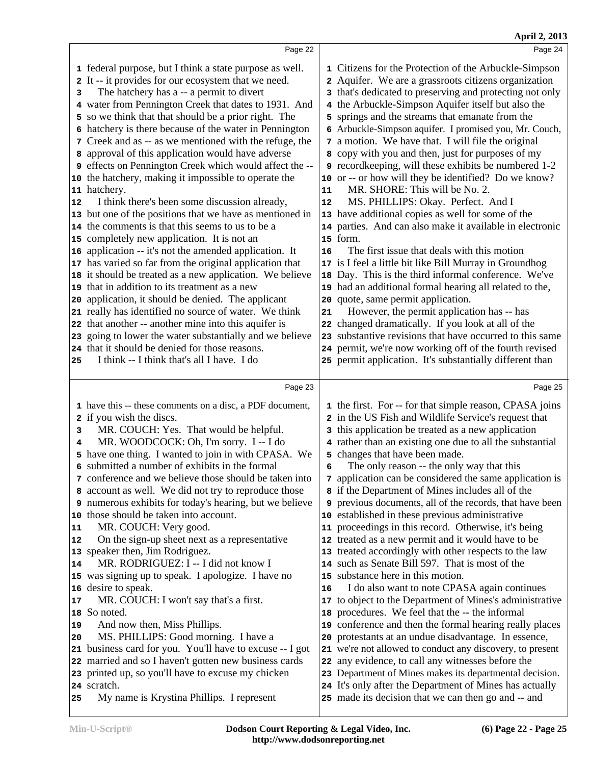|                                        |                                                                                                             | April 2, 2013                                                                                              |
|----------------------------------------|-------------------------------------------------------------------------------------------------------------|------------------------------------------------------------------------------------------------------------|
|                                        | Page 22                                                                                                     | Page 24                                                                                                    |
|                                        | 1 federal purpose, but I think a state purpose as well.                                                     | 1 Citizens for the Protection of the Arbuckle-Simpson                                                      |
|                                        | 2 It -- it provides for our ecosystem that we need.                                                         | 2 Aquifer. We are a grassroots citizens organization                                                       |
| 3                                      | The hatchery has a -- a permit to divert                                                                    | 3 that's dedicated to preserving and protecting not only                                                   |
|                                        | 4 water from Pennington Creek that dates to 1931. And                                                       | 4 the Arbuckle-Simpson Aquifer itself but also the                                                         |
|                                        | 5 so we think that that should be a prior right. The                                                        | 5 springs and the streams that emanate from the                                                            |
|                                        | 6 hatchery is there because of the water in Pennington                                                      | 6 Arbuckle-Simpson aquifer. I promised you, Mr. Couch,                                                     |
|                                        | 7 Creek and as -- as we mentioned with the refuge, the                                                      | 7 a motion. We have that. I will file the original                                                         |
|                                        | 8 approval of this application would have adverse                                                           | 8 copy with you and then, just for purposes of my                                                          |
|                                        | 9 effects on Pennington Creek which would affect the --                                                     | 9 recordkeeping, will these exhibits be numbered 1-2                                                       |
|                                        | 10 the hatchery, making it impossible to operate the                                                        | 10 or -- or how will they be identified? Do we know?                                                       |
|                                        | 11 hatchery.                                                                                                | MR. SHORE: This will be No. 2.<br>11                                                                       |
| 12                                     | I think there's been some discussion already,                                                               | MS. PHILLIPS: Okay. Perfect. And I<br>12                                                                   |
|                                        | 13 but one of the positions that we have as mentioned in                                                    | 13 have additional copies as well for some of the                                                          |
|                                        | 14 the comments is that this seems to us to be a                                                            | 14 parties. And can also make it available in electronic                                                   |
|                                        | 15 completely new application. It is not an                                                                 | 15 form.                                                                                                   |
|                                        | 16 application -- it's not the amended application. It                                                      | The first issue that deals with this motion<br>16                                                          |
|                                        | 17 has varied so far from the original application that                                                     | 17 is I feel a little bit like Bill Murray in Groundhog                                                    |
|                                        | 18 it should be treated as a new application. We believe                                                    | 18 Day. This is the third informal conference. We've                                                       |
|                                        | 19 that in addition to its treatment as a new                                                               | 19 had an additional formal hearing all related to the,                                                    |
|                                        | 20 application, it should be denied. The applicant<br>21 really has identified no source of water. We think | 20 quote, same permit application.<br>However, the permit application has -- has<br>21                     |
|                                        | 22 that another -- another mine into this aquifer is                                                        | 22 changed dramatically. If you look at all of the                                                         |
|                                        | 23 going to lower the water substantially and we believe                                                    | 23 substantive revisions that have occurred to this same                                                   |
|                                        | 24 that it should be denied for those reasons.                                                              | 24 permit, we're now working off of the fourth revised                                                     |
| 25                                     | I think -- I think that's all I have. I do                                                                  | 25 permit application. It's substantially different than                                                   |
|                                        |                                                                                                             |                                                                                                            |
|                                        | Page 23                                                                                                     | Page 25                                                                                                    |
|                                        | 1 have this -- these comments on a disc, a PDF document,                                                    | 1 the first. For -- for that simple reason, CPASA joins                                                    |
|                                        | 2 if you wish the discs.                                                                                    | 2 in the US Fish and Wildlife Service's request that                                                       |
| 3                                      | MR. COUCH: Yes. That would be helpful.                                                                      | 3 this application be treated as a new application                                                         |
| 4                                      | MR. WOODCOCK: Oh, I'm sorry. I -- I do                                                                      | 4 rather than an existing one due to all the substantial                                                   |
|                                        | 5 have one thing. I wanted to join in with CPASA. We                                                        |                                                                                                            |
|                                        |                                                                                                             | 5 changes that have been made.                                                                             |
|                                        | 6 submitted a number of exhibits in the formal                                                              | The only reason -- the only way that this<br>6                                                             |
|                                        | 7 conference and we believe those should be taken into                                                      | 7 application can be considered the same application is                                                    |
|                                        | 8 account as well. We did not try to reproduce those                                                        | 8 if the Department of Mines includes all of the                                                           |
|                                        | 9 numerous exhibits for today's hearing, but we believe                                                     | <b>9</b> previous documents, all of the records, that have been                                            |
|                                        | 10 those should be taken into account.                                                                      | 10 established in these previous administrative                                                            |
|                                        | MR. COUCH: Very good.                                                                                       | 11 proceedings in this record. Otherwise, it's being                                                       |
|                                        | On the sign-up sheet next as a representative                                                               | 12 treated as a new permit and it would have to be                                                         |
|                                        | 13 speaker then, Jim Rodriguez.                                                                             | 13 treated accordingly with other respects to the law                                                      |
|                                        | MR. RODRIGUEZ: I -- I did not know I                                                                        | 14 such as Senate Bill 597. That is most of the                                                            |
|                                        | 15 was signing up to speak. I apologize. I have no                                                          | 15 substance here in this motion.<br>16                                                                    |
|                                        | 16 desire to speak.                                                                                         | I do also want to note CPASA again continues                                                               |
|                                        | MR. COUCH: I won't say that's a first.<br>18 So noted.                                                      | 17 to object to the Department of Mines's administrative                                                   |
|                                        | And now then, Miss Phillips.                                                                                | 18 procedures. We feel that the -- the informal<br>19 conference and then the formal hearing really places |
|                                        | MS. PHILLIPS: Good morning. I have a                                                                        | 20 protestants at an undue disadvantage. In essence,                                                       |
|                                        | business card for you. You'll have to excuse -- I got                                                       | 21 we're not allowed to conduct any discovery, to present                                                  |
|                                        | 22 married and so I haven't gotten new business cards                                                       | 22 any evidence, to call any witnesses before the                                                          |
|                                        | 23 printed up, so you'll have to excuse my chicken                                                          | 23 Department of Mines makes its departmental decision.                                                    |
| 11<br>12<br>14<br>17<br>19<br>20<br>21 | 24 scratch.                                                                                                 | 24 It's only after the Department of Mines has actually                                                    |
| 25                                     | My name is Krystina Phillips. I represent                                                                   | 25 made its decision that we can then go and -- and                                                        |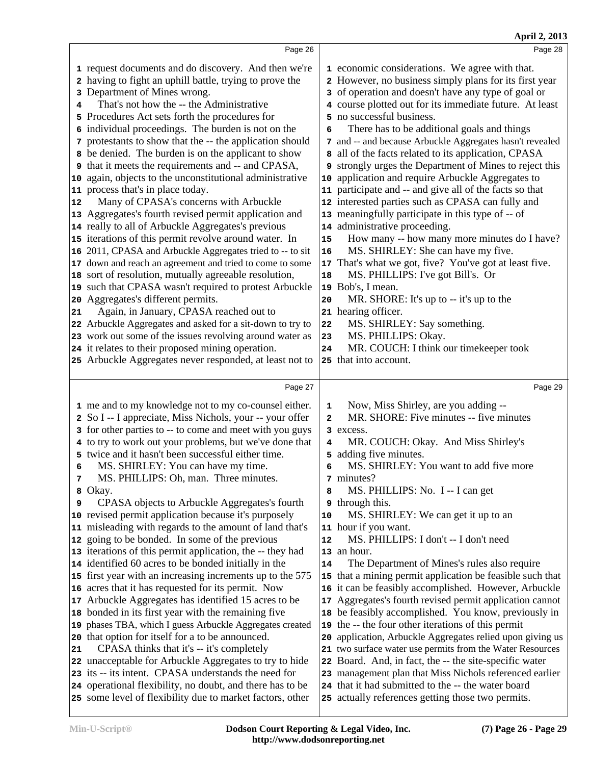|    |                                                                                                                        |                              | April 2, 2013                                                                                           |  |
|----|------------------------------------------------------------------------------------------------------------------------|------------------------------|---------------------------------------------------------------------------------------------------------|--|
|    | Page 26                                                                                                                |                              | Page 28                                                                                                 |  |
|    | 1 request documents and do discovery. And then we're                                                                   |                              | 1 economic considerations. We agree with that.                                                          |  |
|    | 2 having to fight an uphill battle, trying to prove the                                                                |                              | 2 However, no business simply plans for its first year                                                  |  |
|    | 3 Department of Mines wrong.                                                                                           |                              | 3 of operation and doesn't have any type of goal or                                                     |  |
| 4  | That's not how the -- the Administrative                                                                               |                              | 4 course plotted out for its immediate future. At least                                                 |  |
|    | 5 Procedures Act sets forth the procedures for                                                                         |                              | 5 no successful business.                                                                               |  |
|    | 6 individual proceedings. The burden is not on the                                                                     | 6                            | There has to be additional goals and things                                                             |  |
|    | 7 protestants to show that the -- the application should                                                               |                              | 7 and -- and because Arbuckle Aggregates hasn't revealed                                                |  |
|    | 8 be denied. The burden is on the applicant to show                                                                    |                              | 8 all of the facts related to its application, CPASA                                                    |  |
|    | <b>9</b> that it meets the requirements and -- and CPASA,                                                              |                              | 9 strongly urges the Department of Mines to reject this                                                 |  |
|    | 10 again, objects to the unconstitutional administrative                                                               | 10                           | application and require Arbuckle Aggregates to                                                          |  |
|    | 11 process that's in place today.                                                                                      |                              | 11 participate and -- and give all of the facts so that                                                 |  |
| 12 | Many of CPASA's concerns with Arbuckle                                                                                 |                              | 12 interested parties such as CPASA can fully and                                                       |  |
|    | 13 Aggregates's fourth revised permit application and                                                                  |                              | 13 meaningfully participate in this type of -- of                                                       |  |
|    | 14 really to all of Arbuckle Aggregates's previous                                                                     |                              | 14 administrative proceeding.                                                                           |  |
|    | 15 iterations of this permit revolve around water. In                                                                  | 15                           | How many -- how many more minutes do I have?                                                            |  |
|    | 16 2011, CPASA and Arbuckle Aggregates tried to -- to sit                                                              | 16                           | MS. SHIRLEY: She can have my five.                                                                      |  |
|    | 17 down and reach an agreement and tried to come to some                                                               | 17                           | That's what we got, five? You've got at least five.                                                     |  |
|    | 18 sort of resolution, mutually agreeable resolution,                                                                  | 18                           | MS. PHILLIPS: I've got Bill's. Or                                                                       |  |
|    | 19 such that CPASA wasn't required to protest Arbuckle                                                                 |                              | 19 Bob's, I mean.                                                                                       |  |
|    | 20 Aggregates's different permits.                                                                                     | 20                           | MR. SHORE: It's up to -- it's up to the                                                                 |  |
| 21 | Again, in January, CPASA reached out to                                                                                |                              | 21 hearing officer.                                                                                     |  |
|    | 22 Arbuckle Aggregates and asked for a sit-down to try to                                                              | 22                           | MS. SHIRLEY: Say something.                                                                             |  |
|    | 23 work out some of the issues revolving around water as                                                               | 23                           | MS. PHILLIPS: Okay.                                                                                     |  |
|    | 24 it relates to their proposed mining operation.                                                                      | 24                           | MR. COUCH: I think our timekeeper took                                                                  |  |
|    | 25 Arbuckle Aggregates never responded, at least not to                                                                |                              | 25 that into account.                                                                                   |  |
|    |                                                                                                                        |                              |                                                                                                         |  |
|    | Page 27                                                                                                                |                              | Page 29                                                                                                 |  |
|    |                                                                                                                        |                              |                                                                                                         |  |
|    | 1 me and to my knowledge not to my co-counsel either.                                                                  | 1<br>$\overline{\mathbf{2}}$ | Now, Miss Shirley, are you adding --<br>MR. SHORE: Five minutes -- five minutes                         |  |
|    | 2 So I -- I appreciate, Miss Nichols, your -- your offer                                                               |                              | 3 excess.                                                                                               |  |
|    | 3 for other parties to -- to come and meet with you guys                                                               | 4                            |                                                                                                         |  |
|    | 4 to try to work out your problems, but we've done that<br>5 twice and it hasn't been successful either time.          |                              | MR. COUCH: Okay. And Miss Shirley's<br>5 adding five minutes.                                           |  |
| 6  | MS. SHIRLEY: You can have my time.                                                                                     | 6                            | MS. SHIRLEY: You want to add five more                                                                  |  |
| 7  | MS. PHILLIPS: Oh, man. Three minutes.                                                                                  |                              | 7 minutes?                                                                                              |  |
|    | 8 Okay.                                                                                                                | 8                            | MS. PHILLIPS: No. I -- I can get                                                                        |  |
| 9  | CPASA objects to Arbuckle Aggregates's fourth                                                                          |                              | <b>9</b> through this.                                                                                  |  |
|    | 10 revised permit application because it's purposely                                                                   | ${\bf 10}$                   | MS. SHIRLEY: We can get it up to an                                                                     |  |
|    | 11 misleading with regards to the amount of land that's                                                                |                              | 11 hour if you want.                                                                                    |  |
|    | 12 going to be bonded. In some of the previous                                                                         | ${\bf 12}$                   | MS. PHILLIPS: I don't -- I don't need                                                                   |  |
|    | 13 iterations of this permit application, the -- they had                                                              |                              | 13 an hour.                                                                                             |  |
|    | 14 identified 60 acres to be bonded initially in the                                                                   | 14                           | The Department of Mines's rules also require                                                            |  |
|    | 15 first year with an increasing increments up to the 575                                                              | 15                           | that a mining permit application be feasible such that                                                  |  |
|    | 16 acres that it has requested for its permit. Now                                                                     |                              | 16 it can be feasibly accomplished. However, Arbuckle                                                   |  |
|    | 17 Arbuckle Aggregates has identified 15 acres to be                                                                   | 17                           | Aggregates's fourth revised permit application cannot                                                   |  |
|    | 18 bonded in its first year with the remaining five                                                                    |                              | 18 be feasibly accomplished. You know, previously in                                                    |  |
|    | 19 phases TBA, which I guess Arbuckle Aggregates created                                                               |                              | 19 the -- the four other iterations of this permit                                                      |  |
|    | 20 that option for itself for a to be announced.                                                                       | 20                           | application, Arbuckle Aggregates relied upon giving us                                                  |  |
|    | CPASA thinks that it's -- it's completely                                                                              |                              | 21 two surface water use permits from the Water Resources                                               |  |
|    | 22 unacceptable for Arbuckle Aggregates to try to hide                                                                 |                              | 22 Board. And, in fact, the -- the site-specific water                                                  |  |
|    | 23 its -- its intent. CPASA understands the need for                                                                   |                              | 23 management plan that Miss Nichols referenced earlier                                                 |  |
| 21 | 24 operational flexibility, no doubt, and there has to be<br>25 some level of flexibility due to market factors, other |                              | 24 that it had submitted to the -- the water board<br>25 actually references getting those two permits. |  |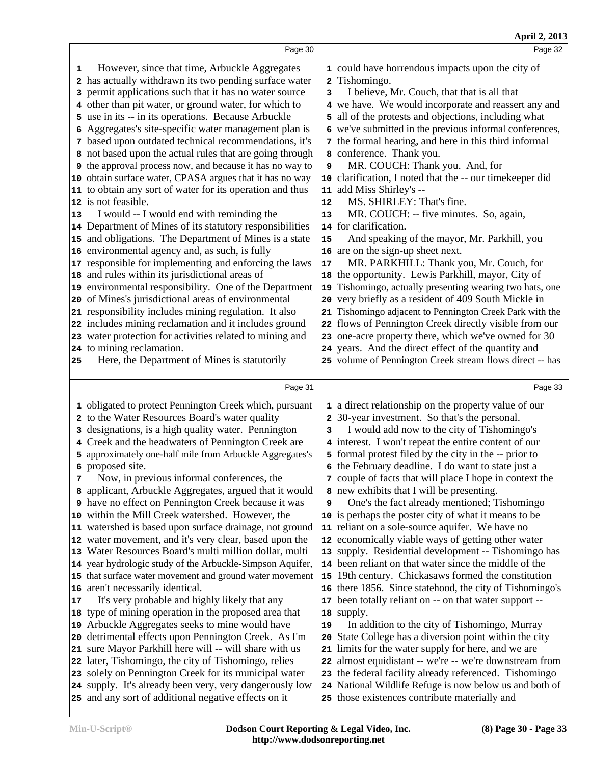|    | Page 30                                                                                                   |    | Page 32                                                                                               |  |
|----|-----------------------------------------------------------------------------------------------------------|----|-------------------------------------------------------------------------------------------------------|--|
| 1  | However, since that time, Arbuckle Aggregates                                                             |    | 1 could have horrendous impacts upon the city of                                                      |  |
|    | 2 has actually withdrawn its two pending surface water                                                    |    | 2 Tishomingo.                                                                                         |  |
| з  | permit applications such that it has no water source                                                      | 3  | I believe, Mr. Couch, that that is all that                                                           |  |
| 4  | other than pit water, or ground water, for which to                                                       |    | 4 we have. We would incorporate and reassert any and                                                  |  |
|    | 5 use in its -- in its operations. Because Arbuckle                                                       | 5  | all of the protests and objections, including what                                                    |  |
| 6  | Aggregates's site-specific water management plan is                                                       | 6  | we've submitted in the previous informal conferences,                                                 |  |
|    | 7 based upon outdated technical recommendations, it's                                                     |    | 7 the formal hearing, and here in this third informal                                                 |  |
|    | 8 not based upon the actual rules that are going through                                                  |    | 8 conference. Thank you.                                                                              |  |
|    | <b>9</b> the approval process now, and because it has no way to                                           | 9  | MR. COUCH: Thank you. And, for                                                                        |  |
|    | 10 obtain surface water, CPASA argues that it has no way                                                  |    | 10 clarification, I noted that the -- our timekeeper did                                              |  |
|    | 11 to obtain any sort of water for its operation and thus                                                 |    | 11 add Miss Shirley's --                                                                              |  |
|    | 12 is not feasible.                                                                                       | 12 | MS. SHIRLEY: That's fine.                                                                             |  |
| 13 | I would -- I would end with reminding the                                                                 | 13 | MR. COUCH: -- five minutes. So, again,                                                                |  |
|    | 14 Department of Mines of its statutory responsibilities                                                  |    | 14 for clarification.                                                                                 |  |
|    | 15 and obligations. The Department of Mines is a state                                                    | 15 | And speaking of the mayor, Mr. Parkhill, you                                                          |  |
|    | 16 environmental agency and, as such, is fully                                                            |    | 16 are on the sign-up sheet next.                                                                     |  |
|    | 17 responsible for implementing and enforcing the laws                                                    | 17 | MR. PARKHILL: Thank you, Mr. Couch, for                                                               |  |
|    | 18 and rules within its jurisdictional areas of                                                           |    | 18 the opportunity. Lewis Parkhill, mayor, City of                                                    |  |
|    | 19 environmental responsibility. One of the Department                                                    |    | 19 Tishomingo, actually presenting wearing two hats, one                                              |  |
|    | 20 of Mines's jurisdictional areas of environmental                                                       |    | 20 very briefly as a resident of 409 South Mickle in                                                  |  |
|    | 21 responsibility includes mining regulation. It also                                                     |    | 21 Tishomingo adjacent to Pennington Creek Park with the                                              |  |
|    | 22 includes mining reclamation and it includes ground                                                     |    | 22 flows of Pennington Creek directly visible from our                                                |  |
|    | 23 water protection for activities related to mining and                                                  |    | 23 one-acre property there, which we've owned for 30                                                  |  |
|    | 24 to mining reclamation.                                                                                 |    | 24 years. And the direct effect of the quantity and                                                   |  |
| 25 | Here, the Department of Mines is statutorily                                                              |    | 25 volume of Pennington Creek stream flows direct -- has                                              |  |
|    |                                                                                                           |    |                                                                                                       |  |
|    |                                                                                                           |    |                                                                                                       |  |
|    | Page 31                                                                                                   |    | Page 33                                                                                               |  |
|    |                                                                                                           |    |                                                                                                       |  |
|    | 1 obligated to protect Pennington Creek which, pursuant<br>2 to the Water Resources Board's water quality |    | 1 a direct relationship on the property value of our<br>2 30-year investment. So that's the personal. |  |
| 3  | designations, is a high quality water. Pennington                                                         | 3  | I would add now to the city of Tishomingo's                                                           |  |
|    | Creek and the headwaters of Pennington Creek are                                                          |    | 4 interest. I won't repeat the entire content of our                                                  |  |
| 5  | approximately one-half mile from Arbuckle Aggregates's                                                    |    | 5 formal protest filed by the city in the -- prior to                                                 |  |
|    | 6 proposed site.                                                                                          |    | 6 the February deadline. I do want to state just a                                                    |  |
|    | Now, in previous informal conferences, the                                                                |    | 7 couple of facts that will place I hope in context the                                               |  |
|    | 8 applicant, Arbuckle Aggregates, argued that it would                                                    |    | 8 new exhibits that I will be presenting.                                                             |  |
|    | 9 have no effect on Pennington Creek because it was                                                       | 9  | One's the fact already mentioned; Tishomingo                                                          |  |
|    | 10 within the Mill Creek watershed. However, the                                                          |    | 10 is perhaps the poster city of what it means to be                                                  |  |
|    | 11 watershed is based upon surface drainage, not ground                                                   |    | 11 reliant on a sole-source aquifer. We have no                                                       |  |
|    | 12 water movement, and it's very clear, based upon the                                                    |    | 12 economically viable ways of getting other water                                                    |  |
|    | 13 Water Resources Board's multi million dollar, multi                                                    |    | 13 supply. Residential development -- Tishomingo has                                                  |  |
|    | 14 year hydrologic study of the Arbuckle-Simpson Aquifer,                                                 |    | 14 been reliant on that water since the middle of the                                                 |  |
|    | 15 that surface water movement and ground water movement                                                  |    | 15 19th century. Chickasaws formed the constitution                                                   |  |
|    | 16 aren't necessarily identical.                                                                          |    | 16 there 1856. Since statehood, the city of Tishomingo's                                              |  |
| 17 | It's very probable and highly likely that any                                                             |    | 17 been totally reliant on -- on that water support --                                                |  |
|    | 18 type of mining operation in the proposed area that                                                     |    | 18 supply.                                                                                            |  |
|    | 19 Arbuckle Aggregates seeks to mine would have                                                           | 19 | In addition to the city of Tishomingo, Murray                                                         |  |
|    | 20 detrimental effects upon Pennington Creek. As I'm                                                      |    | 20 State College has a diversion point within the city                                                |  |
|    | 21 sure Mayor Parkhill here will -- will share with us                                                    |    | 21 limits for the water supply for here, and we are                                                   |  |
|    | 22 later, Tishomingo, the city of Tishomingo, relies                                                      |    | 22 almost equidistant -- we're -- we're downstream from                                               |  |
|    | 23 solely on Pennington Creek for its municipal water                                                     |    | 23 the federal facility already referenced. Tishomingo                                                |  |
|    | 24 supply. It's already been very, very dangerously low                                                   |    | 24 National Wildlife Refuge is now below us and both of                                               |  |

 $\overline{\phantom{a}}$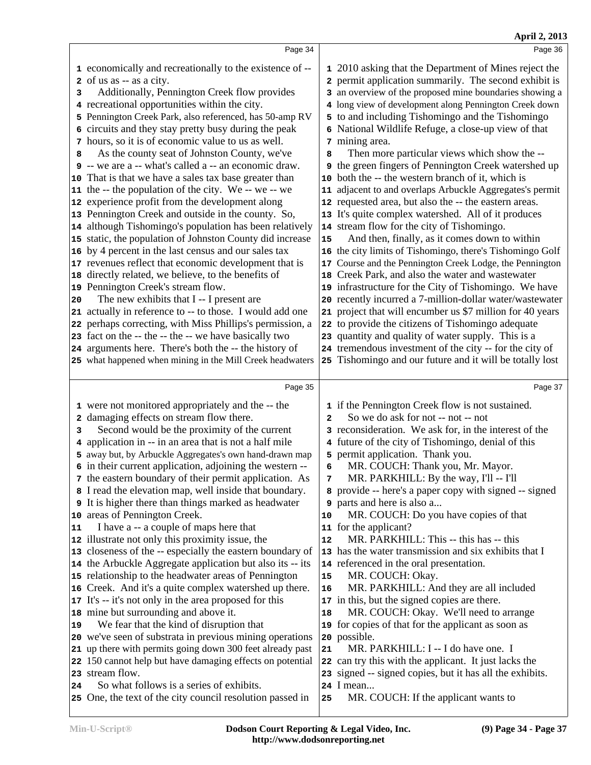|                                                                                                                                                                                                                                                                                                                                                                                                                                                                                                                                                                                                                                                                                                                                                                                                                                                                                                                                                                                                                                                                                                                                                                                                                                                                                                                                                                                                             | April 2, 2013                                                                                                                                                                                                                                                                                                                                                                                                                                                                                                                                                                                                                                                                                                                                                                                                                                                                                                                                                                                                                                                                                                                                                                                                                                                                                                                                                                                                                                |
|-------------------------------------------------------------------------------------------------------------------------------------------------------------------------------------------------------------------------------------------------------------------------------------------------------------------------------------------------------------------------------------------------------------------------------------------------------------------------------------------------------------------------------------------------------------------------------------------------------------------------------------------------------------------------------------------------------------------------------------------------------------------------------------------------------------------------------------------------------------------------------------------------------------------------------------------------------------------------------------------------------------------------------------------------------------------------------------------------------------------------------------------------------------------------------------------------------------------------------------------------------------------------------------------------------------------------------------------------------------------------------------------------------------|----------------------------------------------------------------------------------------------------------------------------------------------------------------------------------------------------------------------------------------------------------------------------------------------------------------------------------------------------------------------------------------------------------------------------------------------------------------------------------------------------------------------------------------------------------------------------------------------------------------------------------------------------------------------------------------------------------------------------------------------------------------------------------------------------------------------------------------------------------------------------------------------------------------------------------------------------------------------------------------------------------------------------------------------------------------------------------------------------------------------------------------------------------------------------------------------------------------------------------------------------------------------------------------------------------------------------------------------------------------------------------------------------------------------------------------------|
| Page 34                                                                                                                                                                                                                                                                                                                                                                                                                                                                                                                                                                                                                                                                                                                                                                                                                                                                                                                                                                                                                                                                                                                                                                                                                                                                                                                                                                                                     | Page 36                                                                                                                                                                                                                                                                                                                                                                                                                                                                                                                                                                                                                                                                                                                                                                                                                                                                                                                                                                                                                                                                                                                                                                                                                                                                                                                                                                                                                                      |
| 1 economically and recreationally to the existence of --<br>2 of us as -- as a city.<br>Additionally, Pennington Creek flow provides<br>3<br>4 recreational opportunities within the city.<br>5 Pennington Creek Park, also referenced, has 50-amp RV<br>6 circuits and they stay pretty busy during the peak<br>7 hours, so it is of economic value to us as well.<br>As the county seat of Johnston County, we've<br>8<br>9 -- we are a -- what's called a -- an economic draw.<br>10 That is that we have a sales tax base greater than<br>11 the -- the population of the city. We -- we -- we<br>12 experience profit from the development along<br>13 Pennington Creek and outside in the county. So,<br>14 although Tishomingo's population has been relatively<br>15 static, the population of Johnston County did increase<br>16 by 4 percent in the last census and our sales tax<br>17 revenues reflect that economic development that is<br>18 directly related, we believe, to the benefits of<br>19 Pennington Creek's stream flow.<br>The new exhibits that I -- I present are<br>20<br>21 actually in reference to -- to those. I would add one<br>22 perhaps correcting, with Miss Phillips's permission, a<br>23 fact on the -- the -- the -- we have basically two<br>24 arguments here. There's both the -- the history of<br>25 what happened when mining in the Mill Creek headwaters | 1 2010 asking that the Department of Mines reject the<br>2 permit application summarily. The second exhibit is<br>3 an overview of the proposed mine boundaries showing a<br>4 long view of development along Pennington Creek down<br>5 to and including Tishomingo and the Tishomingo<br>6 National Wildlife Refuge, a close-up view of that<br>7 mining area.<br>Then more particular views which show the --<br>8<br>9 the green fingers of Pennington Creek watershed up<br>both the -- the western branch of it, which is<br>10<br>adjacent to and overlaps Arbuckle Aggregates's permit<br>11<br>requested area, but also the -- the eastern areas.<br>12<br>It's quite complex watershed. All of it produces<br>13<br>14 stream flow for the city of Tishomingo.<br>And then, finally, as it comes down to within<br>15<br>16 the city limits of Tishomingo, there's Tishomingo Golf<br>17 Course and the Pennington Creek Lodge, the Pennington<br>Creek Park, and also the water and wastewater<br>18<br>19 infrastructure for the City of Tishomingo. We have<br>recently incurred a 7-million-dollar water/wastewater<br>20<br>project that will encumber us \$7 million for 40 years<br>21<br>to provide the citizens of Tishomingo adequate<br>22<br>23 quantity and quality of water supply. This is a<br>24 tremendous investment of the city -- for the city of<br>25 Tishomingo and our future and it will be totally lost |
| Page 35                                                                                                                                                                                                                                                                                                                                                                                                                                                                                                                                                                                                                                                                                                                                                                                                                                                                                                                                                                                                                                                                                                                                                                                                                                                                                                                                                                                                     | Page 37                                                                                                                                                                                                                                                                                                                                                                                                                                                                                                                                                                                                                                                                                                                                                                                                                                                                                                                                                                                                                                                                                                                                                                                                                                                                                                                                                                                                                                      |
| 1 were not monitored appropriately and the -- the<br>2 damaging effects on stream flow there.<br>Second would be the proximity of the current<br>3<br>4 application in -- in an area that is not a half mile<br>5 away but, by Arbuckle Aggregates's own hand-drawn map<br>6 in their current application, adjoining the western --<br>7 the eastern boundary of their permit application. As<br>8 I read the elevation map, well inside that boundary.<br><b>9</b> It is higher there than things marked as headwater<br>10 areas of Pennington Creek.<br>I have a -- a couple of maps here that<br>11<br>12 illustrate not only this proximity issue, the<br>13 closeness of the -- especially the eastern boundary of<br>14 the Arbuckle Aggregate application but also its -- its<br>15 relationship to the headwater areas of Pennington<br>16 Creek. And it's a quite complex watershed up there.<br>17 It's -- it's not only in the area proposed for this<br>18 mine but surrounding and above it.<br>We fear that the kind of disruption that<br>19<br>20 we've seen of substrata in previous mining operations<br>21 up there with permits going down 300 feet already past<br>22 150 cannot help but have damaging effects on potential<br>23 stream flow.<br>So what follows is a series of exhibits.<br>24<br>25 One, the text of the city council resolution passed in                        | 1 if the Pennington Creek flow is not sustained.<br>So we do ask for not -- not -- not<br>$\overline{a}$<br>3 reconsideration. We ask for, in the interest of the<br>4 future of the city of Tishomingo, denial of this<br>5 permit application. Thank you.<br>MR. COUCH: Thank you, Mr. Mayor.<br>6<br>MR. PARKHILL: By the way, I'll -- I'll<br>7<br>8 provide -- here's a paper copy with signed -- signed<br>parts and here is also a<br>9<br>MR. COUCH: Do you have copies of that<br>10<br>11 for the applicant?<br>MR. PARKHILL: This -- this has -- this<br>12<br>13 has the water transmission and six exhibits that I<br>14 referenced in the oral presentation.<br>MR. COUCH: Okay.<br>15<br>MR. PARKHILL: And they are all included<br>16<br>17 in this, but the signed copies are there.<br>MR. COUCH: Okay. We'll need to arrange<br>18<br>for copies of that for the applicant as soon as<br>19<br>possible.<br>20<br>MR. PARKHILL: I -- I do have one. I<br>21<br>22 can try this with the applicant. It just lacks the<br>23 signed -- signed copies, but it has all the exhibits.<br>24 I mean<br>MR. COUCH: If the applicant wants to<br>25                                                                                                                                                                                                                                                                               |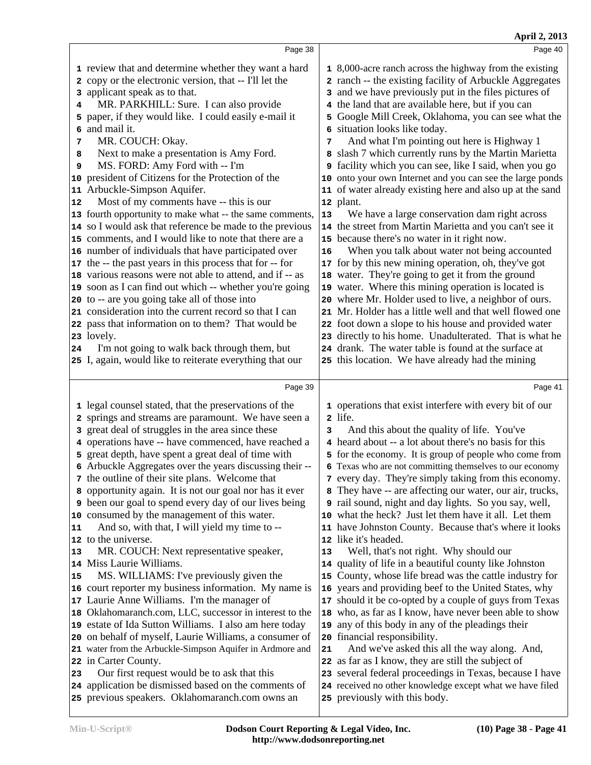| Page 38<br>1 review that and determine whether they want a hard<br>2 copy or the electronic version, that -- I'll let the<br>3 and we have previously put in the files pictures of<br>3 applicant speak as to that.<br>MR. PARKHILL: Sure. I can also provide<br>the land that are available here, but if you can<br>4<br>4<br>5 paper, if they would like. I could easily e-mail it<br>5<br>6 and mail it.<br>situation looks like today.<br>6<br>MR. COUCH: Okay.<br>7<br>7<br>Next to make a presentation is Amy Ford.<br>8<br>8<br>MS. FORD: Amy Ford with -- I'm<br>9<br>9<br>10 president of Citizens for the Protection of the<br>11 Arbuckle-Simpson Aquifer.<br>Most of my comments have -- this is our<br>12 plant.<br>12<br>13 fourth opportunity to make what -- the same comments,<br>13<br>14 so I would ask that reference be made to the previous<br>15 comments, and I would like to note that there are a<br>15 because there's no water in it right now.<br>16 number of individuals that have participated over<br>16<br>17 the -- the past years in this process that for -- for<br>17 for by this new mining operation, oh, they've got<br>18 water. They're going to get it from the ground<br>18 various reasons were not able to attend, and if -- as<br>19 soon as I can find out which -- whether you're going<br>19 water. Where this mining operation is located is<br>20 to -- are you going take all of those into<br>21 consideration into the current record so that I can<br>22 pass that information on to them? That would be<br>23 lovely.<br>I'm not going to walk back through them, but<br>24 drank. The water table is found at the surface at<br>24<br>25 I, again, would like to reiterate everything that our<br>25 this location. We have already had the mining<br>Page 39<br>1 legal counsel stated, that the preservations of the<br>2 springs and streams are paramount. We have seen a<br>2 life.<br>3 great deal of struggles in the area since these<br>3<br>4 operations have -- have commenced, have reached a<br>5 great depth, have spent a great deal of time with<br>6 Arbuckle Aggregates over the years discussing their --<br>7 the outline of their site plans. Welcome that<br>8 opportunity again. It is not our goal nor has it ever<br><b>9</b> been our goal to spend every day of our lives being<br>10 consumed by the management of this water.<br>And so, with that, I will yield my time to --<br>11<br>11 | Page 40<br>1 8,000-acre ranch across the highway from the existing<br>2 ranch -- the existing facility of Arbuckle Aggregates                                                                                                                                                                                                                                                                                                                                                                                                                                                                                                                                                                                                                  |
|------------------------------------------------------------------------------------------------------------------------------------------------------------------------------------------------------------------------------------------------------------------------------------------------------------------------------------------------------------------------------------------------------------------------------------------------------------------------------------------------------------------------------------------------------------------------------------------------------------------------------------------------------------------------------------------------------------------------------------------------------------------------------------------------------------------------------------------------------------------------------------------------------------------------------------------------------------------------------------------------------------------------------------------------------------------------------------------------------------------------------------------------------------------------------------------------------------------------------------------------------------------------------------------------------------------------------------------------------------------------------------------------------------------------------------------------------------------------------------------------------------------------------------------------------------------------------------------------------------------------------------------------------------------------------------------------------------------------------------------------------------------------------------------------------------------------------------------------------------------------------------------------------------------------------------------------------------------------------------------------------------------------------------------------------------------------------------------------------------------------------------------------------------------------------------------------------------------------------------------------------------------------------------------------------------------------------------------------------------------------------------------------------------------------------------------------------------------------------------|------------------------------------------------------------------------------------------------------------------------------------------------------------------------------------------------------------------------------------------------------------------------------------------------------------------------------------------------------------------------------------------------------------------------------------------------------------------------------------------------------------------------------------------------------------------------------------------------------------------------------------------------------------------------------------------------------------------------------------------------|
|                                                                                                                                                                                                                                                                                                                                                                                                                                                                                                                                                                                                                                                                                                                                                                                                                                                                                                                                                                                                                                                                                                                                                                                                                                                                                                                                                                                                                                                                                                                                                                                                                                                                                                                                                                                                                                                                                                                                                                                                                                                                                                                                                                                                                                                                                                                                                                                                                                                                                    |                                                                                                                                                                                                                                                                                                                                                                                                                                                                                                                                                                                                                                                                                                                                                |
|                                                                                                                                                                                                                                                                                                                                                                                                                                                                                                                                                                                                                                                                                                                                                                                                                                                                                                                                                                                                                                                                                                                                                                                                                                                                                                                                                                                                                                                                                                                                                                                                                                                                                                                                                                                                                                                                                                                                                                                                                                                                                                                                                                                                                                                                                                                                                                                                                                                                                    | Google Mill Creek, Oklahoma, you can see what the<br>And what I'm pointing out here is Highway 1<br>slash 7 which currently runs by the Martin Marietta<br>facility which you can see, like I said, when you go<br>10 onto your own Internet and you can see the large ponds<br>11 of water already existing here and also up at the sand<br>We have a large conservation dam right across<br>14 the street from Martin Marietta and you can't see it<br>When you talk about water not being accounted<br>20 where Mr. Holder used to live, a neighbor of ours.<br>21 Mr. Holder has a little well and that well flowed one<br>22 foot down a slope to his house and provided water<br>23 directly to his home. Unadulterated. That is what he |
|                                                                                                                                                                                                                                                                                                                                                                                                                                                                                                                                                                                                                                                                                                                                                                                                                                                                                                                                                                                                                                                                                                                                                                                                                                                                                                                                                                                                                                                                                                                                                                                                                                                                                                                                                                                                                                                                                                                                                                                                                                                                                                                                                                                                                                                                                                                                                                                                                                                                                    |                                                                                                                                                                                                                                                                                                                                                                                                                                                                                                                                                                                                                                                                                                                                                |
|                                                                                                                                                                                                                                                                                                                                                                                                                                                                                                                                                                                                                                                                                                                                                                                                                                                                                                                                                                                                                                                                                                                                                                                                                                                                                                                                                                                                                                                                                                                                                                                                                                                                                                                                                                                                                                                                                                                                                                                                                                                                                                                                                                                                                                                                                                                                                                                                                                                                                    | Page 41                                                                                                                                                                                                                                                                                                                                                                                                                                                                                                                                                                                                                                                                                                                                        |
| 12 to the universe.<br>12 like it's headed.<br>MR. COUCH: Next representative speaker,<br>Well, that's not right. Why should our<br>13<br>13<br>14 Miss Laurie Williams.<br>14 quality of life in a beautiful county like Johnston<br>MS. WILLIAMS: I've previously given the<br>15<br>16 court reporter my business information. My name is<br>17 Laurie Anne Williams. I'm the manager of<br>18 Oklahomaranch.com, LLC, successor in interest to the<br>19 estate of Ida Sutton Williams. I also am here today<br>19 any of this body in any of the pleadings their<br>20 on behalf of myself, Laurie Williams, a consumer of<br>20 financial responsibility.<br>21 water from the Arbuckle-Simpson Aquifer in Ardmore and<br>21<br>22 as far as I know, they are still the subject of<br>22 in Carter County.<br>Our first request would be to ask that this<br>23 several federal proceedings in Texas, because I have<br>23                                                                                                                                                                                                                                                                                                                                                                                                                                                                                                                                                                                                                                                                                                                                                                                                                                                                                                                                                                                                                                                                                                                                                                                                                                                                                                                                                                                                                                                                                                                                                   | 1 operations that exist interfere with every bit of our<br>And this about the quality of life. You've<br>4 heard about -- a lot about there's no basis for this<br>5 for the economy. It is group of people who come from<br>6 Texas who are not committing themselves to our economy<br>7 every day. They're simply taking from this economy.<br>8 They have -- are affecting our water, our air, trucks,<br><b>9</b> rail sound, night and day lights. So you say, well,<br>10 what the heck? Just let them have it all. Let them<br>have Johnston County. Because that's where it looks                                                                                                                                                     |
|                                                                                                                                                                                                                                                                                                                                                                                                                                                                                                                                                                                                                                                                                                                                                                                                                                                                                                                                                                                                                                                                                                                                                                                                                                                                                                                                                                                                                                                                                                                                                                                                                                                                                                                                                                                                                                                                                                                                                                                                                                                                                                                                                                                                                                                                                                                                                                                                                                                                                    | 15 County, whose life bread was the cattle industry for<br>16 years and providing beef to the United States, why<br>17 should it be co-opted by a couple of guys from Texas<br>18 who, as far as I know, have never been able to show<br>And we've asked this all the way along. And,                                                                                                                                                                                                                                                                                                                                                                                                                                                          |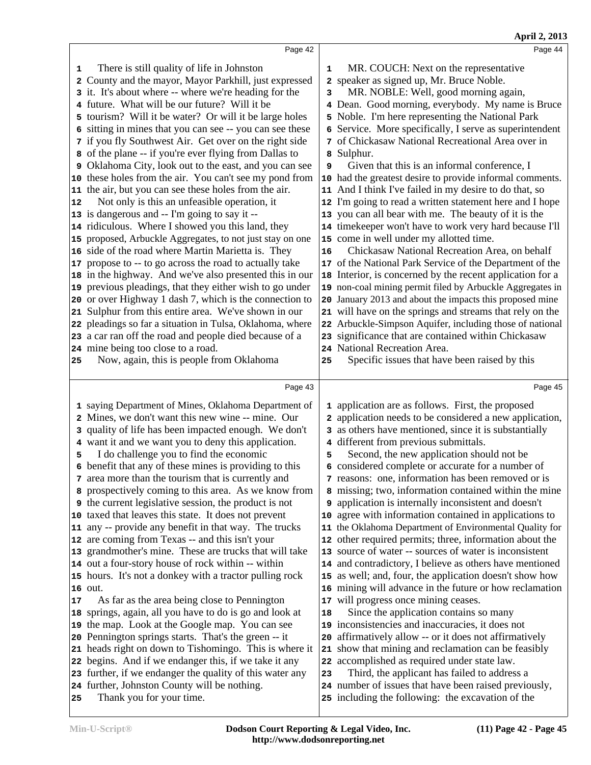|    |                                                                                                              |    | April 2, 2013                                                                                               |
|----|--------------------------------------------------------------------------------------------------------------|----|-------------------------------------------------------------------------------------------------------------|
|    | Page 42                                                                                                      |    | Page 44                                                                                                     |
| 1  | There is still quality of life in Johnston                                                                   | 1  | MR. COUCH: Next on the representative                                                                       |
|    | 2 County and the mayor, Mayor Parkhill, just expressed                                                       |    | 2 speaker as signed up, Mr. Bruce Noble.                                                                    |
|    | 3 it. It's about where -- where we're heading for the                                                        | 3  | MR. NOBLE: Well, good morning again,                                                                        |
|    | 4 future. What will be our future? Will it be                                                                |    | 4 Dean. Good morning, everybody. My name is Bruce                                                           |
|    | 5 tourism? Will it be water? Or will it be large holes                                                       | 5  | Noble. I'm here representing the National Park                                                              |
|    | 6 sitting in mines that you can see -- you can see these                                                     |    | 6 Service. More specifically, I serve as superintendent                                                     |
|    | 7 if you fly Southwest Air. Get over on the right side                                                       |    | 7 of Chickasaw National Recreational Area over in                                                           |
|    | 8 of the plane -- if you're ever flying from Dallas to                                                       |    | 8 Sulphur.                                                                                                  |
|    | 9 Oklahoma City, look out to the east, and you can see                                                       | 9  | Given that this is an informal conference, I                                                                |
|    | 10 these holes from the air. You can't see my pond from                                                      |    | 10 had the greatest desire to provide informal comments.                                                    |
|    | 11 the air, but you can see these holes from the air.                                                        |    | 11 And I think I've failed in my desire to do that, so                                                      |
| 12 | Not only is this an unfeasible operation, it                                                                 |    | 12 I'm going to read a written statement here and I hope                                                    |
|    | 13 is dangerous and -- I'm going to say it --                                                                |    | 13 you can all bear with me. The beauty of it is the                                                        |
|    | 14 ridiculous. Where I showed you this land, they                                                            |    | 14 timekeeper won't have to work very hard because I'll                                                     |
|    | 15 proposed, Arbuckle Aggregates, to not just stay on one                                                    |    | 15 come in well under my allotted time.                                                                     |
|    | 16 side of the road where Martin Marietta is. They                                                           | 16 | Chickasaw National Recreation Area, on behalf                                                               |
|    | 17 propose to -- to go across the road to actually take                                                      |    | 17 of the National Park Service of the Department of the                                                    |
|    | 18 in the highway. And we've also presented this in our                                                      |    | 18 Interior, is concerned by the recent application for a                                                   |
|    | 19 previous pleadings, that they either wish to go under                                                     |    | 19 non-coal mining permit filed by Arbuckle Aggregates in                                                   |
|    | 20 or over Highway 1 dash 7, which is the connection to                                                      | 20 | January 2013 and about the impacts this proposed mine                                                       |
|    | 21 Sulphur from this entire area. We've shown in our                                                         |    | 21 will have on the springs and streams that rely on the                                                    |
|    | 22 pleadings so far a situation in Tulsa, Oklahoma, where                                                    | 22 | Arbuckle-Simpson Aquifer, including those of national                                                       |
|    | 23 a car ran off the road and people died because of a                                                       |    | 23 significance that are contained within Chickasaw                                                         |
|    | 24 mine being too close to a road.                                                                           |    | 24 National Recreation Area.                                                                                |
| 25 | Now, again, this is people from Oklahoma                                                                     | 25 | Specific issues that have been raised by this                                                               |
|    |                                                                                                              |    |                                                                                                             |
|    | Page 43                                                                                                      |    | Page 45                                                                                                     |
|    | 1 saying Department of Mines, Oklahoma Department of                                                         |    | 1 application are as follows. First, the proposed                                                           |
|    | 2 Mines, we don't want this new wine -- mine. Our                                                            |    | 2 application needs to be considered a new application,                                                     |
|    |                                                                                                              |    |                                                                                                             |
|    |                                                                                                              |    |                                                                                                             |
|    | 3 quality of life has been impacted enough. We don't                                                         |    | 3 as others have mentioned, since it is substantially                                                       |
| 5  | 4 want it and we want you to deny this application.<br>I do challenge you to find the economic               | 5  | 4 different from previous submittals.                                                                       |
|    |                                                                                                              |    | Second, the new application should not be                                                                   |
|    | 6 benefit that any of these mines is providing to this<br>7 area more than the tourism that is currently and |    | 6 considered complete or accurate for a number of                                                           |
|    | 8 prospectively coming to this area. As we know from                                                         |    | 7 reasons: one, information has been removed or is<br>8 missing; two, information contained within the mine |
|    | <b>9</b> the current legislative session, the product is not                                                 |    | <b>9</b> application is internally inconsistent and doesn't                                                 |
|    | 10 taxed that leaves this state. It does not prevent                                                         | 10 | agree with information contained in applications to                                                         |
|    | 11 any -- provide any benefit in that way. The trucks                                                        |    | 11 the Oklahoma Department of Environmental Quality for                                                     |
|    | 12 are coming from Texas -- and this isn't your                                                              |    | 12 other required permits; three, information about the                                                     |
|    | 13 grandmother's mine. These are trucks that will take                                                       |    | 13 source of water -- sources of water is inconsistent                                                      |
|    | 14 out a four-story house of rock within -- within                                                           |    | 14 and contradictory, I believe as others have mentioned                                                    |
|    | 15 hours. It's not a donkey with a tractor pulling rock                                                      |    | 15 as well; and, four, the application doesn't show how                                                     |
|    | 16 out.                                                                                                      |    | 16 mining will advance in the future or how reclamation                                                     |
| 17 | As far as the area being close to Pennington                                                                 | 17 | will progress once mining ceases.                                                                           |
|    | 18 springs, again, all you have to do is go and look at                                                      | 18 | Since the application contains so many                                                                      |
|    | 19 the map. Look at the Google map. You can see                                                              | 19 | inconsistencies and inaccuracies, it does not                                                               |
|    | 20 Pennington springs starts. That's the green -- it                                                         | 20 | affirmatively allow -- or it does not affirmatively                                                         |
|    | 21 heads right on down to Tishomingo. This is where it                                                       | 21 | show that mining and reclamation can be feasibly                                                            |
|    | 22 begins. And if we endanger this, if we take it any                                                        |    | 22 accomplished as required under state law.                                                                |
|    | 23 further, if we endanger the quality of this water any                                                     | 23 | Third, the applicant has failed to address a                                                                |
|    | 24 further, Johnston County will be nothing.                                                                 |    | 24 number of issues that have been raised previously,                                                       |
| 25 | Thank you for your time.                                                                                     |    | 25 including the following: the excavation of the                                                           |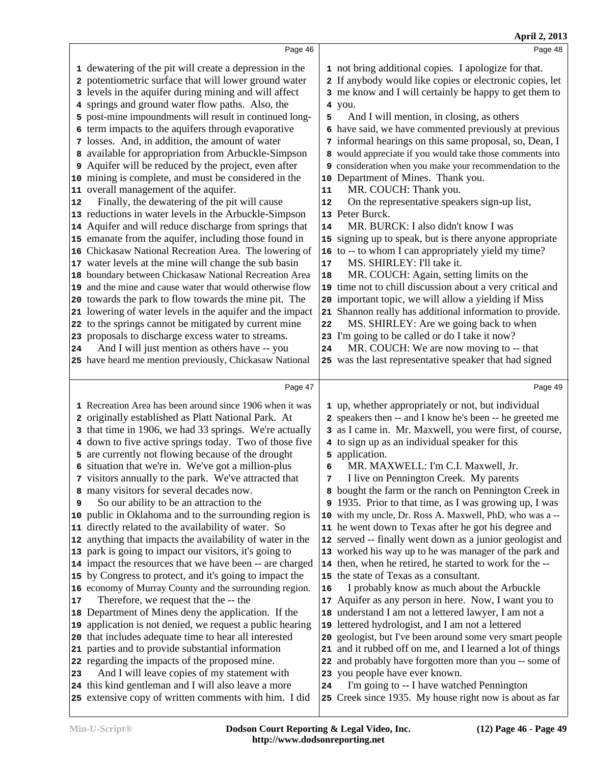|               |                                                                                                                                                                                                                                                                                                                                                                                                                                                                                                                                                                                                                                                                                                                                                                                                                                                                                                                                                                                                                                                                                                                                                                                                                                                                                                                                                                              |                                                               | April 2, 2013                                                                                                                                                                                                                                                                                                                                                                                                                                                                                                                                                                                                                                                                                                                                                                                                                                                                                                                                                                                                                                                                                                                                                   |
|---------------|------------------------------------------------------------------------------------------------------------------------------------------------------------------------------------------------------------------------------------------------------------------------------------------------------------------------------------------------------------------------------------------------------------------------------------------------------------------------------------------------------------------------------------------------------------------------------------------------------------------------------------------------------------------------------------------------------------------------------------------------------------------------------------------------------------------------------------------------------------------------------------------------------------------------------------------------------------------------------------------------------------------------------------------------------------------------------------------------------------------------------------------------------------------------------------------------------------------------------------------------------------------------------------------------------------------------------------------------------------------------------|---------------------------------------------------------------|-----------------------------------------------------------------------------------------------------------------------------------------------------------------------------------------------------------------------------------------------------------------------------------------------------------------------------------------------------------------------------------------------------------------------------------------------------------------------------------------------------------------------------------------------------------------------------------------------------------------------------------------------------------------------------------------------------------------------------------------------------------------------------------------------------------------------------------------------------------------------------------------------------------------------------------------------------------------------------------------------------------------------------------------------------------------------------------------------------------------------------------------------------------------|
|               | Page 46                                                                                                                                                                                                                                                                                                                                                                                                                                                                                                                                                                                                                                                                                                                                                                                                                                                                                                                                                                                                                                                                                                                                                                                                                                                                                                                                                                      |                                                               | Page 48                                                                                                                                                                                                                                                                                                                                                                                                                                                                                                                                                                                                                                                                                                                                                                                                                                                                                                                                                                                                                                                                                                                                                         |
| 2<br>12<br>24 | 1 dewatering of the pit will create a depression in the<br>potentiometric surface that will lower ground water<br>3 levels in the aquifer during mining and will affect<br>4 springs and ground water flow paths. Also, the<br>5 post-mine impoundments will result in continued long-<br>6 term impacts to the aquifers through evaporative<br>7 losses. And, in addition, the amount of water<br>8 available for appropriation from Arbuckle-Simpson<br>9 Aquifer will be reduced by the project, even after<br>10 mining is complete, and must be considered in the<br>11 overall management of the aquifer.<br>Finally, the dewatering of the pit will cause<br>13 reductions in water levels in the Arbuckle-Simpson<br>14 Aquifer and will reduce discharge from springs that<br>15 emanate from the aquifer, including those found in<br>16 Chickasaw National Recreation Area. The lowering of<br>17 water levels at the mine will change the sub basin<br>18 boundary between Chickasaw National Recreation Area<br>19 and the mine and cause water that would otherwise flow<br>20 towards the park to flow towards the mine pit. The<br>21 lowering of water levels in the aquifer and the impact<br>22 to the springs cannot be mitigated by current mine<br>23 proposals to discharge excess water to streams.<br>And I will just mention as others have -- you | 5<br>10<br>11<br>12<br>14<br>17<br>18<br>20<br>21<br>22<br>24 | 1 not bring additional copies. I apologize for that.<br>2 If anybody would like copies or electronic copies, let<br>3 me know and I will certainly be happy to get them to<br>4 you.<br>And I will mention, in closing, as others<br>6 have said, we have commented previously at previous<br>7 informal hearings on this same proposal, so, Dean, I<br>8 would appreciate if you would take those comments into<br>9 consideration when you make your recommendation to the<br>Department of Mines. Thank you.<br>MR. COUCH: Thank you.<br>On the representative speakers sign-up list,<br>13 Peter Burck.<br>MR. BURCK: I also didn't know I was<br>15 signing up to speak, but is there anyone appropriate<br>16 to -- to whom I can appropriately yield my time?<br>MS. SHIRLEY: I'll take it.<br>MR. COUCH: Again, setting limits on the<br>19 time not to chill discussion about a very critical and<br>important topic, we will allow a yielding if Miss<br>Shannon really has additional information to provide.<br>MS. SHIRLEY: Are we going back to when<br>23 I'm going to be called or do I take it now?<br>MR. COUCH: We are now moving to -- that |
|               | 25 have heard me mention previously, Chickasaw National                                                                                                                                                                                                                                                                                                                                                                                                                                                                                                                                                                                                                                                                                                                                                                                                                                                                                                                                                                                                                                                                                                                                                                                                                                                                                                                      |                                                               | 25 was the last representative speaker that had signed                                                                                                                                                                                                                                                                                                                                                                                                                                                                                                                                                                                                                                                                                                                                                                                                                                                                                                                                                                                                                                                                                                          |
|               | Page 47                                                                                                                                                                                                                                                                                                                                                                                                                                                                                                                                                                                                                                                                                                                                                                                                                                                                                                                                                                                                                                                                                                                                                                                                                                                                                                                                                                      |                                                               | Page 49                                                                                                                                                                                                                                                                                                                                                                                                                                                                                                                                                                                                                                                                                                                                                                                                                                                                                                                                                                                                                                                                                                                                                         |
| 9<br>17       | 1 Recreation Area has been around since 1906 when it was<br>2 originally established as Platt National Park. At<br>3 that time in 1906, we had 33 springs. We're actually<br>4 down to five active springs today. Two of those five<br>5 are currently not flowing because of the drought<br>6 situation that we're in. We've got a million-plus<br>7 visitors annually to the park. We've attracted that<br>8 many visitors for several decades now.<br>So our ability to be an attraction to the<br>10 public in Oklahoma and to the surrounding region is<br>11 directly related to the availability of water. So<br>12 anything that impacts the availability of water in the<br>13 park is going to impact our visitors, it's going to<br>14 impact the resources that we have been -- are charged<br>15 by Congress to protect, and it's going to impact the<br>16 economy of Murray County and the surrounding region.<br>Therefore, we request that the -- the<br>18 Department of Mines deny the application. If the<br>19 application is not denied, we request a public hearing<br>20 that includes adequate time to hear all interested                                                                                                                                                                                                                          | 6<br>7<br>16<br>19                                            | 1 up, whether appropriately or not, but individual<br>2 speakers then -- and I know he's been -- he greeted me<br>3 as I came in. Mr. Maxwell, you were first, of course,<br>4 to sign up as an individual speaker for this<br>5 application.<br>MR. MAXWELL: I'm C.I. Maxwell, Jr.<br>I live on Pennington Creek. My parents<br>8 bought the farm or the ranch on Pennington Creek in<br>9 1935. Prior to that time, as I was growing up, I was<br>10 with my uncle, Dr. Ross A. Maxwell, PhD, who was a --<br>11 he went down to Texas after he got his degree and<br>12 served -- finally went down as a junior geologist and<br>13 worked his way up to he was manager of the park and<br>14 then, when he retired, he started to work for the --<br>15 the state of Texas as a consultant.<br>I probably know as much about the Arbuckle<br>17 Aquifer as any person in here. Now, I want you to<br>18 understand I am not a lettered lawyer, I am not a<br>lettered hydrologist, and I am not a lettered<br>20 geologist, but I've been around some very smart people                                                                                     |
| 23            | 21 parties and to provide substantial information<br>22 regarding the impacts of the proposed mine.<br>And I will leave copies of my statement with<br>24 this kind gentleman and I will also leave a more<br>25 extensive copy of written comments with him. I did                                                                                                                                                                                                                                                                                                                                                                                                                                                                                                                                                                                                                                                                                                                                                                                                                                                                                                                                                                                                                                                                                                          | 24                                                            | 21 and it rubbed off on me, and I learned a lot of things<br>22 and probably have forgotten more than you -- some of<br>23 you people have ever known.<br>I'm going to -- I have watched Pennington<br>25 Creek since 1935. My house right now is about as far                                                                                                                                                                                                                                                                                                                                                                                                                                                                                                                                                                                                                                                                                                                                                                                                                                                                                                  |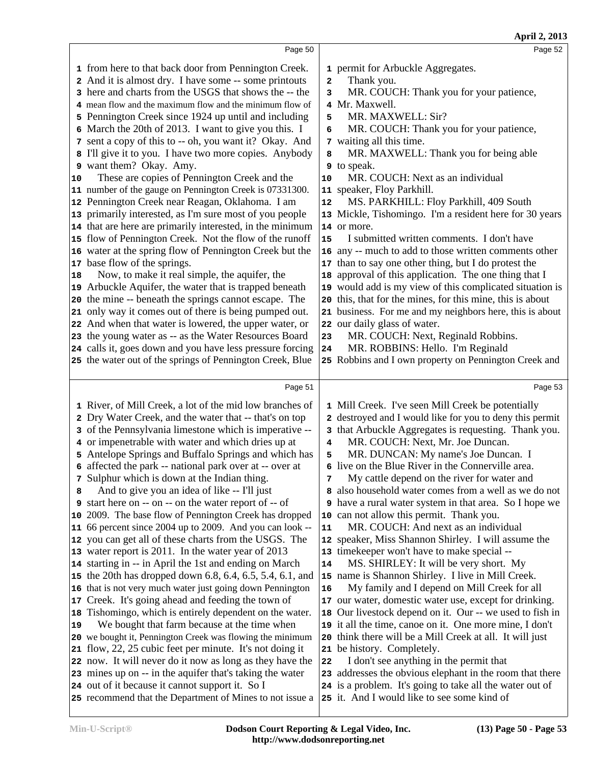|          | Page 50                                                                                                                                                                                                                                                                                                                                                                                                                                                                                                                                                                                                                                                                                                                                                                                                                                                                                                                                                                                                                                                                                                                                                                                                                                                                                                                                                                                                                  |                                                                                          | Page 52                                                                                                                                                                                                                                                                                                                                                                                                                                                                                                                                                                                                                                                                                                                                                                                                                                                                                                                                                                                                                              |
|----------|--------------------------------------------------------------------------------------------------------------------------------------------------------------------------------------------------------------------------------------------------------------------------------------------------------------------------------------------------------------------------------------------------------------------------------------------------------------------------------------------------------------------------------------------------------------------------------------------------------------------------------------------------------------------------------------------------------------------------------------------------------------------------------------------------------------------------------------------------------------------------------------------------------------------------------------------------------------------------------------------------------------------------------------------------------------------------------------------------------------------------------------------------------------------------------------------------------------------------------------------------------------------------------------------------------------------------------------------------------------------------------------------------------------------------|------------------------------------------------------------------------------------------|--------------------------------------------------------------------------------------------------------------------------------------------------------------------------------------------------------------------------------------------------------------------------------------------------------------------------------------------------------------------------------------------------------------------------------------------------------------------------------------------------------------------------------------------------------------------------------------------------------------------------------------------------------------------------------------------------------------------------------------------------------------------------------------------------------------------------------------------------------------------------------------------------------------------------------------------------------------------------------------------------------------------------------------|
| 10<br>18 | 1 from here to that back door from Pennington Creek.<br>2 And it is almost dry. I have some -- some printouts<br>3 here and charts from the USGS that shows the -- the<br>4 mean flow and the maximum flow and the minimum flow of<br>5 Pennington Creek since 1924 up until and including<br>6 March the 20th of 2013. I want to give you this. I<br>7 sent a copy of this to -- oh, you want it? Okay. And<br>8 I'll give it to you. I have two more copies. Anybody<br>9 want them? Okay. Amy.<br>These are copies of Pennington Creek and the<br>11 number of the gauge on Pennington Creek is 07331300.<br>12 Pennington Creek near Reagan, Oklahoma. I am<br>13 primarily interested, as I'm sure most of you people<br>14 that are here are primarily interested, in the minimum<br>15 flow of Pennington Creek. Not the flow of the runoff<br>16 water at the spring flow of Pennington Creek but the<br>17 base flow of the springs.<br>Now, to make it real simple, the aquifer, the<br>19 Arbuckle Aquifer, the water that is trapped beneath<br>20 the mine -- beneath the springs cannot escape. The<br>21 only way it comes out of there is being pumped out.<br>22 And when that water is lowered, the upper water, or<br>23 the young water as -- as the Water Resources Board<br>24 calls it, goes down and you have less pressure forcing<br>25 the water out of the springs of Pennington Creek, Blue | $\mathbf{2}$<br>3<br>5<br>6<br>8<br>10<br>${\bf 12}$<br>15<br>17<br>18<br>20<br>23<br>24 | 1 permit for Arbuckle Aggregates.<br>Thank you.<br>MR. COUCH: Thank you for your patience,<br>4 Mr. Maxwell.<br>MR. MAXWELL: Sir?<br>MR. COUCH: Thank you for your patience,<br>7 waiting all this time.<br>MR. MAXWELL: Thank you for being able<br><b>9</b> to speak.<br>MR. COUCH: Next as an individual<br>11 speaker, Floy Parkhill.<br>MS. PARKHILL: Floy Parkhill, 409 South<br>13 Mickle, Tishomingo. I'm a resident here for 30 years<br>14 or more.<br>I submitted written comments. I don't have<br>16 any -- much to add to those written comments other<br>than to say one other thing, but I do protest the<br>approval of this application. The one thing that I<br>19 would add is my view of this complicated situation is<br>this, that for the mines, for this mine, this is about<br>21 business. For me and my neighbors here, this is about<br>22 our daily glass of water.<br>MR. COUCH: Next, Reginald Robbins.<br>MR. ROBBINS: Hello. I'm Reginald<br>25 Robbins and I own property on Pennington Creek and |
|          | Page 51                                                                                                                                                                                                                                                                                                                                                                                                                                                                                                                                                                                                                                                                                                                                                                                                                                                                                                                                                                                                                                                                                                                                                                                                                                                                                                                                                                                                                  |                                                                                          | Page 53                                                                                                                                                                                                                                                                                                                                                                                                                                                                                                                                                                                                                                                                                                                                                                                                                                                                                                                                                                                                                              |
|          | 1 River, of Mill Creek, a lot of the mid low branches of<br>2 Dry Water Creek, and the water that -- that's on top<br>3 of the Pennsylvania limestone which is imperative --<br>4 or impenetrable with water and which dries up at<br>5 Antelope Springs and Buffalo Springs and which has<br>6 affected the park -- national park over at -- over at                                                                                                                                                                                                                                                                                                                                                                                                                                                                                                                                                                                                                                                                                                                                                                                                                                                                                                                                                                                                                                                                    | 4<br>5                                                                                   | 1 Mill Creek. I've seen Mill Creek be potentially<br>2 destroyed and I would like for you to deny this permit<br>3 that Arbuckle Aggregates is requesting. Thank you.<br>MR. COUCH: Next, Mr. Joe Duncan.<br>MR. DUNCAN: My name's Joe Duncan. I                                                                                                                                                                                                                                                                                                                                                                                                                                                                                                                                                                                                                                                                                                                                                                                     |
| 8<br>19  | 7 Sulphur which is down at the Indian thing.<br>And to give you an idea of like -- I'll just<br><b>9</b> start here on -- on -- on the water report of -- of<br>10 2009. The base flow of Pennington Creek has dropped<br>11 66 percent since 2004 up to 2009. And you can look --<br>12 you can get all of these charts from the USGS. The<br>13 water report is 2011. In the water year of 2013<br>14 starting in -- in April the 1st and ending on March<br>15 the 20th has dropped down 6.8, 6.4, 6.5, 5.4, 6.1, and<br>16 that is not very much water just going down Pennington<br>17 Creek. It's going ahead and feeding the town of<br>18 Tishomingo, which is entirely dependent on the water.<br>We bought that farm because at the time when<br>20 we bought it, Pennington Creek was flowing the minimum<br>21 flow, 22, 25 cubic feet per minute. It's not doing it<br>22 now. It will never do it now as long as they have the                                                                                                                                                                                                                                                                                                                                                                                                                                                                             | 11<br>14<br>16<br>18<br>22                                                               | 6 live on the Blue River in the Connerville area.<br>My cattle depend on the river for water and<br>8 also household water comes from a well as we do not<br><b>9</b> have a rural water system in that area. So I hope we<br>10 can not allow this permit. Thank you.<br>MR. COUCH: And next as an individual<br>12 speaker, Miss Shannon Shirley. I will assume the<br>13 timekeeper won't have to make special --<br>MS. SHIRLEY: It will be very short. My<br>15 name is Shannon Shirley. I live in Mill Creek.<br>My family and I depend on Mill Creek for all<br>17 our water, domestic water use, except for drinking.<br>Our livestock depend on it. Our -- we used to fish in<br>19 it all the time, canoe on it. One more mine, I don't<br>20 think there will be a Mill Creek at all. It will just<br>21 be history. Completely.<br>I don't see anything in the permit that                                                                                                                                               |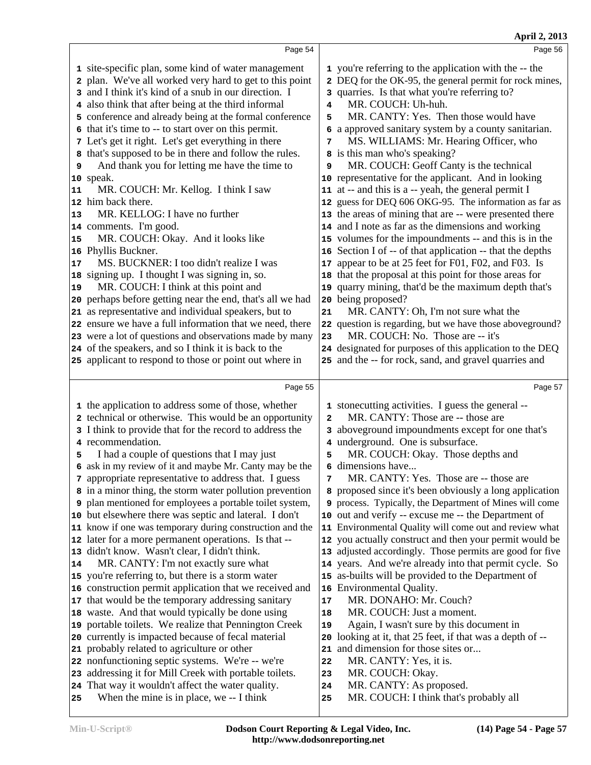|                                           |                                                                                                                                                                                                                                                                                                                                                                                                                                                                                                                                                                                                                                                                                                                                                                                                                                                                                                                                                                                                                                                                                                                                                                                                                                                                                                                                                                                |                                                                                   | April 2, 2013                                                                                                                                                                                                                                                                                                                                                                                                                                                                                                                                                                                                                                                                                                                                                                                                                                                                                                                                                                                                                                                                                                                                                                                                                       |
|-------------------------------------------|--------------------------------------------------------------------------------------------------------------------------------------------------------------------------------------------------------------------------------------------------------------------------------------------------------------------------------------------------------------------------------------------------------------------------------------------------------------------------------------------------------------------------------------------------------------------------------------------------------------------------------------------------------------------------------------------------------------------------------------------------------------------------------------------------------------------------------------------------------------------------------------------------------------------------------------------------------------------------------------------------------------------------------------------------------------------------------------------------------------------------------------------------------------------------------------------------------------------------------------------------------------------------------------------------------------------------------------------------------------------------------|-----------------------------------------------------------------------------------|-------------------------------------------------------------------------------------------------------------------------------------------------------------------------------------------------------------------------------------------------------------------------------------------------------------------------------------------------------------------------------------------------------------------------------------------------------------------------------------------------------------------------------------------------------------------------------------------------------------------------------------------------------------------------------------------------------------------------------------------------------------------------------------------------------------------------------------------------------------------------------------------------------------------------------------------------------------------------------------------------------------------------------------------------------------------------------------------------------------------------------------------------------------------------------------------------------------------------------------|
|                                           | Page 54                                                                                                                                                                                                                                                                                                                                                                                                                                                                                                                                                                                                                                                                                                                                                                                                                                                                                                                                                                                                                                                                                                                                                                                                                                                                                                                                                                        |                                                                                   | Page 56                                                                                                                                                                                                                                                                                                                                                                                                                                                                                                                                                                                                                                                                                                                                                                                                                                                                                                                                                                                                                                                                                                                                                                                                                             |
| 9<br>11<br>$ 13\rangle$<br>15<br>17<br>19 | 1 site-specific plan, some kind of water management<br>2 plan. We've all worked very hard to get to this point<br>3 and I think it's kind of a snub in our direction. I<br>4 also think that after being at the third informal<br>5 conference and already being at the formal conference<br>6 that it's time to -- to start over on this permit.<br>7 Let's get it right. Let's get everything in there<br>8 that's supposed to be in there and follow the rules.<br>And thank you for letting me have the time to<br>10 speak.<br>MR. COUCH: Mr. Kellog. I think I saw<br>12 him back there.<br>MR. KELLOG: I have no further<br>14 comments. I'm good.<br>MR. COUCH: Okay. And it looks like<br>16 Phyllis Buckner.<br>MS. BUCKNER: I too didn't realize I was<br>18 signing up. I thought I was signing in, so.<br>MR. COUCH: I think at this point and<br>20 perhaps before getting near the end, that's all we had<br>21 as representative and individual speakers, but to<br>22 ensure we have a full information that we need, there<br>23 were a lot of questions and observations made by many<br>24 of the speakers, and so I think it is back to the                                                                                                                                                                                                               | 4<br>5<br>7<br>9<br>21<br>23                                                      | 1 you're referring to the application with the -- the<br>2 DEQ for the OK-95, the general permit for rock mines,<br>3 quarries. Is that what you're referring to?<br>MR. COUCH: Uh-huh.<br>MR. CANTY: Yes. Then those would have<br>6 a approved sanitary system by a county sanitarian.<br>MS. WILLIAMS: Mr. Hearing Officer, who<br>8 is this man who's speaking?<br>MR. COUCH: Geoff Canty is the technical<br>10 representative for the applicant. And in looking<br>11 at -- and this is a -- yeah, the general permit I<br>12 guess for DEQ 606 OKG-95. The information as far as<br>13 the areas of mining that are -- were presented there<br>14 and I note as far as the dimensions and working<br>15 volumes for the impoundments -- and this is in the<br>16 Section I of -- of that application -- that the depths<br>17 appear to be at 25 feet for F01, F02, and F03. Is<br>18 that the proposal at this point for those areas for<br>19 quarry mining, that'd be the maximum depth that's<br>20 being proposed?<br>MR. CANTY: Oh, I'm not sure what the<br>22 question is regarding, but we have those aboveground?<br>MR. COUCH: No. Those are -- it's<br>24 designated for purposes of this application to the DEQ |
|                                           | 25 applicant to respond to those or point out where in                                                                                                                                                                                                                                                                                                                                                                                                                                                                                                                                                                                                                                                                                                                                                                                                                                                                                                                                                                                                                                                                                                                                                                                                                                                                                                                         |                                                                                   | 25 and the -- for rock, sand, and gravel quarries and                                                                                                                                                                                                                                                                                                                                                                                                                                                                                                                                                                                                                                                                                                                                                                                                                                                                                                                                                                                                                                                                                                                                                                               |
|                                           | Page 55                                                                                                                                                                                                                                                                                                                                                                                                                                                                                                                                                                                                                                                                                                                                                                                                                                                                                                                                                                                                                                                                                                                                                                                                                                                                                                                                                                        |                                                                                   | Page 57                                                                                                                                                                                                                                                                                                                                                                                                                                                                                                                                                                                                                                                                                                                                                                                                                                                                                                                                                                                                                                                                                                                                                                                                                             |
| 5<br>14<br>25                             | 1 the application to address some of those, whether<br>2 technical or otherwise. This would be an opportunity<br>3 I think to provide that for the record to address the<br>4 recommendation.<br>I had a couple of questions that I may just<br>6 ask in my review of it and maybe Mr. Canty may be the<br>7 appropriate representative to address that. I guess<br>8 in a minor thing, the storm water pollution prevention<br><b>9</b> plan mentioned for employees a portable toilet system,<br>10 but elsewhere there was septic and lateral. I don't<br>11 know if one was temporary during construction and the<br>12 later for a more permanent operations. Is that --<br>13 didn't know. Wasn't clear, I didn't think.<br>MR. CANTY: I'm not exactly sure what<br>15 you're referring to, but there is a storm water<br>16 construction permit application that we received and<br>17 that would be the temporary addressing sanitary<br>18 waste. And that would typically be done using<br>19 portable toilets. We realize that Pennington Creek<br>20 currently is impacted because of fecal material<br>21 probably related to agriculture or other<br>22 nonfunctioning septic systems. We're -- we're<br>23 addressing it for Mill Creek with portable toilets.<br>24 That way it wouldn't affect the water quality.<br>When the mine is in place, we -- I think | $\mathbf{2}$<br>5<br>7<br>9<br>17<br>18<br>19<br>20<br>21<br>22<br>23<br>24<br>25 | 1 stonecutting activities. I guess the general --<br>MR. CANTY: Those are -- those are<br>3 aboveground impoundments except for one that's<br>4 underground. One is subsurface.<br>MR. COUCH: Okay. Those depths and<br>6 dimensions have<br>MR. CANTY: Yes. Those are -- those are<br>8 proposed since it's been obviously a long application<br>process. Typically, the Department of Mines will come<br>10 out and verify -- excuse me -- the Department of<br>11 Environmental Quality will come out and review what<br>12 you actually construct and then your permit would be<br>13 adjusted accordingly. Those permits are good for five<br>14 years. And we're already into that permit cycle. So<br>15 as-builts will be provided to the Department of<br>16 Environmental Quality.<br>MR. DONAHO: Mr. Couch?<br>MR. COUCH: Just a moment.<br>Again, I wasn't sure by this document in<br>looking at it, that 25 feet, if that was a depth of --<br>and dimension for those sites or<br>MR. CANTY: Yes, it is.<br>MR. COUCH: Okay.<br>MR. CANTY: As proposed.<br>MR. COUCH: I think that's probably all                                                                                                                    |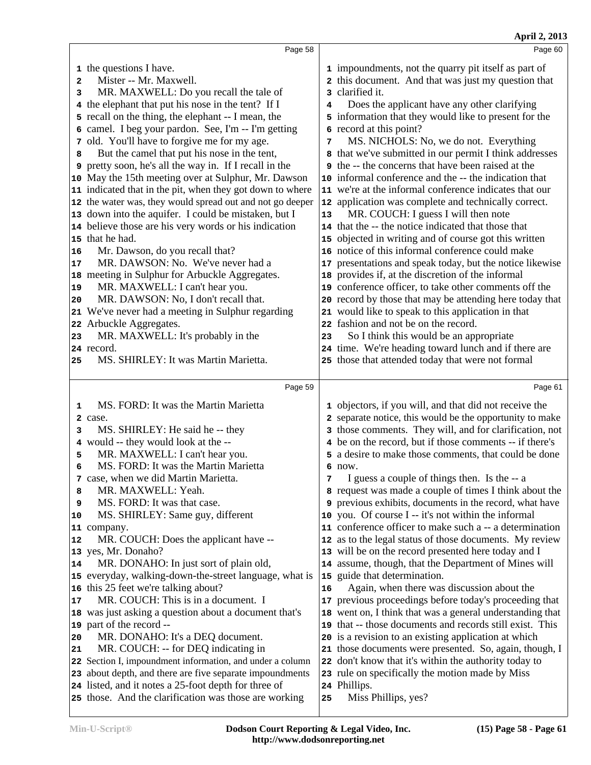| Page 58                                                                                                                                                                                                                                                                                                                                                                                                                                                                                                                                                                                                                                         | Page 60                                                                                                                                                                                                                                                                                                                                                                                                                                                                                                                                                                                                                                  |
|-------------------------------------------------------------------------------------------------------------------------------------------------------------------------------------------------------------------------------------------------------------------------------------------------------------------------------------------------------------------------------------------------------------------------------------------------------------------------------------------------------------------------------------------------------------------------------------------------------------------------------------------------|------------------------------------------------------------------------------------------------------------------------------------------------------------------------------------------------------------------------------------------------------------------------------------------------------------------------------------------------------------------------------------------------------------------------------------------------------------------------------------------------------------------------------------------------------------------------------------------------------------------------------------------|
| 1 the questions I have.<br>Mister -- Mr. Maxwell.<br>$\mathbf{2}$<br>MR. MAXWELL: Do you recall the tale of<br>3<br>4 the elephant that put his nose in the tent? If I<br>5 recall on the thing, the elephant -- I mean, the<br>6 camel. I beg your pardon. See, I'm -- I'm getting<br>7 old. You'll have to forgive me for my age.<br>But the camel that put his nose in the tent,<br>8<br>pretty soon, he's all the way in. If I recall in the<br>9<br>May the 15th meeting over at Sulphur, Mr. Dawson<br>10<br>indicated that in the pit, when they got down to where<br>11<br>the water was, they would spread out and not go deeper<br>12 | 1 impoundments, not the quarry pit itself as part of<br>2 this document. And that was just my question that<br>3 clarified it.<br>Does the applicant have any other clarifying<br>4<br>5 information that they would like to present for the<br>6 record at this point?<br>MS. NICHOLS: No, we do not. Everything<br>7<br>8 that we've submitted in our permit I think addresses<br><b>9</b> the -- the concerns that have been raised at the<br>informal conference and the -- the indication that<br>10 <sup>°</sup><br>11 we're at the informal conference indicates that our<br>12 application was complete and technically correct. |
| down into the aquifer. I could be mistaken, but I<br>13<br>believe those are his very words or his indication<br>14<br>15 that he had.<br>Mr. Dawson, do you recall that?<br>16<br>MR. DAWSON: No. We've never had a<br>17                                                                                                                                                                                                                                                                                                                                                                                                                      | MR. COUCH: I guess I will then note<br>13<br>14 that the -- the notice indicated that those that<br>15 objected in writing and of course got this written<br>16 notice of this informal conference could make<br>presentations and speak today, but the notice likewise<br>17                                                                                                                                                                                                                                                                                                                                                            |
| 18 meeting in Sulphur for Arbuckle Aggregates.<br>MR. MAXWELL: I can't hear you.<br>19<br>MR. DAWSON: No, I don't recall that.<br>20<br>We've never had a meeting in Sulphur regarding<br>21<br>22 Arbuckle Aggregates.<br>MR. MAXWELL: It's probably in the<br>23                                                                                                                                                                                                                                                                                                                                                                              | 18 provides if, at the discretion of the informal<br>19 conference officer, to take other comments off the<br>20 record by those that may be attending here today that<br>21 would like to speak to this application in that<br>22 fashion and not be on the record.<br>So I think this would be an appropriate<br>23                                                                                                                                                                                                                                                                                                                    |
| 24 record.<br>MS. SHIRLEY: It was Martin Marietta.<br>25                                                                                                                                                                                                                                                                                                                                                                                                                                                                                                                                                                                        | 24 time. We're heading toward lunch and if there are<br>25 those that attended today that were not formal                                                                                                                                                                                                                                                                                                                                                                                                                                                                                                                                |
| Page 59<br>MS. FORD: It was the Martin Marietta<br>1                                                                                                                                                                                                                                                                                                                                                                                                                                                                                                                                                                                            | Page 61<br>1 objectors, if you will, and that did not receive the                                                                                                                                                                                                                                                                                                                                                                                                                                                                                                                                                                        |
| 2 case.                                                                                                                                                                                                                                                                                                                                                                                                                                                                                                                                                                                                                                         | 2 separate notice, this would be the opportunity to make                                                                                                                                                                                                                                                                                                                                                                                                                                                                                                                                                                                 |
| MS. SHIRLEY: He said he -- they<br>з<br>4 would -- they would look at the --<br>MR. MAXWELL: I can't hear you.<br>5<br>MS. FORD: It was the Martin Marietta<br>6<br>7 case, when we did Martin Marietta.<br>MR. MAXWELL: Yeah.<br>8<br>MS. FORD: It was that case.<br>9                                                                                                                                                                                                                                                                                                                                                                         | 3 those comments. They will, and for clarification, not<br>4 be on the record, but if those comments -- if there's<br>5 a desire to make those comments, that could be done<br>$6$ now.<br>I guess a couple of things then. Is the -- a<br>8 request was made a couple of times I think about the<br>9 previous exhibits, documents in the record, what have                                                                                                                                                                                                                                                                             |
| MS. SHIRLEY: Same guy, different<br>10<br>11 company.<br>MR. COUCH: Does the applicant have --<br>12<br>yes, Mr. Donaho?<br>13                                                                                                                                                                                                                                                                                                                                                                                                                                                                                                                  | 10 you. Of course I -- it's not within the informal<br>11 conference officer to make such a -- a determination<br>12 as to the legal status of those documents. My review<br>13 will be on the record presented here today and I                                                                                                                                                                                                                                                                                                                                                                                                         |
| MR. DONAHO: In just sort of plain old,<br>14<br>15 everyday, walking-down-the-street language, what is<br>this 25 feet we're talking about?<br>16<br>MR. COUCH: This is in a document. I<br>17<br>was just asking a question about a document that's<br>18<br>part of the record --<br>19<br>MR. DONAHO: It's a DEQ document.<br>20<br>MR. COUCH: -- for DEQ indicating in<br>21<br>22 Section I, impoundment information, and under a column<br>about depth, and there are five separate impoundments<br>23<br>24 listed, and it notes a 25-foot depth for three of<br>25 those. And the clarification was those are working                   | 14 assume, though, that the Department of Mines will<br>guide that determination.<br>15<br>Again, when there was discussion about the<br>16<br>previous proceedings before today's proceeding that<br>17<br>went on, I think that was a general understanding that<br>18<br>that -- those documents and records still exist. This<br>19<br>20 is a revision to an existing application at which<br>21 those documents were presented. So, again, though, I<br>don't know that it's within the authority today to<br>22<br>rule on specifically the motion made by Miss<br>23<br>24 Phillips.<br>Miss Phillips, yes?<br>25                |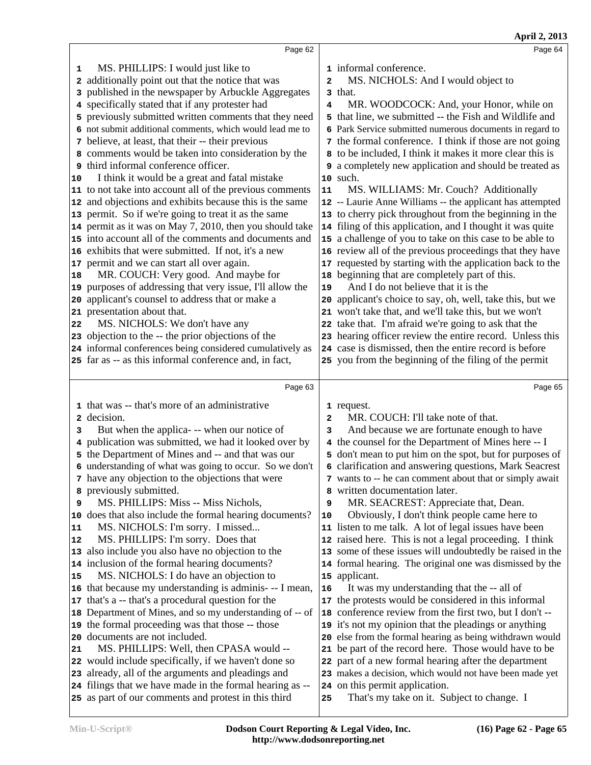**April 2, 2013**

|    | Page 62                                                                                                       |            | Page 64                                                                                   |
|----|---------------------------------------------------------------------------------------------------------------|------------|-------------------------------------------------------------------------------------------|
| 1  | MS. PHILLIPS: I would just like to                                                                            |            | 1 informal conference.                                                                    |
| 2  | additionally point out that the notice that was                                                               | 2          | MS. NICHOLS: And I would object to                                                        |
| 3  | published in the newspaper by Arbuckle Aggregates                                                             |            | 3 that.                                                                                   |
|    | 4 specifically stated that if any protester had                                                               | 4          | MR. WOODCOCK: And, your Honor, while on                                                   |
|    | 5 previously submitted written comments that they need                                                        |            | 5 that line, we submitted -- the Fish and Wildlife and                                    |
|    | 6 not submit additional comments, which would lead me to                                                      |            | 6 Park Service submitted numerous documents in regard to                                  |
|    | 7 believe, at least, that their -- their previous                                                             |            | 7 the formal conference. I think if those are not going                                   |
|    | 8 comments would be taken into consideration by the                                                           |            | 8 to be included, I think it makes it more clear this is                                  |
|    | third informal conference officer.                                                                            |            | 9 a completely new application and should be treated as                                   |
| 10 | I think it would be a great and fatal mistake                                                                 |            | 10 such.                                                                                  |
|    | 11 to not take into account all of the previous comments                                                      | ${\bf 11}$ | MS. WILLIAMS: Mr. Couch? Additionally                                                     |
| 12 | and objections and exhibits because this is the same                                                          |            | 12 -- Laurie Anne Williams -- the applicant has attempted                                 |
| 13 | permit. So if we're going to treat it as the same                                                             |            | 13 to cherry pick throughout from the beginning in the                                    |
| 14 | permit as it was on May 7, 2010, then you should take                                                         |            | 14 filing of this application, and I thought it was quite                                 |
|    | 15 into account all of the comments and documents and                                                         |            | 15 a challenge of you to take on this case to be able to                                  |
| 16 | exhibits that were submitted. If not, it's a new                                                              |            | 16 review all of the previous proceedings that they have                                  |
| 17 | permit and we can start all over again.                                                                       |            | 17 requested by starting with the application back to the                                 |
| 18 | MR. COUCH: Very good. And maybe for                                                                           |            | 18 beginning that are completely part of this.                                            |
| 19 | purposes of addressing that very issue, I'll allow the                                                        | 19         | And I do not believe that it is the                                                       |
| 20 | applicant's counsel to address that or make a                                                                 | 20         | applicant's choice to say, oh, well, take this, but we                                    |
| 21 | presentation about that.                                                                                      |            | 21 won't take that, and we'll take this, but we won't                                     |
| 22 | MS. NICHOLS: We don't have any                                                                                |            | 22 take that. I'm afraid we're going to ask that the                                      |
| 23 | objection to the -- the prior objections of the                                                               |            | 23 hearing officer review the entire record. Unless this                                  |
|    | 24 informal conferences being considered cumulatively as                                                      |            | 24 case is dismissed, then the entire record is before                                    |
|    | 25 far as -- as this informal conference and, in fact,                                                        |            | 25 you from the beginning of the filing of the permit                                     |
|    | Page 63                                                                                                       |            | Page 65                                                                                   |
|    |                                                                                                               |            |                                                                                           |
|    |                                                                                                               |            |                                                                                           |
|    | 1 that was -- that's more of an administrative                                                                |            | 1 request.                                                                                |
| 2  | decision.                                                                                                     | 2          | MR. COUCH: I'll take note of that.                                                        |
| з  | But when the applica--- when our notice of                                                                    | з          | And because we are fortunate enough to have                                               |
|    | 4 publication was submitted, we had it looked over by                                                         |            | 4 the counsel for the Department of Mines here -- I                                       |
|    | 5 the Department of Mines and -- and that was our                                                             |            | 5 don't mean to put him on the spot, but for purposes of                                  |
|    | 6 understanding of what was going to occur. So we don't                                                       |            | 6 clarification and answering questions, Mark Seacrest                                    |
| 8  | 7 have any objection to the objections that were                                                              |            | 7 wants to -- he can comment about that or simply await<br>8 written documentation later. |
| 9  | previously submitted.<br>MS. PHILLIPS: Miss -- Miss Nichols,                                                  | 9          | MR. SEACREST: Appreciate that, Dean.                                                      |
| 10 | does that also include the formal hearing documents?                                                          | 10         | Obviously, I don't think people came here to                                              |
| 11 | MS. NICHOLS: I'm sorry. I missed                                                                              |            | 11 listen to me talk. A lot of legal issues have been                                     |
| 12 | MS. PHILLIPS: I'm sorry. Does that                                                                            |            | 12 raised here. This is not a legal proceeding. I think                                   |
| 13 | also include you also have no objection to the                                                                |            | 13 some of these issues will undoubtedly be raised in the                                 |
| 14 | inclusion of the formal hearing documents?                                                                    |            | 14 formal hearing. The original one was dismissed by the                                  |
| 15 | MS. NICHOLS: I do have an objection to                                                                        |            | 15 applicant.                                                                             |
| 16 | that because my understanding is adminis--- I mean,                                                           | 16         | It was my understanding that the -- all of                                                |
| 17 | that's a -- that's a procedural question for the                                                              |            | 17 the protests would be considered in this informal                                      |
| 18 | Department of Mines, and so my understanding of -- of                                                         |            | 18 conference review from the first two, but I don't --                                   |
| 19 | the formal proceeding was that those -- those                                                                 |            | 19 it's not my opinion that the pleadings or anything                                     |
| 20 | documents are not included.                                                                                   |            | 20 else from the formal hearing as being withdrawn would                                  |
| 21 | MS. PHILLIPS: Well, then CPASA would --                                                                       |            | 21 be part of the record here. Those would have to be                                     |
| 22 | would include specifically, if we haven't done so                                                             |            | 22 part of a new formal hearing after the department                                      |
| 23 | already, all of the arguments and pleadings and                                                               |            | 23 makes a decision, which would not have been made yet                                   |
| 24 | filings that we have made in the formal hearing as --<br>25 as part of our comments and protest in this third | 25         | 24 on this permit application.<br>That's my take on it. Subject to change. I              |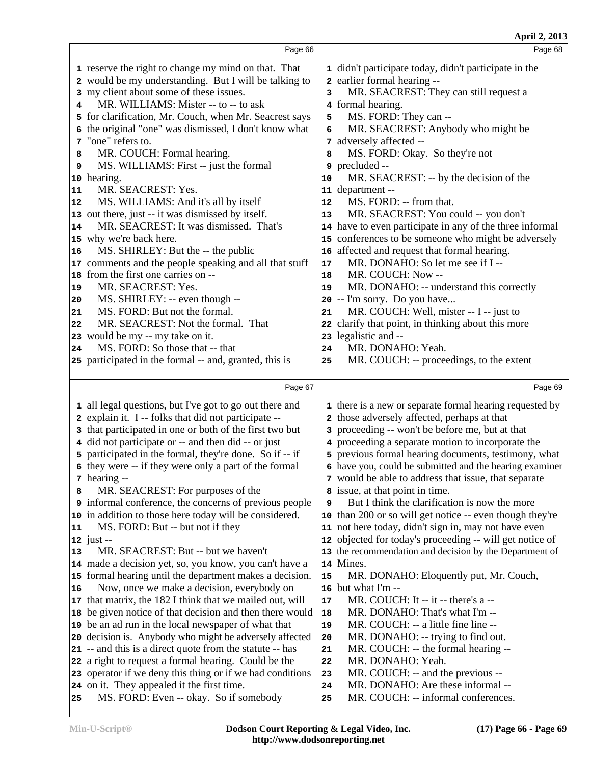**April 2, 2013** Page 66 reserve the right to change my mind on that. That would be my understanding. But I will be talking to my client about some of these issues. MR. WILLIAMS: Mister -- to -- to ask for clarification, Mr. Couch, when Mr. Seacrest says the original "one" was dismissed, I don't know what "one" refers to. MR. COUCH: Formal hearing. MS. WILLIAMS: First -- just the formal hearing. MR. SEACREST: Yes. MS. WILLIAMS: And it's all by itself out there, just -- it was dismissed by itself. MR. SEACREST: It was dismissed. That's why we're back here. MS. SHIRLEY: But the -- the public comments and the people speaking and all that stuff 17 from the first one carries on -- MR. SEACREST: Yes. MS. SHIRLEY: -- even though -- MS. FORD: But not the formal. MR. SEACREST: Not the formal. That would be my -- my take on it. MS. FORD: So those that -- that participated in the formal -- and, granted, this is Page 67 all legal questions, but I've got to go out there and explain it. I -- folks that did not participate -- that participated in one or both of the first two but did not participate or -- and then did -- or just participated in the formal, they're done. So if -- if they were -- if they were only a part of the formal hearing -- MR. SEACREST: For purposes of the informal conference, the concerns of previous people in addition to those here today will be considered. MS. FORD: But -- but not if they just -- MR. SEACREST: But -- but we haven't made a decision yet, so, you know, you can't have a formal hearing until the department makes a decision. Now, once we make a decision, everybody on that matrix, the 182 I think that we mailed out, will | 17 be given notice of that decision and then there would | **18**  be an ad run in the local newspaper of what that decision is. Anybody who might be adversely affected 20 -- and this is a direct quote from the statute -- has 21 a right to request a formal hearing. Could be the operator if we deny this thing or if we had conditions 23 on it. They appealed it the first time. MS. FORD: Even -- okay. So if somebody Page 68 didn't participate today, didn't participate in the earlier formal hearing -- MR. SEACREST: They can still request a formal hearing. **MS. FORD: They can --MR. SEACREST:** Anybody who might be adversely affected -- MS. FORD: Okay. So they're not precluded -- MR. SEACREST: -- by the decision of the department -- MS. FORD: -- from that. MR. SEACREST: You could -- you don't have to even participate in any of the three informal conferences to be someone who might be adversely affected and request that formal hearing. MR. DONAHO: So let me see if I -- MR. COUCH: Now -- MR. DONAHO: -- understand this correctly -- I'm sorry. Do you have... MR. COUCH: Well, mister -- I -- just to clarify that point, in thinking about this more legalistic and -- MR. DONAHO: Yeah. MR. COUCH: -- proceedings, to the extent Page 69 there is a new or separate formal hearing requested by those adversely affected, perhaps at that proceeding -- won't be before me, but at that proceeding a separate motion to incorporate the previous formal hearing documents, testimony, what have you, could be submitted and the hearing examiner would be able to address that issue, that separate issue, at that point in time. But I think the clarification is now the more than 200 or so will get notice -- even though they're not here today, didn't sign in, may not have even objected for today's proceeding -- will get notice of the recommendation and decision by the Department of Mines. MR. DONAHO: Eloquently put, Mr. Couch, but what I'm -- MR. COUCH: It -- it -- there's a -- MR. DONAHO: That's what I'm -- MR. COUCH: -- a little fine line -- MR. DONAHO: -- trying to find out. MR. COUCH: -- the formal hearing -- MR. DONAHO: Yeah. MR. COUCH: -- and the previous -- MR. DONAHO: Are these informal -- MR. COUCH: -- informal conferences.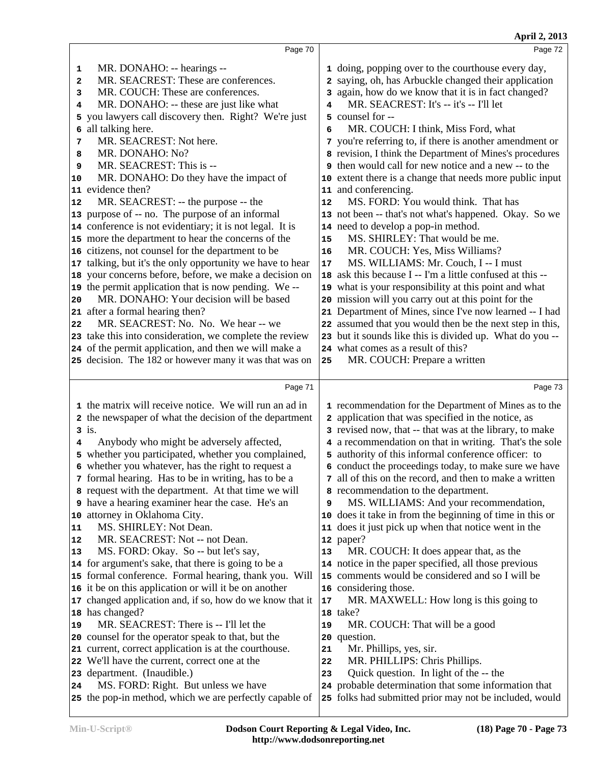|    | Page 70                                                                                                   |    | Page 72                                                                                                          |  |
|----|-----------------------------------------------------------------------------------------------------------|----|------------------------------------------------------------------------------------------------------------------|--|
| 1  | MR. DONAHO: -- hearings --                                                                                |    | 1 doing, popping over to the courthouse every day,                                                               |  |
| 2  | MR. SEACREST: These are conferences.                                                                      |    | 2 saying, oh, has Arbuckle changed their application                                                             |  |
| з  | MR. COUCH: These are conferences.                                                                         |    | 3 again, how do we know that it is in fact changed?                                                              |  |
| 4  | MR. DONAHO: -- these are just like what                                                                   | 4  | MR. SEACREST: It's -- it's -- I'll let                                                                           |  |
| 5  | you lawyers call discovery then. Right? We're just                                                        |    | 5 counsel for --                                                                                                 |  |
| 6  | all talking here.                                                                                         | 6  | MR. COUCH: I think, Miss Ford, what                                                                              |  |
| 7  | MR. SEACREST: Not here.                                                                                   |    | 7 you're referring to, if there is another amendment or                                                          |  |
| 8  | MR. DONAHO: No?                                                                                           |    | 8 revision, I think the Department of Mines's procedures                                                         |  |
| 9  | MR. SEACREST: This is --                                                                                  |    | <b>9</b> then would call for new notice and a new -- to the                                                      |  |
| 10 | MR. DONAHO: Do they have the impact of                                                                    |    | 10 extent there is a change that needs more public input                                                         |  |
|    | 11 evidence then?                                                                                         |    | 11 and conferencing.                                                                                             |  |
| 12 | MR. SEACREST: -- the purpose -- the                                                                       | 12 | MS. FORD: You would think. That has                                                                              |  |
|    | 13 purpose of -- no. The purpose of an informal                                                           |    | 13 not been -- that's not what's happened. Okay. So we                                                           |  |
|    | 14 conference is not evidentiary; it is not legal. It is                                                  |    | 14 need to develop a pop-in method.                                                                              |  |
|    | 15 more the department to hear the concerns of the                                                        | 15 | MS. SHIRLEY: That would be me.                                                                                   |  |
|    | 16 citizens, not counsel for the department to be                                                         | 16 | MR. COUCH: Yes, Miss Williams?                                                                                   |  |
|    | 17 talking, but it's the only opportunity we have to hear                                                 | 17 | MS. WILLIAMS: Mr. Couch, I -- I must                                                                             |  |
|    | 18 your concerns before, before, we make a decision on                                                    |    | 18 ask this because I -- I'm a little confused at this --                                                        |  |
|    | 19 the permit application that is now pending. We --                                                      |    | 19 what is your responsibility at this point and what                                                            |  |
| 20 | MR. DONAHO: Your decision will be based                                                                   |    | 20 mission will you carry out at this point for the                                                              |  |
|    | 21 after a formal hearing then?                                                                           |    | 21 Department of Mines, since I've now learned -- I had                                                          |  |
| 22 | MR. SEACREST: No. No. We hear -- we                                                                       |    | 22 assumed that you would then be the next step in this,                                                         |  |
|    | 23 take this into consideration, we complete the review                                                   |    | 23 but it sounds like this is divided up. What do you --                                                         |  |
|    | 24 of the permit application, and then we will make a                                                     |    | 24 what comes as a result of this?                                                                               |  |
|    | 25 decision. The 182 or however many it was that was on                                                   | 25 | MR. COUCH: Prepare a written                                                                                     |  |
|    |                                                                                                           |    |                                                                                                                  |  |
|    |                                                                                                           |    |                                                                                                                  |  |
|    | Page 71                                                                                                   |    | Page 73                                                                                                          |  |
|    |                                                                                                           |    |                                                                                                                  |  |
|    | 1 the matrix will receive notice. We will run an ad in                                                    |    | 1 recommendation for the Department of Mines as to the                                                           |  |
|    | 2 the newspaper of what the decision of the department                                                    |    | 2 application that was specified in the notice, as                                                               |  |
| 4  | $3$ is.                                                                                                   |    | 3 revised now, that -- that was at the library, to make                                                          |  |
|    | Anybody who might be adversely affected,                                                                  |    | 4 a recommendation on that in writing. That's the sole<br>5 authority of this informal conference officer: to    |  |
|    | 5 whether you participated, whether you complained,                                                       |    |                                                                                                                  |  |
|    | 6 whether you whatever, has the right to request a<br>7 formal hearing. Has to be in writing, has to be a |    | 6 conduct the proceedings today, to make sure we have<br>7 all of this on the record, and then to make a written |  |
|    | 8 request with the department. At that time we will                                                       |    | a recommendation to the department.                                                                              |  |
|    | <b>9</b> have a hearing examiner hear the case. He's an                                                   | 9  | MS. WILLIAMS: And your recommendation,                                                                           |  |
|    | 10 attorney in Oklahoma City.                                                                             |    | 10 does it take in from the beginning of time in this or                                                         |  |
| 11 | MS. SHIRLEY: Not Dean.                                                                                    |    | 11 does it just pick up when that notice went in the                                                             |  |
| 12 | MR. SEACREST: Not -- not Dean.                                                                            |    | 12 paper?                                                                                                        |  |
| 13 | MS. FORD: Okay. So -- but let's say,                                                                      | 13 | MR. COUCH: It does appear that, as the                                                                           |  |
|    | 14 for argument's sake, that there is going to be a                                                       |    | 14 notice in the paper specified, all those previous                                                             |  |
|    | 15 formal conference. Formal hearing, thank you. Will                                                     |    | 15 comments would be considered and so I will be                                                                 |  |
|    | 16 it be on this application or will it be on another                                                     |    | 16 considering those.                                                                                            |  |
|    | 17 changed application and, if so, how do we know that it                                                 | 17 | MR. MAXWELL: How long is this going to                                                                           |  |
|    | 18 has changed?                                                                                           |    | 18 take?                                                                                                         |  |
| 19 | MR. SEACREST: There is -- I'll let the                                                                    | 19 | MR. COUCH: That will be a good                                                                                   |  |
|    | 20 counsel for the operator speak to that, but the                                                        |    | 20 question.                                                                                                     |  |
|    | 21 current, correct application is at the courthouse.                                                     | 21 | Mr. Phillips, yes, sir.                                                                                          |  |
|    | 22 We'll have the current, correct one at the                                                             | 22 | MR. PHILLIPS: Chris Phillips.                                                                                    |  |
|    | 23 department. (Inaudible.)                                                                               | 23 | Quick question. In light of the -- the                                                                           |  |
| 24 | MS. FORD: Right. But unless we have<br>25 the pop-in method, which we are perfectly capable of            |    | 24 probable determination that some information that<br>25 folks had submitted prior may not be included, would  |  |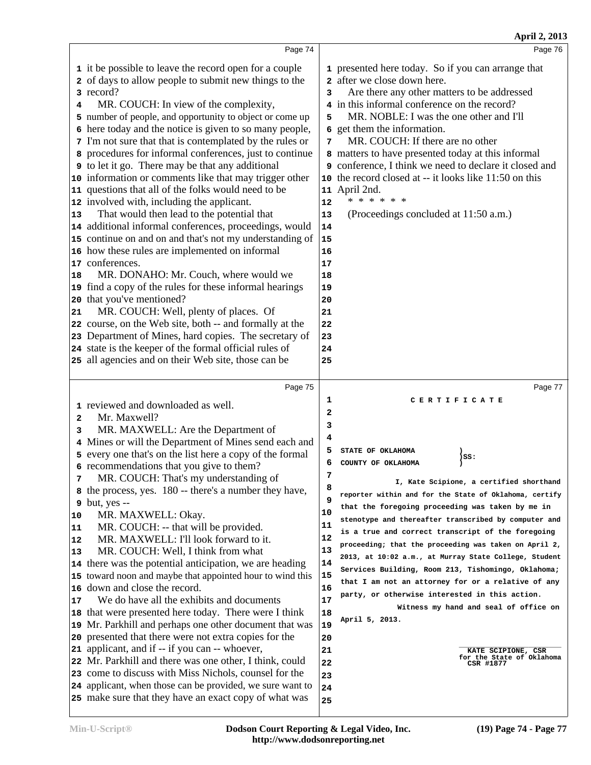| April 2, 2013                                                                                                                                                                                                                                                                                                                                                                                                                                                                                                                                                                                                                                                                                                                                                                                                                                                                               |
|---------------------------------------------------------------------------------------------------------------------------------------------------------------------------------------------------------------------------------------------------------------------------------------------------------------------------------------------------------------------------------------------------------------------------------------------------------------------------------------------------------------------------------------------------------------------------------------------------------------------------------------------------------------------------------------------------------------------------------------------------------------------------------------------------------------------------------------------------------------------------------------------|
| Page 76                                                                                                                                                                                                                                                                                                                                                                                                                                                                                                                                                                                                                                                                                                                                                                                                                                                                                     |
| 1 presented here today. So if you can arrange that<br>2 after we close down here.<br>Are there any other matters to be addressed<br>3<br>4 in this informal conference on the record?<br>MR. NOBLE: I was the one other and I'll<br>5<br>6 get them the information.<br>MR. COUCH: If there are no other<br>7<br>8 matters to have presented today at this informal<br>9 conference, I think we need to declare it closed and<br>10 the record closed at -- it looks like 11:50 on this<br>11 April 2nd.<br>* * * * * *<br>12<br>(Proceedings concluded at 11:50 a.m.)<br>13<br>14<br>15<br>16<br>17<br>18<br>19<br>20<br>21<br>22<br>23<br>24<br>25                                                                                                                                                                                                                                        |
| Page 77                                                                                                                                                                                                                                                                                                                                                                                                                                                                                                                                                                                                                                                                                                                                                                                                                                                                                     |
| 1<br>CERTIFICATE<br>2<br>3<br>4<br>5<br>STATE OF OKLAHOMA<br>$)$ $SS:$<br>6<br>COUNTY OF OKLAHOMA<br>7<br>I, Kate Scipione, a certified shorthand<br>8<br>reporter within and for the State of Oklahoma, certify<br>9<br>that the foregoing proceeding was taken by me in<br>10<br>stenotype and thereafter transcribed by computer and<br>11<br>is a true and correct transcript of the foregoing<br>12<br>proceeding; that the proceeding was taken on April 2,<br>13<br>2013, at 10:02 a.m., at Murray State College, Student<br>14<br>Services Building, Room 213, Tishomingo, Oklahoma;<br>15<br>that I am not an attorney for or a relative of any<br>16<br>party, or otherwise interested in this action.<br>17<br>Witness my hand and seal of office on<br>18<br>April 5, 2013.<br>19<br>20<br>21<br>KATE SCIPIONE, CSR<br>for the State of Oklahoma<br>22<br>CSR #1877<br>23<br>24 |
| Page 74<br>15 continue on and on and that's not my understanding of<br>Page 75<br>4 Mines or will the Department of Mines send each and                                                                                                                                                                                                                                                                                                                                                                                                                                                                                                                                                                                                                                                                                                                                                     |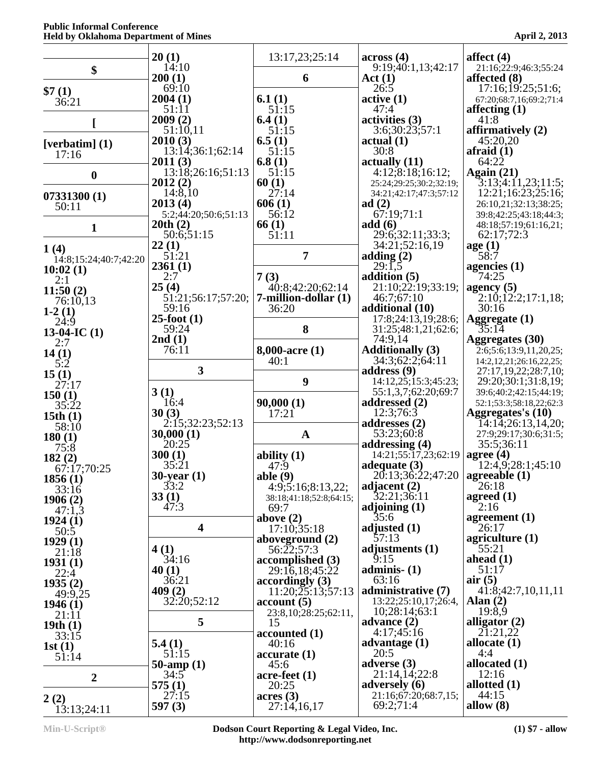|                               | 20(1)                           | 13:17,23;25:14                          | across(4)                                          | affect $(4)$                                                  |
|-------------------------------|---------------------------------|-----------------------------------------|----------------------------------------------------|---------------------------------------------------------------|
| \$                            | 14:10<br>200(1)                 | 6                                       | 9:19:40:1,13:42:17<br>Act(1)                       | 21:16;22:9;46:3;55:24<br>affected (8)                         |
| \$7(1)                        | 69:10                           |                                         | 26:5                                               | 17:16;19:25;51:6;                                             |
| 36:21                         | 2004(1)<br>51:11                | 6.1 $(1)$<br>51:15                      | active(1)<br>47:4                                  | 67:20;68:7,16;69:2;71:4<br>affecting $(1)$                    |
|                               | 2009(2)                         | 6.4(1)                                  | activities (3)                                     | 41:8                                                          |
|                               | 51:10,11<br>2010(3)             | 51:15<br>6.5(1)                         | 3:6;30:23;57:1<br>actual(1)                        | affirmatively (2)<br>45:20,20                                 |
| [verbatim] $(1)$<br>17:16     | 13:14;36:1;62:14                | 51:15                                   | 30:8                                               | afraid $(1)$                                                  |
|                               | 2011(3)<br>13:18:26:16:51:13    | 6.8(1)<br>51:15                         | actually (11)<br>4:12;8:18;16:12;                  | 64:22<br>Again $(21)$                                         |
| $\bf{0}$                      | 2012(2)                         | 60(1)                                   | 25:24;29:25;30:2;32:19;                            | 3:13;4:11,23;11:5;                                            |
| 07331300(1)                   | 14:8,10                         | 27:14                                   | 34:21;42:17;47:3;57:12                             | 12:21;16:23;25:16;                                            |
| 50:11                         | 2013(4)<br>5:2;44:20;50:6;51:13 | 606(1)<br>56:12                         | ad $(2)$<br>67:19:71:1                             | 26:10,21;32:13;38:25;<br>39:8;42:25;43:18;44:3;               |
| $\mathbf{1}$                  | 20th(2)                         | 66(1)                                   | add(6)                                             | 48:18;57:19;61:16,21;                                         |
|                               | 50:6;51:15<br>22(1)             | 51:11                                   | 29:6;32:11;33:3;<br>34:21;52:16,19                 | 62:17;72:3<br>age(1)                                          |
| 1(4)<br>14:8;15:24;40:7;42:20 | 51:21                           | $\overline{7}$                          | adding $(2)$                                       | 58:7                                                          |
| 10:02(1)                      | 2361(1)                         |                                         | 29:1,5                                             | agencies $(1)$                                                |
| 2:1                           | 2:7<br>25(4)                    | 7(3)<br>40:8;42:20;62:14                | addition (5)<br>21:10;22:19;33:19;                 | 74:25<br>agency $(5)$                                         |
| 11:50(2)<br>76:10,13          | 51:21;56:17;57:20;              | 7-million-dollar (1)                    | 46:7;67:10                                         | 2:10;12:2;17:1,18;                                            |
| $1-2(1)$                      | 59:16<br>$25$ -foot $(1)$       | 36:20                                   | additional (10)<br>17:8;24:13,19;28:6;             | 30:16<br><b>Aggregate (1)</b>                                 |
| 24:9<br>13-04-IC $(1)$        | 59:24                           | 8                                       | 31:25;48:1,21;62:6;                                | 35:14                                                         |
| 2:7                           | 2nd(1)                          |                                         | 74:9,14                                            | Aggregates (30)                                               |
| 14(1)<br>5:2                  | 76:11                           | $8,000$ -acre $(1)$<br>40:1             | <b>Additionally (3)</b><br>34:3;62:2;64:11         | 2:6;5:6;13:9,11,20,25;<br>14:2, 12, 21; 26: 16, 22, 25;       |
| 15(1)                         | 3                               |                                         | address (9)                                        | 27:17,19,22;28:7,10;                                          |
| 27:17                         | 3(1)                            | 9                                       | 14:12,25;15:3;45:23;<br>55:1,3,7;62:20;69:7        | 29:20;30:1;31:8,19;<br>39:6;40:2;42:15;44:19;                 |
| 150(1)<br>35:22               | 16:4                            | 90,000(1)                               | addressed $(2)$                                    | 52:1;53:3;58:18,22;62:3                                       |
| 15th $(1)$                    | 30(3)                           | 17:21                                   | 12:3;76:3                                          | Aggregates's (10)                                             |
| 58:10                         | 2:15;32:23;52:13<br>30,000(1)   | $\mathbf{A}$                            | addresses (2)<br>53:23;60:8                        | $\tilde{1}4:1\tilde{4};26:13,14,20;$<br>27:9;29:17;30:6;31:5; |
| 180(1)<br>75:8                | 20:25                           |                                         | addressing $(4)$                                   | 35:5;36:11                                                    |
| 182(2)                        | 300(1)<br>35:21                 | ability $(1)$<br>47:9                   | $14:21;55:17,23;62:19$ agree (4)<br>adequate $(3)$ | 12:4,9;28:1;45:10                                             |
| 67:17;70:25<br>1856(1)        | $30$ -year $(1)$                | able $(9)$                              | 20:13;36:22;47:20                                  | agreeable $(1)$                                               |
| 33:16                         | 33:2                            | 4:9;5:16;8:13,22;                       | adjacent $(2)$                                     | 26:18                                                         |
| 1906(2)                       | 33(1)<br>47:3                   | 38:18;41:18;52:8;64:15;<br>69:7         | 32:21;36:11<br>adjoining $(1)$                     | agreed $(1)$<br>2:16                                          |
| 47:1,3<br>1924(1)             |                                 | above $(2)$                             | 35:6                                               | agreement $(1)$                                               |
| 50:5                          | $\overline{\mathbf{4}}$         | 17:10;35:18<br>aboveground $(2)$        | adjusted $(1)$<br>57:13                            | 26:17<br>agriculture $(1)$                                    |
| 1929(1)<br>21:18              | 4(1)                            | 56:22:57:3                              | adjustments $(1)$                                  | 55:21                                                         |
| 1931(1)                       | 34:16                           | accomplished (3)                        | 9:15                                               | ahead $(1)$<br>51:17                                          |
| 22:4<br>1935(2)               | 40(1)<br>36:21                  | 29:16,18;45:22<br>accordingly(3)        | adminis- $(1)$<br>63:16                            | air(5)                                                        |
| 49:9,25                       | 409(2)                          | 11:20;25:13;57:13                       | administrative (7)                                 | 41:8;42:7,10,11,11                                            |
| 1946(1)                       | 32:20:52:12                     | account(5)<br>23:8, 10; 28: 25; 62: 11, | 13:22;25:10,17;26:4,<br>10;28:14;63:1              | Alan $(2)$<br>19:8,9                                          |
| 21:11<br>19th $(1)$           | 5                               | 15                                      | advance $(2)$                                      | alligator $(2)$                                               |
| 33:15                         |                                 | accounted(1)                            | 4:17;45:16                                         | 21:21,22                                                      |
| 1st(1)<br>51:14               | 5.4(1)<br>51:15                 | 40:16<br>accurate(1)                    | advantage $(1)$<br>20:5                            | allocate $(1)$<br>4:4                                         |
|                               | 50-amp $(1)$                    | 45:6                                    | adverse $(3)$                                      | allocated $(1)$                                               |
| $\boldsymbol{2}$              | 34:5<br>575(1)                  | $\arce\text{-feet}(1)$<br>20:25         | 21:14,14;22:8<br>adversely $(6)$                   | 12:16<br>allotted $(1)$                                       |
| 2(2)                          | 27:15                           | acres(3)                                | 21:16;67:20;68:7,15;                               | 44:15                                                         |
| 13:13;24:11                   | 597 $(3)$                       | 27:14,16,17                             | 69:2;71:4                                          | allow $(8)$                                                   |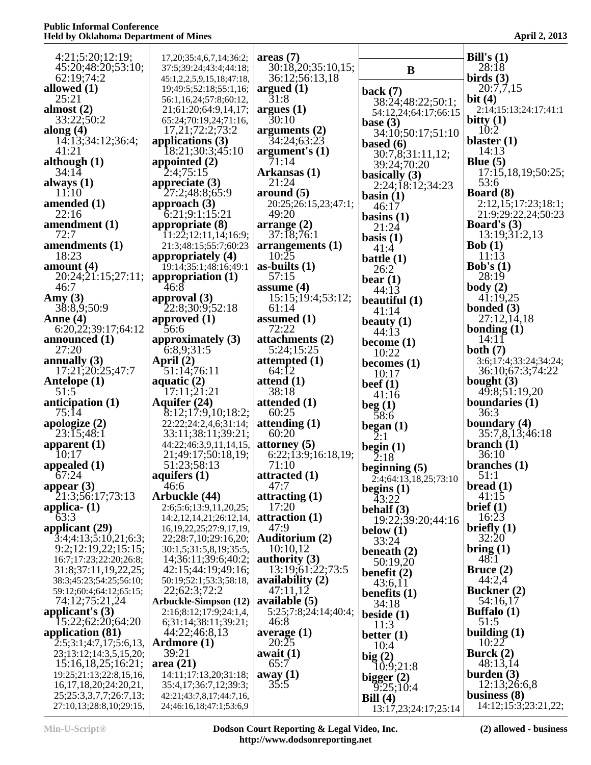| 4:21;5:20;12:19;<br>45:20;48:20;53:10;                 | 17, 20; 35: 4, 6, 7, 14; 36: 2;<br>37:5;39:24;43:4;44:18; | areas(7)<br>30:18,20;35:10,15; | B                                | Bill's $(1)$<br>28:18                     |
|--------------------------------------------------------|-----------------------------------------------------------|--------------------------------|----------------------------------|-------------------------------------------|
| 62:19:74:2                                             | 45:1,2,2,5,9,15,18;47:18,                                 | 36:12;56:13,18                 |                                  | birds $(3)$                               |
| allowed $(1)$                                          | 19;49:5;52:18;55:1,16;                                    | argued $(1)$                   | back $(7)$                       | 20:7,7,15                                 |
| 25:21                                                  | 56:1,16,24;57:8;60:12,                                    | 31:8                           | 38:24;48:22;50:1;                | bit $(4)$                                 |
| almost $(2)$<br>33:22;50:2                             | 21;61:20;64:9,14,17;                                      | argues(1)<br>30:10             | 54:12,24;64:17;66:15             | 2:14;15:13;24:17;41:1<br>bitty $(1)$      |
| along $(4)$                                            | 65:24;70:19,24;71:16,<br>17,21;72:2;73:2                  | arguments $(2)$                | base $(3)$                       | 10:2                                      |
| 14:13;34:12;36:4;                                      | applications $(3)$                                        | 34:24;63:23                    | 34:10;50:17;51:10<br>based $(6)$ | blaster $(1)$                             |
| 41:21                                                  | 18:21;30:3;45:10                                          | argument's $(1)$               | 30:7,8;31:11,12;                 | 14:13                                     |
| although $(1)$                                         | appointed $(2)$                                           | 71:14                          | 39:24;70:20                      | Blue $(5)$                                |
| 34:14<br>always $(1)$                                  | 2:4;75:15<br>appreciate $(3)$                             | Arkansas (1)<br>21:24          | basically $(3)$                  | 17:15,18,19;50:25;<br>53:6                |
| 11:10                                                  | 27:2;48:8;65:9                                            | around (5)                     | 2:24;18:12;34:23<br>basin(1)     | <b>Board</b> (8)                          |
| amended $(1)$                                          | approach $(3)$                                            | 20:25;26:15,23;47:1;           | 46:17                            | 2:12,15;17:23;18:1;                       |
| 22:16                                                  | $\overline{6:}21;9:1;15:21$                               | 49:20                          | basins $(1)$                     | 21:9;29:22,24;50:23                       |
| amendment (1)                                          | appropriate (8)                                           | arraye(2)                      | 21:24                            | <b>Board's</b> $(3)$                      |
| 72:7<br>amendments $(1)$                               | 11:22;12:11,14;16:9;<br>21:3;48:15;55:7;60:23             | 37:18;76:1<br>arrangements (1) | basis $(1)$                      | 13:19;31:2,13<br>Bob(1)                   |
| 18:23                                                  | appropriately (4)                                         | 10:25                          | 41:4<br>battle $(1)$             | 11:13                                     |
| amount $(4)$                                           | 19:14;35:1;48:16;49:1                                     | as-builts $(1)$                | 26:2                             | <b>Bob's</b> $(1)$                        |
| 20:24;21:15;27:11;                                     | appropriation (1)                                         | 57:15                          | bear $(1)$                       | 28:19                                     |
| 46:7                                                   | 46:8                                                      | assume $(4)$                   | 44:13                            | body(2)                                   |
| Amy $(3)$<br>38:8,9:50:9                               | approval $(3)$<br>22:8;30:9;52:18                         | 15:15;19:4;53:12;<br>61:14     | beautiful $(1)$                  | 41:19,25<br>bonded $(3)$                  |
| Anne $(4)$                                             | approved $(1)$                                            | assumed $(1)$                  | 41:14                            | 27:12,14,18                               |
| 6:20,22;39:17;64:12                                    | 56:6                                                      | 72:22                          | beauty $(1)$<br>44:13            | bonding $(1)$                             |
| announced $(1)$                                        | approximately (3)                                         | attachments (2)                | become $(1)$                     | 14:11                                     |
| 27:20                                                  | 6:8,9;31:5                                                | 5:24;15:25                     | 10:22                            | both $(7)$                                |
| annually $(3)$<br>17:21;20:25;47:7                     | April $(2)$<br>51:14;76:11                                | attempted $(1)$<br>64:12       | becomes $(1)$                    | 3:6;17:4;33:24;34:24;<br>36:10;67:3;74:22 |
| Antelope (1)                                           | aquatic $(2)$                                             | attend $(1)$                   | 10:17                            | bought $(3)$                              |
| 51:5                                                   | [17:11;21:21]                                             | 38:18                          | beef $(1)$<br>41:16              | 49:8;51:19,20                             |
| anticipation $(1)$                                     | Aquifer (24)                                              | attended (1)                   | beg(1)                           | boundaries $(1)$                          |
| 75:14                                                  | 8:12;17:9,10;18:2;                                        | 60:25                          | 58:6                             | 36:3                                      |
| apologize $(2)$<br>23:15;48:1                          | 22:22;24:2,4,6;31:14;<br>33:11;38:11;39:21;               | attending $(1)$<br>60:20       | began $(1)$                      | boundary (4)<br>35:7,8,13;46:18           |
| apparent $(1)$                                         | 44:22;46:3,9,11,14,15,                                    | attorney $(5)$                 | $\check{2}:1$                    | branch $(1)$                              |
| 10:17                                                  | 21;49:17;50:18,19;                                        | 6:22;13:9;16:18,19;            | begin $(1)$<br>2:18              | 36:10                                     |
| appealed $(1)$                                         | 51:23;58:13                                               | 71:10                          | beginning $(5)$                  | branches $(1)$                            |
| 67:24                                                  | aquifers (1)                                              | attracted (1)                  | 2:4;64:13,18,25;73:10            | 51:1                                      |
| appear $(3)$<br>21:3:56:17:73:13                       | 46:6<br>Arbuckle (44)                                     | 47:7<br>attracting $(1)$       | begins $(1)$                     | bread(1)<br>41:15                         |
| applica- $(1)$                                         | 2:6;5:6;13:9,11,20,25;                                    | 17:20                          | 43:22<br>behalf $(3)$            | brief (1)                                 |
| 63:3                                                   | 14:2,12,14,21;26:12,14,                                   | attraction $(1)$               | 19:22;39:20;44:16                | 16:23                                     |
| applicant (29)                                         | 16, 19, 22, 25; 27: 9, 17, 19,                            | 47:9                           | below $(1)$                      | briefly $(1)$                             |
| $\overline{3:}4;4:13;5:10,21;6:3;$                     | 22, 28: 7, 10, 29: 16, 20;                                | Auditorium (2)                 | 33:24                            | 32:20                                     |
| 9:2;12:19,22;15:15;<br>16:7;17:23;22:20;26:8;          | 30:1,5;31:5,8,19;35:5,<br>14;36:11;39:6;40:2;             | 10:10,12<br>authority $(3)$    | beneath $(2)$                    | bring $(1)$<br>48:1                       |
| 31:8;37:11,19,22,25;                                   | 42:15;44:19;49:16;                                        | 13:19;61:22;73:5               | 50:19,20<br>benefit $(2)$        | Bruce $(2)$                               |
| 38:3;45:23;54:25;56:10;                                | 50:19;52:1;53:3;58:18,                                    | availability $(2)$             | 43:6,11                          | 44:2,4                                    |
| 59:12;60:4;64:12;65:15;                                | 22;62:3;72:2                                              | 47:11,12                       | benefits $(1)$                   | <b>Buckner</b> (2)                        |
| 74:12;75:21,24                                         | <b>Arbuckle-Simpson</b> (12)                              | available (5)                  | 34:18                            | 54:16,17                                  |
| applicant's $(3)$<br>15:22;62:20;64:20                 | 2:16;8:12;17:9;24:1,4,<br>6;31:14;38:11;39:21;            | 5:25;7:8;24:14;40:4;<br>46:8   | beside $(1)$                     | <b>Buffalo</b> (1)<br>51:5                |
| application (81)                                       | 44:22;46:8,13                                             | average $(1)$                  | 11:3<br>better $(1)$             | building $(1)$                            |
| 2:5;3:1;4:7,17;5:6,13,                                 | Ardmore (1)                                               | 20:25                          | 10:4                             | 10:22                                     |
| 23;13:12;14:3,5,15,20;                                 | 39:21                                                     | await $(1)$                    | big(2)                           | Burck $(2)$                               |
| 15:16,18,25;16:21;                                     | area $(21)$                                               | 65:7                           | 10:9;21:8                        | 48:13,14                                  |
| 19:25;21:13;22:8,15,16,<br>16, 17, 18, 20; 24: 20, 21, | 14:11;17:13,20;31:18;<br>35:4,17;36:7,12;39:3;            | away (1)<br>35:5               | bigger $(2)$                     | $b$ urden $(3)$<br>12:13;26:6,8           |
| 25;25:3,3,7,7;26:7,13;                                 | 42:21;43:7,8,17;44:7,16,                                  |                                | 9:25:10:4<br>Bill $(4)$          | business $(8)$                            |
| 27:10,13;28:8,10;29:15,                                | 24;46:16,18;47:1;53:6,9                                   |                                | 13:17,23;24:17;25:14             | 14:12;15:3;23:21,22;                      |
|                                                        |                                                           |                                |                                  |                                           |

**Min-U-Script® Dodson Court Reporting & Legal Video, Inc. http://www.dodsonreporting.net**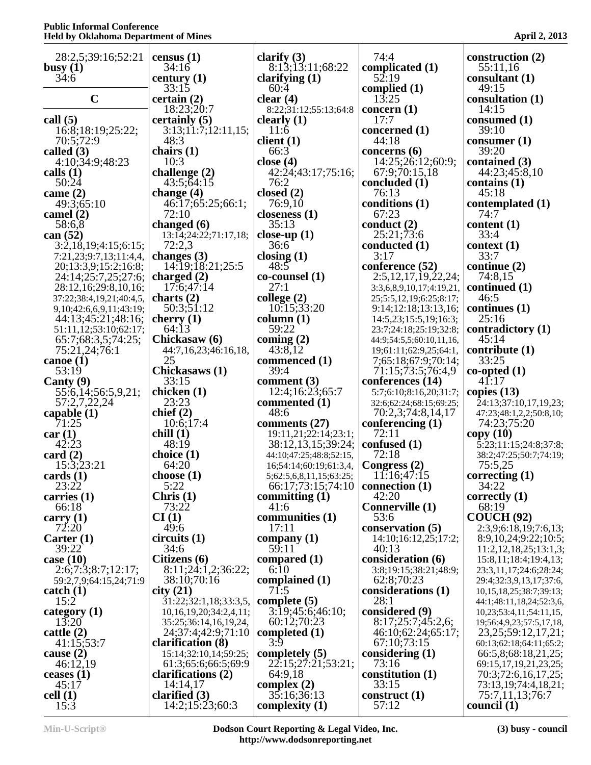| 28:2,5;39:16;52:21                                    | census $(1)$                                    | clarify $(3)$                                     | 74:4                                              | construction (2)                                    |
|-------------------------------------------------------|-------------------------------------------------|---------------------------------------------------|---------------------------------------------------|-----------------------------------------------------|
| busy $(1)$                                            | 34:16                                           | 8:13:13:11:68:22                                  | complicated (1)                                   | 55:11,16                                            |
| 34:6                                                  | century $(1)$                                   | clarifying $(1)$                                  | 52:19                                             | consultant $(1)$                                    |
| $\mathbf C$                                           | 33:15<br>certain(2)                             | 60:4<br>clear $(4)$                               | complied $(1)$<br>13:25                           | 49:15<br>consultation (1)                           |
|                                                       | 18:23:20:7                                      | 8:22;31:12;55:13;64:8                             | concern $(1)$                                     | 14:15                                               |
| call $(5)$                                            | certainly (5)                                   | clearly $(1)$                                     | 17:7                                              | consumed (1)                                        |
| 16:8;18:19;25:22;                                     | 3:13;11:7;12:11,15;                             | 11:6                                              | concerned (1)                                     | 39:10                                               |
| 70:5;72:9                                             | 48:3                                            | client $(1)$                                      | 44:18                                             | $\text{cosumer} (1)$                                |
| called $(3)$                                          | chairs $(1)$                                    | 66:3                                              | concerns $(6)$                                    | 39:20                                               |
| 4:10;34:9;48:23<br>calls $(1)$                        | 10:3<br>challenge $(2)$                         | close $(4)$<br>42:24;43:17;75:16;                 | 14:25;26:12;60:9;<br>67:9;70:15,18                | contained (3)<br>44:23;45:8,10                      |
| 50:24                                                 | 43:5:64:15                                      | 76:2                                              | concluded (1)                                     | contains $(1)$                                      |
| came $(2)$                                            | change $(4)$                                    | closed $(2)$                                      | 76:13                                             | 45:18                                               |
| 49:3:65:10                                            | 46:17;65:25;66:1;                               | 76:9,10                                           | conditions (1)                                    | contemplated (1)                                    |
| camel $(2)$                                           | 72:10                                           | closeness $(1)$                                   | 67:23                                             | 74:7                                                |
| 58:6,8                                                | changed $(6)$                                   | 35:13                                             | conduct $(2)$                                     | content $(1)$<br>33:4                               |
| can $(52)$<br>3:2,18,19;4:15;6:15;                    | 13:14;24:22;71:17,18;<br>72:2,3                 | close-up $(1)$<br>36:6                            | 25:21;73:6<br>conducted $(1)$                     | context(1)                                          |
| 7:21,23;9:7,13;11:4,4,                                | changes $(3)$                                   | closing $(1)$                                     | 3:17                                              | 33:7                                                |
| 20;13:3,9;15:2;16:8;                                  | 14:19:18:21:25:5                                | 48:5                                              | conference (52)                                   | continue $(2)$                                      |
| 24:14;25:7,25;27:6;                                   | charged $(2)$                                   | co-counsel (1)                                    | 2:5,12,17,19,22,24;                               | 74:8,15                                             |
| 28:12,16;29:8,10,16;                                  | 17:6;47:14                                      | 27:1                                              | 3:3,6,8,9,10,17;4:19,21,                          | continued (1)                                       |
| 37:22;38:4,19,21;40:4,5,                              | charts $(2)$                                    | college $(2)$                                     | 25;5:5,12,19;6:25;8:17;                           | 46:5                                                |
| 9, 10; 42: 6, 6, 9, 11; 43: 19;<br>44:13:45:21:48:16: | 50:3;51:12<br>cherry $(1)$                      | 10:15;33:20<br>column (1)                         | 9:14;12:18;13:13,16;<br>14:5,23;15:5,19;16:3;     | continues $(1)$<br>25:16                            |
| 51:11,12;53:10;62:17;                                 | 64:13                                           | 59:22                                             | 23:7;24:18;25:19;32:8;                            | contradictory (1)                                   |
| 65:7;68:3,5;74:25;                                    | Chickasaw (6)                                   | coming $(2)$                                      | 44:9;54:5,5;60:10,11,16,                          | 45:14                                               |
| 75:21,24;76:1                                         | 44:7,16,23;46:16,18,                            | 43:8,12                                           | 19;61:11;62:9,25;64:1,                            | contribute $(1)$                                    |
| canoe $(1)$                                           | 25                                              | commenced (1)                                     | 7;65:18;67:9;70:14;                               | 33:25                                               |
| 53:19                                                 | Chickasaws (1)                                  | 39:4                                              | 71:15;73:5;76:4,9                                 | $co-opted(1)$                                       |
| Canty $(9)$                                           | 33:15<br>chicken (1)                            | comment $(3)$                                     | conferences (14)                                  | 41:17<br>copies $(13)$                              |
| 55:6,14;56:5,9,21;<br>57:2,7,22,24                    | 23:23                                           | 12:4;16:23;65:7<br>commented (1)                  | 5:7;6:10;8:16,20;31:7;<br>32:6;62:24;68:15;69:25; | 24:13;37:10,17,19,23;                               |
| capable $(1)$                                         | chief $(2)$                                     | 48:6                                              | 70:2,3;74:8,14,17                                 | 47:23;48:1,2,2;50:8,10;                             |
| 71:25                                                 | 10:6;17:4                                       | comments $(27)$                                   | conferencing $(1)$                                | 74:23;75:20                                         |
| car(1)                                                | chill(1)                                        | 19:11,21;22:14;23:1;                              | 72:11                                             | copy(10)                                            |
| 42:23                                                 | 48:19                                           | 38:12,13,15;39:24;                                | confused (1)                                      | $\overline{5:}23;11:15;24:8;37:8;$                  |
| card $(2)$<br>15:3;23:21                              | choice $(1)$<br>64:20                           | 44:10;47:25;48:8;52:15,<br>16;54:14;60:19;61:3,4, | 72:18<br>Congress (2)                             | 38:2;47:25;50:7;74:19;<br>75:5.25                   |
| cards $(1)$                                           | choose $(1)$                                    | 5;62:5,6,8,11,15;63:25;                           | 11:16;47:15                                       | correcting $(1)$                                    |
| 23:22                                                 | 5:22                                            | 66:17;73:15;74:10                                 | connection $(1)$                                  | 34:22                                               |
| carries $(1)$                                         | Christ (1)                                      | committing $(1)$                                  | 42:20                                             | correctly $(1)$                                     |
| 66:18                                                 | 73:22                                           | 41:6                                              | Connerville (1)                                   | 68:19                                               |
| carry $(1)$                                           | CI(1)                                           | communities (1)                                   | 53:6                                              | COUCH (92)                                          |
| 72:20<br>Carter $(1)$                                 | 49:6<br>circuits(1)                             | 17:11<br>company $(1)$                            | conservation (5)<br>14:10;16:12,25;17:2;          | 2:3,9;6:18,19;7:6,13;<br>8:9,10,24;9:22;10:5;       |
| 39:22                                                 | 34:6                                            | 59:11                                             | 40:13                                             | 11:2,12,18,25;13:1,3;                               |
| case $(10)$                                           | Citizens (6)                                    | compared (1)                                      | consideration (6)                                 | 15:8,11;18:4;19:4,13;                               |
| 2:6;7:3;8:7;12:17;                                    | 8:11;24:1,2;36:22;                              | 6:10                                              | 3:8;19:15;38:21;48:9;                             | 23:3,11,17;24:6;28:24;                              |
| 59:2,7,9;64:15,24;71:9                                | 38:10;70:16                                     | complained $(1)$                                  | 62:8;70:23                                        | 29:4;32:3,9,13,17;37:6,                             |
| $\text{catch} (1)$                                    | city(21)                                        | 71:5                                              | considerations (1)                                | 10, 15, 18, 25; 38: 7; 39: 13;                      |
| 15:2<br>category $(1)$                                | 31:22;32:1,18;33:3,5,                           | complete $(5)$<br>3:19;45:6;46:10;                | 28:1<br>considered (9)                            | 44:1;48:11,18,24;52:3,6,<br>10,23;53:4,11;54:11,15, |
| 13:20                                                 | 10,16,19,20;34:2,4,11;<br>35:25;36:14,16,19,24, | 60:12;70:23                                       | 8:17;25:7;45:2,6;                                 | 19;56:4,9,23;57:5,17,18,                            |
| cattle $(2)$                                          | 24;37:4;42:9;71:10                              | completed $(1)$                                   | 46:10;62:24;65:17;                                | 23, 25; 59: 12, 17, 21;                             |
| 41:15:53:7                                            | clarification (8)                               | 3:9                                               | 67:10;73:15                                       | 60:13;62:18;64:11;65:2;                             |
| cause $(2)$                                           | 15:14;32:10,14;59:25;                           | completely $(5)$                                  | considering (1)                                   | 66:5,8;68:18,21,25;                                 |
| 46:12,19                                              | 61:3;65:6;66:5;69:9                             | 22:15;27:21;53:21;                                | 73:16                                             | 69:15,17,19,21,23,25;                               |
| ceases $(1)$<br>45:17                                 | clarifications (2)<br>14:14,17                  | 64:9,18<br>complex $(2)$                          | constitution $(1)$<br>33:15                       | 70:3;72:6,16,17,25;                                 |
| cell(1)                                               | clarified $(3)$                                 | 35:16:36:13                                       | construct $(1)$                                   | 73:13,19;74:4,18,21;<br>75:7,11,13;76:7             |
| 15:3                                                  | 14:2;15:23;60:3                                 | complexity $(1)$                                  | 57:12                                             | council $(1)$                                       |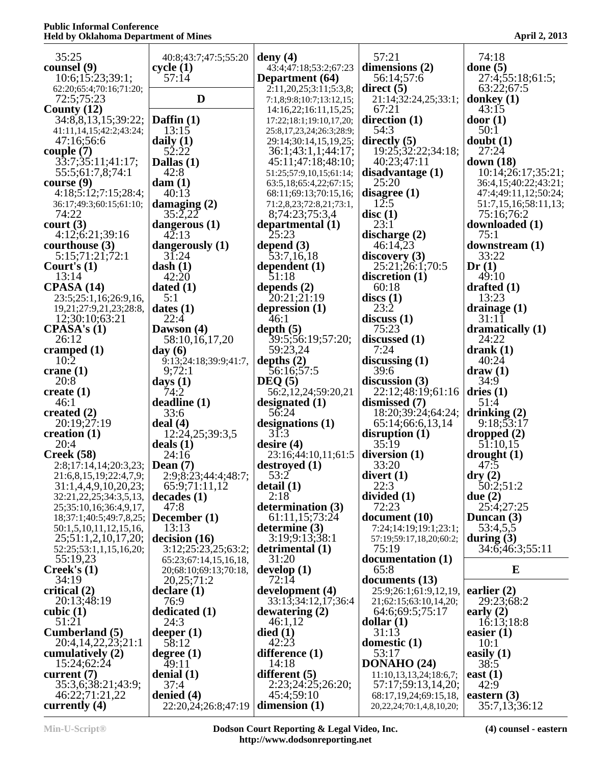| 35:25                                           | 40:8;43:7;47:5;55:20              | deny $(4)$                                          | 57:21                                            | 74:18                                        |
|-------------------------------------------------|-----------------------------------|-----------------------------------------------------|--------------------------------------------------|----------------------------------------------|
| counsel (9)                                     | cycle(1)                          | 43:4;47:18;53:2;67:23                               | dimensions $(2)$                                 | done $(5)$                                   |
| 10:6; 15:23; 39:1;                              | 57:14                             | Department (64)                                     | 56:14:57:6                                       | 27:4;55:18;61:5;                             |
| 62:20;65:4;70:16;71:20;                         |                                   | 2:11,20,25;3:11;5:3,8;                              | direct(5)                                        | 63:22;67:5                                   |
| 72:5;75:23                                      | D                                 | 7:1,8;9:8;10:7;13:12,15;                            | 21:14;32:24,25;33:1;                             | donkey $(1)$                                 |
| County $(12)$<br>34:8,8,13,15;39:22;            | Daffin $(1)$                      | 14:16,22;16:11,15,25;                               | 67:21<br>direction $(1)$                         | 43:15<br>door(1)                             |
| 41:11,14,15;42:2;43:24;                         | 13:15                             | 17:22;18:1;19:10,17,20;<br>25:8,17,23,24;26:3;28:9; | 54:3                                             | 50:1                                         |
| 47:16;56:6                                      | daily $(1)$                       | 29:14;30:14,15,19,25;                               | directly $(5)$                                   | doubt(1)                                     |
| couple $(7)$                                    | 52:22                             | 36:1;43:1,1;44:17;                                  | 19:25;32:22;34:18;                               | 27:24                                        |
| 33:7;35:11;41:17;                               | Dallas $(1)$                      | 45:11;47:18;48:10;                                  | 40:23;47:11                                      | down(18)                                     |
| 55:5;61:7,8;74:1                                | 42:8                              | 51:25;57:9,10,15;61:14;                             | disadvantage(1)                                  | 10:14;26:17;35:21;                           |
| course $(9)$<br>4:18;5:12;7:15;28:4;            | $\textbf{dam}(1)$<br>40:13        | 63:5,18;65:4,22;67:15;<br>68:11;69:13;70:15,16;     | 25:20<br>disagree $(1)$                          | 36:4,15:40:22:43:21;<br>47:4;49:11,12;50:24; |
| 36:17;49:3;60:15;61:10;                         | damaging $(2)$                    | 71:2,8,23;72:8,21;73:1,                             | 12:5                                             | 51:7,15,16;58:11,13;                         |
| 74:22                                           | 35:2,22                           | 8;74:23;75:3,4                                      | disc(1)                                          | 75:16;76:2                                   |
| $\text{court} (3)$                              | dangerous $(1)$                   | departmental $(1)$                                  | 23:1                                             | downloaded (1)                               |
| 4:12;6:21;39:16                                 | 42:13                             | 25:23                                               | discharge $(2)$                                  | 75:1                                         |
| courthouse $(3)$                                | dangerously $(1)$                 | depend $(3)$                                        | 46:14,23                                         | downstream (1)                               |
| 5:15;71:21;72:1<br>Court's $(1)$                | $3\overline{1:}24$<br>dash(1)     | $\overline{5}3:7,16,18$<br>dependent $(1)$          | discovery $(3)$<br>25:21;26:1;70:5               | 33:22<br>Dr(1)                               |
| 13:14                                           | 42:20                             | 51:18                                               | discretion $(1)$                                 | 49:10                                        |
| CPASA(14)                                       | dated $(1)$                       | depends $(2)$                                       | 60:18                                            | drafted $(1)$                                |
| 23:5;25:1,16;26:9,16,                           | 5:1                               | 20:21;21:19                                         | discs(1)                                         | 13:23                                        |
| 19,21;27:9,21,23;28:8,                          | dates(1)                          | depression $(1)$                                    | 23:2                                             | drainage $(1)$                               |
| 12;30:10;63:21                                  | 22:4                              | 46:1                                                | discuss(1)<br>75:23                              | 31:11                                        |
| CPASA's(1)<br>26:12                             | Dawson (4)<br>58:10,16,17,20      | depth(5)<br>39:5;56:19;57:20;                       | discussed $(1)$                                  | dramatically (1)<br>24:22                    |
| cramped $(1)$                                   | day(6)                            | 59:23,24                                            | 7:24                                             | drank(1)                                     |
| 10:2                                            | 9:13;24:18;39:9;41:7,             | depths $(2)$                                        | discussing $(1)$                                 | 40:24                                        |
| crane $(1)$                                     | 9:72:1                            | 56:16;57:5                                          | 39:6                                             | $draw (1)$                                   |
| 20:8                                            | days $(1)$                        | DEQ(5)                                              | discussion $(3)$                                 | 34:9                                         |
| create $(1)$<br>46:1                            | 74:2<br>deadline(1)               | 56:2,12,24;59:20,21<br>designated $(1)$             | 22:12;48:19;61:16<br>dismissed (7)               | dries $(1)$<br>51:4                          |
| created $(2)$                                   | 33:6                              | 56:24                                               | 18:20;39:24;64:24;                               | drinking $(2)$                               |
| 20:19;27:19                                     | deal(4)                           | designations $(1)$                                  | 65:14;66:6,13,14                                 | 9:18;53:17                                   |
| creation $(1)$                                  | 12:24,25;39:3,5                   | 31:3                                                | disruption $(1)$                                 | dropped $(2)$                                |
| 20:4                                            | deals $(1)$                       | desire $(4)$                                        | 35:19                                            | 51:10,15                                     |
| Creek(58)                                       | 24:16                             | 23:16;44:10,11;61:5                                 | diversion $(1)$                                  | $\frac{drought}{1}$                          |
| 2:8;17:14,14;20:3,23;<br>21:6,8,15,19;22:4,7,9; | Dean $(7)$<br>2:9;8:23;44:4;48:7; | destroyed(1)<br>53:2                                | 33:20<br>divert $(1)$                            | 47:5                                         |
| 31:1,4,4,9,10,20,23;                            | 65:9;71:11,12                     | delta(1)                                            | 22:3                                             | dry (2)<br>50:2;51:2                         |
| 32:21, 22, 25; 34: 3, 5, 13,                    | decades(1)                        | 2:18                                                | divided $(1)$                                    | due (2)                                      |
| 25;35:10,16;36:4,9,17,                          | 47:8                              | determination (3)                                   | 72:23                                            | 25:4;27:25                                   |
| 18;37:1;40:5;49:7,8,25;                         | December (1)                      | 61:11,15;73:24                                      | document (10)                                    | Duncan $(3)$                                 |
| 50:1,5,10,11,12,15,16,<br>25,51:1,2,10,17,20;   | 13:13<br>decision (16)            | determine $(3)$<br>3:19;9:13;38:1                   | 7:24;14:19;19:1;23:1;<br>57:19:59:17,18,20:60:2; | 53:4,5,5<br>during $(3)$                     |
| 52:25;53:1,1,15,16,20;                          | 3:12;25:23,25;63:2;               | detrimental (1)                                     | 75:19                                            | 34:6;46:3;55:11                              |
| 55:19,23                                        | 65:23;67:14,15,16,18,             | 31:20                                               | documentation (1)                                |                                              |
| Creek's (1)                                     | 20;68:10;69:13;70:18,             | develp(1)                                           | 65:8                                             | E                                            |
| 34:19                                           | 20,25;71:2                        | 72:14                                               | documents $(13)$                                 |                                              |
| critical (2)<br>20:13;48:19                     | $\text{ declare } (1)$            | development (4)                                     | 25:9;26:1;61:9,12,19,                            | earlier $(2)$                                |
| cubic $(1)$                                     | 76:9<br>dedicated (1)             | 33:13:34:12,17:36:4<br>dewatering $(2)$             | 21;62:15;63:10,14,20;<br>64:6;69:5;75:17         | 29:23;68:2<br>early $(2)$                    |
| 51:21                                           | 24:3                              | 46:1,12                                             | $\text{dollar}(1)$                               | 16:13:18:8                                   |
| Cumberland (5)                                  | deeper $(1)$                      | died(1)                                             | 31:13                                            | easier $(1)$                                 |
| 20:4,14,22,23;21:1                              | 58:12                             | 42:23                                               | domestic $(1)$                                   | 10:1                                         |
| cumulatively (2)                                | degree $(1)$                      | difference $(1)$                                    | 53:17                                            | easily $(1)$                                 |
| 15:24;62:24<br>current $(7)$                    | 49:11<br>denial $(1)$             | 14:18<br>different $(5)$                            | DOMABO(24)<br>11:10,13,13,24;18:6,7;             | 38:5<br>east $(1)$                           |
| 35:3,6;38:21;43:9;                              | 37:4                              | 2:23;24:25;26:20;                                   | 57:17;59:13,14,20;                               | 42:9                                         |
| 46:22;71:21,22                                  | denied (4)                        | 45:4;59:10                                          | 68:17,19,24;69:15,18,                            | eastern $(3)$                                |
| currently $(4)$                                 | 22:20,24;26:8;47:19               | dimension $(1)$                                     | 20, 22, 24; 70: 1, 4, 8, 10, 20;                 | 35:7,13;36:12                                |

**Min-U-Script® Dodson Court Reporting & Legal Video, Inc. http://www.dodsonreporting.net**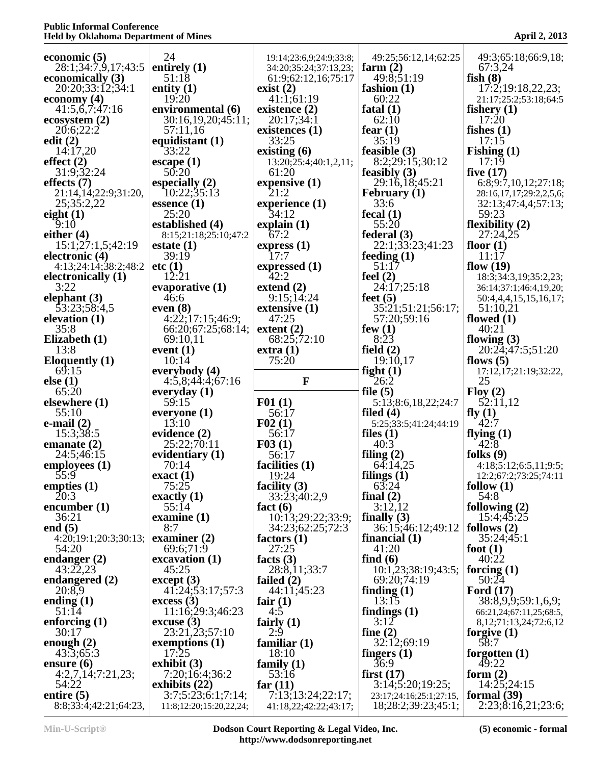| economic $(5)$                          | 24                                      | 19:14;23:6,9;24:9;33:8;                      | 49:25;56:12,14;62:25                 | 49:3;65:18;66:9,18;                                |
|-----------------------------------------|-----------------------------------------|----------------------------------------------|--------------------------------------|----------------------------------------------------|
| 28:1;34:7,9,17;43:5<br>economically (3) | entirely $(1)$<br>51:18                 | 34:20;35:24;37:13,23;<br>61:9;62:12,16;75:17 | farm $(2)$<br>49:8;51:19             | 67:3,24<br>fish $(8)$                              |
| 20:20;33:12;34:1                        | entity $(1)$                            | exist $(2)$                                  | fashion $(1)$                        | 17:2;19:18,22,23;                                  |
| economy (4)                             | 19:20                                   | 41:1;61:19                                   | 60:22                                | 21:17;25:2;53:18;64:5                              |
| 41:5,6,7;47:16<br>ecosystem(2)          | environmental (6)<br>30:16,19,20;45:11; | existence $(2)$<br>20:17;34:1                | fatal $(1)$<br>62:10                 | fishery $(1)$<br>17:20                             |
| 20:6;22:2                               | 57:11,16                                | existences $(1)$                             | fear $(1)$                           | fishes $(1)$                                       |
| edit $(2)$                              | equidistant (1)                         | 33:25                                        | 35:19                                | 17:15                                              |
| 14:17.20                                | 33:22                                   | existing $(6)$                               | feasible $(3)$                       | Fishing $(1)$                                      |
| effect $(2)$<br>31:9;32:24              | escape $(1)$<br>50:20                   | 13:20;25:4;40:1,2,11;<br>61:20               | 8:2;29:15;30:12<br>feasibly $(3)$    | 17:19<br>five $(17)$                               |
| effects $(7)$                           | especially $(2)$                        | expensive $(1)$                              | 29:16,18;45:21                       | 6:8;9:7,10,12;27:18;                               |
| 21:14,14;22:9;31:20,                    | 10:22;35:13                             | 21:2                                         | <b>February</b> (1)                  | 28:16,17,17;29:2,2,5,6;                            |
| 25;35:2,22<br>eight $(1)$               | essence $(1)$<br>25:20                  | experience $(1)$<br>34:12                    | 33:6<br>fecal $(1)$                  | 32:13;47:4,4;57:13;<br>59:23                       |
| 9:10                                    | established (4)                         | explain(1)                                   | 55:20                                | flexibility $(2)$                                  |
| either $(4)$                            | 8:15;21:18;25:10;47:2                   | 67:2                                         | federal $(3)$                        | 27:24,25                                           |
| 15:1;27:1,5:42:19<br>electronic (4)     | estate $(1)$<br>39:19                   | express(1)<br>17:7                           | 22:1;33:23;41:23<br>feeding $(1)$    | floor $(1)$<br>11:17                               |
| 4:13;24:14;38:2;48:2                    | etc(1)                                  | expressed $(1)$                              | 51:17                                | flow $(19)$                                        |
| electronically (1)                      | 12:21                                   | 42:2                                         | feel $(2)$                           | 18:3;34:3,19;35:2,23;                              |
| 3:22<br>elephant $(3)$                  | evaporative $(1)$<br>46:6               | extend $(2)$<br>9:15;14:24                   | 24:17;25:18                          | 36:14;37:1;46:4,19,20;                             |
| 53:23;58:4,5                            | even $(8)$                              | extensive $(1)$                              | feet $(5)$<br>35:21;51:21;56:17;     | 50:4,4,4,15,15,16,17;<br>51:10,21                  |
| elevation $(1)$                         | 4:22;17:15;46:9;                        | 47:25                                        | 57:20;59:16                          | flowed $(1)$                                       |
| 35:8                                    | 66:20;67:25;68:14;                      | extent $(2)$                                 | few $(1)$<br>8:23                    | 40:21                                              |
| Elizabeth (1)<br>13:8                   | 69:10,11<br>event $(1)$                 | 68:25;72:10<br>extra(1)                      | field $(2)$                          | flowing $(3)$<br>20:24;47:5;51:20                  |
| <b>Eloquently (1)</b>                   | 10:14                                   | 75:20                                        | 19:10,17                             | flows $(5)$                                        |
| 69:15                                   | everybody (4)                           | $\mathbf{F}$                                 | fight $(1)$                          | 17:12,17;21:19;32:22,<br>25                        |
| else(1)<br>65:20                        | 4:5,8;44:4;67:16<br>everyday $(1)$      |                                              | 26:2<br>file $(5)$                   | Flow(2)                                            |
| elsewhere $(1)$                         | 59:15                                   | F01(1)                                       | 5:13;8:6,18,22;24:7                  | 52:11,12                                           |
| 55:10                                   | everyone $(1)$                          | 56:17                                        | filed $(4)$                          | fly $(1)$                                          |
| e-mail $(2)$<br>15:3:38:5               | 13:10<br>evidence (2)                   | F02(1)<br>56:17                              | 5:25;33:5;41:24;44:19<br>files $(1)$ | 42:7<br>flying $(1)$                               |
| emanate $(2)$                           | 25:22;70:11                             | F03(1)                                       | 40:3                                 | 42:8                                               |
| 24:5:46:15                              | evidentiary (1)                         | 56:17                                        | filing $(2)$                         | folks $(9)$                                        |
| employees $(1)$<br>55:9                 | 70:14<br>exact(1)                       | facilities (1)<br>19:24                      | 64:14,25<br>filings $(1)$            | 4:18;5:12;6:5,11;9:5;<br>12:2;67:2;73:25;74:11     |
| empties $(1)$                           | 75:25                                   | facility $(3)$                               | 63:24                                | follow $(1)$                                       |
| 20:3                                    | exactly $(1)$                           | 33:23;40:2,9                                 | final $(2)$                          | 54:8                                               |
| encumber $(1)$<br>36:21                 | 55:14<br>examine $(1)$                  | fact $(6)$<br>10:13;29:22;33:9;              | 3:12,12<br>finally $(3)$             | following $(2)$<br>15:4;45:25                      |
| end $(5)$                               | 8:7                                     | 34:23;62:25;72:3                             | 36:15;46:12;49:12                    | follows $(2)$                                      |
| 4:20;19:1;20:3;30:13;                   | examiner $(2)$                          | factors $(1)$                                | financial $(1)$                      | 35:24;45:1                                         |
| 54:20<br>endanger $(2)$                 | 69:6;71:9<br>excavation (1)             | 27:25<br>facts $(3)$                         | 41:20<br>find $(6)$                  | foot $(1)$<br>40:22                                |
| 43:22,23                                | 45:25                                   | 28:8,11;33:7                                 | 10:1,23;38:19;43:5;                  | forcing $(1)$                                      |
| endangered $(2)$                        | except (3)                              | failed $(2)$                                 | 69:20;74:19                          | 50:24                                              |
| 20:8,9<br>ending $(1)$                  | 41:24;53:17;57:3<br>excess(3)           | 44:11;45:23<br>fair $(1)$                    | finding $(1)$<br>13:15               | Ford $(17)$<br>38:8,9,9;59:1,6,9;                  |
| 51:14                                   | 11:16;29:3;46:23                        | 4:5                                          | findings $(1)$                       | 66:21,24;67:11,25;68:5,                            |
| enforcing $(1)$                         | $\csc{usc}$ (3)                         | fairly $(1)$                                 | 3:12                                 | 8, 12, 71: 13, 24, 72: 6, 12                       |
| 30:17<br>enough $(2)$                   | 23:21,23;57:10<br>exemptions (1)        | 2:9<br>familiar $(1)$                        | fine $(2)$<br>32:12;69:19            | forgive $(1)$<br>58:7                              |
| 43:3;65:3                               | 17:25                                   | 18:10                                        | fingers $(1)$                        | forgotten $(1)$                                    |
| ensure $(6)$                            | exhibit $(3)$                           | family $(1)$                                 | 36:9                                 | 49:22                                              |
| 4:2,7,14;7:21,23;<br>54:22              | 7:20;16:4;36:2                          | 53:16                                        | first $(17)$<br>3:14;5:20;19:25;     | form $(2)$                                         |
|                                         |                                         |                                              |                                      |                                                    |
| entire $(5)$                            | exhibits $(22)$<br>3:7;5:23;6:1;7:14;   | far $(11)$<br>7:13;13:24;22:17;              | 23:17;24:16;25:1;27:15,              | 14:25;24:15<br>formal $(39)$<br>2:23;8:16,21;23:6; |

**Min-U-Script® Dodson Court Reporting & Legal Video, Inc. http://www.dodsonreporting.net**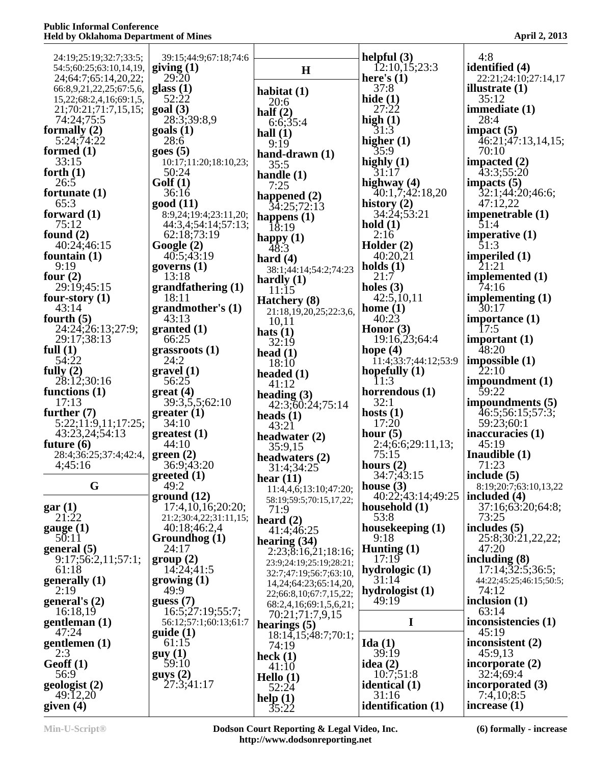| 24:19;25:19;32:7;33:5;                | 39:15;44:9;67:18;74:6             |                                           | helpful $(3)$                      | 4:8                                 |
|---------------------------------------|-----------------------------------|-------------------------------------------|------------------------------------|-------------------------------------|
| 54:5;60:25;63:10,14,19,               | giving $(1)$                      | H                                         | $\overline{12:10,15;23:3}$         | identified (4)                      |
| 24;64:7;65:14,20,22;                  | 29:20                             |                                           | here's $(1)$                       | 22:21;24:10;27:14,17                |
| 66:8,9,21,22,25;67:5,6,               | glass $(1)$                       | habitat $(1)$                             | 37:8                               | illustrate $(1)$                    |
| 15, 22; 68: 2, 4, 16; 69: 1, 5,       | 52:22<br>goal(3)                  | 20:6                                      | hide $(1)$<br>27:22                | 35:12                               |
| 21;70:21;71:7,15,15;<br>74:24:75:5    | 28:3:39:8,9                       | half $(2)$                                | high $(1)$                         | immediate $(1)$<br>28:4             |
| formally $(2)$                        | $\text{goals}$ (1)                | 6:6;35:4<br>hall $(1)$                    | 31:3                               | impact $(5)$                        |
| 5:24;74:22                            | 28:6                              | 9:19                                      | higher $(1)$                       | 46:21;47:13,14,15;                  |
| formed $(1)$                          | goes(5)                           | hand-drawn $(1)$                          | 35:9                               | 70:10                               |
| 33:15                                 | 10:17;11:20;18:10,23;             | 35:5                                      | highly $(1)$                       | impacted $(2)$                      |
| forth $(1)$                           | 50:24                             | handle $(1)$                              | 31:17                              | 43:3:55:20                          |
| 26:5<br>fortunate $(1)$               | Golf(1)<br>36:16                  | 7:25                                      | highway (4)<br>40:1,7;42:18,20     | impacts $(5)$<br>32:1;44:20;46:6;   |
| 65:3                                  | good (11)                         | happened $(2)$                            | history $(2)$                      | 47:12,22                            |
| forward $(1)$                         | 8:9,24;19:4;23:11,20;             | 34:25;72:13<br>happens $(1)$              | 34:24;53:21                        | impenetrable $(1)$                  |
| 75:12                                 | 44:3,4;54:14;57:13;               | 18:19                                     | hold $(1)$                         | 51:4                                |
| found $(2)$                           | 62:18;73:19                       |                                           | 2:16                               | imperative $(1)$                    |
| 40:24;46:15                           | Google(2)                         | happy (1) $48:3$                          | Holder (2)                         | 51:3                                |
| fountain $(1)$                        | 40:5;43:19                        | hard $(4)$                                | 40:20,21                           | imperiled $(1)$<br>21:21            |
| 9:19<br>four $(2)$                    | governs $(1)$<br>13:18            | 38:1;44:14;54:2;74:23                     | holds $(1)$<br>21:7                | implemented (1)                     |
| 29:19:45:15                           | grandfathering (1)                | hardly $(1)$<br>11:15                     | holes $(3)$                        | 74:16                               |
| four-story $(1)$                      | 18:11                             | Hatchery (8)                              | 42:5,10,11                         | implementing $(1)$                  |
| 43:14                                 | grandmother's (1)                 | 21:18,19,20,25;22:3,6,                    | home $(1)$                         | 30:17                               |
| fourth $(5)$                          | 43:13                             | 10,11                                     | 40:23                              | importance $(1)$                    |
| 24:24;26:13;27:9;                     | granted (1)                       | hats $(1)$                                | Honor $(3)$                        | 17:5                                |
| 29:17;38:13<br>full $(1)$             | 66:25                             | 32:19                                     | 19:16,23;64:4<br>hope $(4)$        | important $(1)$<br>48:20            |
| 54:22                                 | grass roots(1)<br>24:2            | head $(1)$                                | $\overline{1}$ 1:4;33:7;44:12;53:9 | impossible(1)                       |
| fully $(2)$                           | gravel(1)                         | 18:10<br>headed $(1)$                     | hopefully $(1)$                    | $\bar{2}2:10$                       |
| 28:12;30:16                           | 56:25                             | 41:12                                     | 11:3                               | impoundment $(1)$                   |
| functions $(1)$                       | $gr$ ereat (4)                    | heading $(3)$                             | horrendous (1)                     | 59:22                               |
| 17:13                                 | 39:3,5,5;62:10                    | 42:3;60:24;75:14                          | 32:1                               | impoundments (5)                    |
| further $(7)$                         | greater(1)<br>34:10               | heads $(1)$                               | hosts $(1)$<br>17:20               | 46:5;56:15;57:3;<br>59:23;60:1      |
| 5:22;11:9,11;17:25;<br>43:23,24;54:13 | greatest (1)                      | 43:21                                     | hour $(5)$                         | inaccuracies $(1)$                  |
| future $(6)$                          | 44:10                             | headwater $(2)$<br>35:9,15                | 2:4;6:6;29:11,13;                  | 45:19                               |
| 28:4;36:25;37:4;42:4,                 | green(2)                          | headwaters $(2)$                          | 75:15                              | Inaudible $(1)$                     |
| 4;45:16                               | 36:9;43:20                        | 31:4;34:25                                | hours $(2)$                        | 71:23                               |
|                                       | greeted(1)                        | hear $(11)$                               | 34:7;43:15                         | include $(5)$                       |
| G                                     | 49:2                              | 11:4,4,6;13:10;47:20;                     | house $(3)$                        | 8:19;20:7;63:10,13,22               |
| gar(1)                                | ground(12)<br>17:4,10,16;20:20;   | 58:19;59:5;70:15,17,22;                   | 40:22;43:14;49:25                  | included $(4)$<br>37:16;63:20;64:8; |
| 21:22                                 | 21:2;30:4,22;31:11,15;            | 71:9                                      | household $(1)$<br>53:8            | 73:25                               |
| gauge(1)                              | 40:18:46:2,4                      | heard $(2)$<br>41:4;46:25                 | housekeeping (1)                   | includes $(5)$                      |
| 50:11                                 | Groundhog (1)                     | hearing $(34)$                            | 9:18                               | 25:8;30:21,22,22;                   |
| general (5)                           | 24:17                             | 2:23;8:16,21;18:16;                       | Hunting $(1)$                      | 47:20                               |
| 9:17;56:2,11;57:1;                    | group(2)                          | 23:9;24:19;25:19;28:21;                   | 17:19                              | including $(8)$                     |
| 61:18                                 | 14:24;41:5                        | 32:7;47:19;56:7;63:10,                    | hydrologic $(1)$                   | 17:14;32:5;36:5;                    |
| generally (1)<br>2:19                 | $\mathbf{g}$ rowing $(1)$<br>49:9 | 14, 24; 64: 23; 65: 14, 20,               | 31:14<br>hydrologist (1)           | 44:22;45:25;46:15;50:5;<br>74:12    |
| general's $(2)$                       | guess(7)                          | 22;66:8,10;67:7,15,22;                    | 49:19                              | inclusion $(1)$                     |
| 16:18,19                              | 16:5;27:19;55:7;                  | 68:2,4,16;69:1,5,6,21;<br>70:21;71:7,9,15 |                                    | 63:14                               |
| gentleman (1)                         | 56:12;57:1;60:13;61:7             | hearings $(5)$                            | I                                  | inconsistencies (1)                 |
| 47:24                                 | guide(1)                          | 18:14, 15; 48:7; 70:1;                    |                                    | 45:19                               |
| gentlemen $(1)$                       | 61:15                             | 74:19                                     | Ida $(1)$                          | inconsistent (2)                    |
| 2:3                                   | guy(1)                            | heck $(1)$                                | 39:19                              | 45:9,13                             |
| Geoff(1)<br>56:9                      | 59:10<br>guys(2)                  | 41:10                                     | idea $(2)$<br>10:7;51:8            | incorporate $(2)$<br>32:4;69:4      |
| geologist (2)                         | 27:3;41:17                        | Hello $(1)$                               | identical (1)                      | incorporated (3)                    |
| 49:12,20                              |                                   | 52:24<br>help(1)                          | 31:16                              | 7:4,10;8:5                          |
| given $(4)$                           |                                   | 35:22                                     | identification (1)                 | increase $(1)$                      |
|                                       |                                   |                                           |                                    |                                     |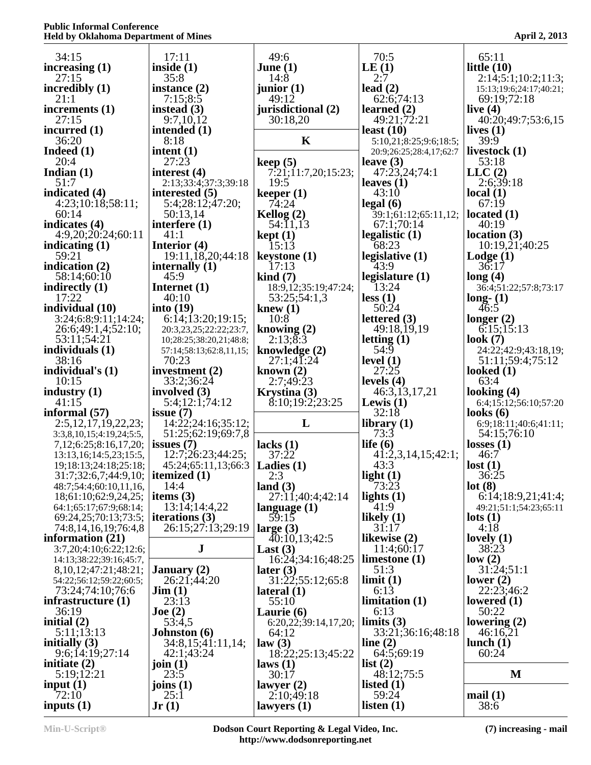| 34:15                                                         | 17:11                                              | 49:6                                | 70:5                          | 65:11                               |
|---------------------------------------------------------------|----------------------------------------------------|-------------------------------------|-------------------------------|-------------------------------------|
| increasing $(1)$                                              | inside $(1)$                                       | June $(1)$                          | LE(1)                         | little $(10)$                       |
| 27:15                                                         | 35:8                                               | 14:8                                | 2:7                           | 2:14;5:1;10:2;11:3;                 |
| incredibly $(1)$                                              | instance $(2)$                                     | junior $(1)$                        | lead $(2)$                    | 15:13;19:6;24:17;40:21;             |
| 21:1                                                          | 7:15;8:5                                           | 49:12                               | 62:6;74:13                    | 69:19;72:18                         |
| increments $(1)$<br>27:15                                     | instead $(3)$<br>9:7,10,12                         | jurisdictional (2)<br>30:18,20      | learned $(2)$<br>49:21;72:21  | live $(4)$<br>40:20;49:7;53:6,15    |
| incurred $(1)$                                                | intended (1)                                       |                                     | least $(10)$                  | lives $(1)$                         |
| 36:20                                                         | 8:18                                               | K                                   | 5:10,21;8:25;9:6;18:5;        | 39:9                                |
| Indeed $(1)$                                                  | intent $(1)$                                       |                                     | 20:9;26:25;28:4,17;62:7       | livestock $(1)$                     |
| 20:4                                                          | 27:23                                              | keep(5)                             | leave $(3)$                   | 53:18                               |
| Indian $(1)$<br>51:7                                          | interest (4)<br>2:13;33:4;37:3;39:18               | 7:21;11:7,20;15:23;<br>19:5         | 47:23,24;74:1<br>leaves $(1)$ | LLC(2)<br>2:6;39:18                 |
| indicated (4)                                                 | interested (5)                                     | keeper $(1)$                        | 43:10                         | local $(1)$                         |
| 4:23;10:18;58:11;                                             | 5:4;28:12;47:20;                                   | 74:24                               | $\text{legal } (6)$           | 67:19                               |
| 60:14                                                         | 50:13,14                                           | Kellog $(2)$                        | 39:1;61:12;65:11,12;          | located $(1)$                       |
| indicates $(4)$                                               | interfere $(1)$                                    | 54:11,13                            | 67:1;70:14                    | 40:19                               |
| 4:9,20;20:24;60:11                                            | 41:1                                               | $\text{kept}(1)$                    | legalistic $(1)$              | location(3)                         |
| indicating $(1)$<br>59:21                                     | Interior $(4)$<br>19:11, 18, 20; 44: 18            | 15:13<br>$keystone (1)$             | 68:23<br>legislative (1)      | 10:19,21;40:25<br>$\text{Lodge}(1)$ |
| indication (2)                                                | internally $(1)$                                   | 17:13                               | 43:9                          | 36:17                               |
| 58:14:60:10                                                   | 45:9                                               | $\operatorname{kind}(7)$            | legislature $(1)$             | long(4)                             |
| indirectly $(1)$                                              | Internet $(1)$                                     | 18:9,12;35:19;47:24;                | 13:24                         | 36:4;51:22;57:8;73:17               |
| 17:22                                                         | 40:10                                              | 53:25;54:1,3                        | less(1)                       | $long-1$                            |
| individual (10)                                               | into $(19)$                                        | knew $(1)$                          | 50:24                         | 46:5                                |
| 3:24;6:8;9:11;14:24;                                          | 6:14;13:20;19:15;                                  | 10:8                                | lettered $(3)$                | longer $(2)$                        |
| 26:6;49:1,4;52:10;                                            | 20:3,23,25;22:22;23:7,                             | knowing $(2)$                       | 49:18,19,19                   | 6:15;15:13                          |
| 53:11;54:21<br>individuals $(1)$                              | 10;28:25;38:20,21;48:8;<br>57:14;58:13;62:8,11,15; | 2:13;8:3<br>knowledge $(2)$         | letting $(1)$<br>54:9         | look $(7)$<br>24:22;42:9;43:18,19;  |
| 38:16                                                         | 70:23                                              | 27:1;41:24                          | level $(1)$                   | 51:11;59:4;75:12                    |
| individual's (1)                                              | investment $(2)$                                   | known $(2)$                         | 27:25                         | looked $(1)$                        |
| 10:15                                                         | 33:2;36:24                                         | 2:7;49:23                           | levels $(4)$                  | 63:4                                |
|                                                               |                                                    |                                     |                               |                                     |
| industry $(1)$                                                | involved $(3)$                                     | Krystina (3)                        | 46:3,13,17,21                 | looking $(4)$                       |
| 41:15                                                         | 5:4;12:1;74:12                                     | $\{8:10;19:2;23:25\}$               | Lewis $(1)$                   | 6:4;15:12;56:10;57:20               |
|                                                               | issue $(7)$                                        |                                     | 32:18                         | looks $(6)$                         |
| 2:5,12,17,19,22,23;                                           | 14:22;24:16;35:12;                                 | L                                   | library $(1)$                 | 6:9;18:11;40:6;41:11;               |
| 3:3,8,10,15;4:19,24;5:5,                                      | 51:25;62:19;69:7,8                                 |                                     | 73:3                          | 54:15;76:10                         |
| 7, 12; 6: 25; 8: 16, 17, 20;                                  | issues $(7)$                                       | lacks $(1)$                         | life $(6)$                    | losses $(1)$                        |
| 13:13, 16:14: 5, 23: 15: 5,                                   | 12:7;26:23;44:25;                                  | 37:22                               | 41:2,3,14,15;42:1;            | 46:7                                |
| 19;18:13;24:18;25:18;                                         | 45:24;65:11,13;66:3                                | Ladies $(1)$<br>2:3                 | 43:3                          | lost(1)<br>36:25                    |
| 31:7;32:6,7;44:9,10;   itemized (1)<br>48:7;54:4;60:10,11,16, | 14:4                                               | land $(3)$                          | light $(1)$<br>73:23          | lot(8)                              |
| 18;61:10;62:9,24,25;                                          | items $(3)$                                        | 27:11;40:4;42:14                    | lights $(1)$                  | 6:14;18:9,21;41:4;                  |
| 64:1;65:17;67:9;68:14;                                        | 13:14;14:4,22                                      | language $(1)$                      | 41:9                          | 49:21;51:1;54:23;65:11              |
| 69:24,25;70:13;73:5;                                          | iterations $(3)$                                   | 59:15                               | likely $(1)$                  | $\text{lots} (1)$                   |
| 74:8, 14, 16, 19; 76:4, 8                                     | 26:15:27:13:29:19                                  | large $(3)$                         | 31:17                         | 4:18                                |
|                                                               | J                                                  | 40:10,13;42:5                       | likewise $(2)$                | lovely $(1)$                        |
| 3:7,20;4:10;6:22;12:6;<br>14:13;38:22;39:16;45:7,             |                                                    | Last $(3)$<br>16:24;34:16;48:25     | 11:4;60:17<br>limestone $(1)$ | 38:23<br>low(2)                     |
| 8, 10, 12, 47: 21, 48: 21,                                    | <b>January</b> (2)                                 | later $(3)$                         | 51:3                          | 31:24;51:1                          |
| 54:22;56:12;59:22;60:5;                                       | 26:21;44:20                                        | 31:22;55:12;65:8                    | limit(1)                      | lower $(2)$                         |
| 73:24;74:10;76:6                                              | $\textbf{Jim}$ (1)                                 | $\textbf{lateral} \left( 1 \right)$ | 6:13                          | 22:23;46:2                          |
| infrastructure $(1)$                                          | 23:13                                              | 55:10                               | limitation (1)                | lowered $(1)$                       |
| 36:19                                                         | $\textbf{Joe} \left( 2 \right)$                    | Laurie (6)                          | 6:13                          | 50:22                               |
| initial $(2)$                                                 | 53:4,5                                             | 6:20,22;39:14,17,20;                | limits $(3)$                  | lowering $(2)$                      |
| 5:11;13:13                                                    | <b>Johnston</b> (6)                                | 64:12                               | 33:21;36:16;48:18             | 46:16,21<br>lunch $(1)$             |
| initially $(3)$<br>9:6;14:19;27:14                            | 34:8,15;41:11,14;<br>42:1;43:24                    | law(3)<br>18:22;25:13;45:22         | line $(2)$<br>64:5;69:19      | 60:24                               |
| initiate $(2)$                                                | join $(1)$                                         | laws(1)                             | list(2)                       |                                     |
| informal $(57)$<br>information $(21)$<br>5:19;12:21           | 23:5                                               | 30:17                               | 48:12;75:5                    | M                                   |
| input $(1)$                                                   | joins $(1)$                                        | lawyer(2)                           | listed $(1)$                  |                                     |
| 72:10<br>inputs $(1)$                                         | 25:1<br>Jr(1)                                      | 2:10;49:18<br>lawyers $(1)$         | 59:24<br>listen $(1)$         | mail(1)<br>38:6                     |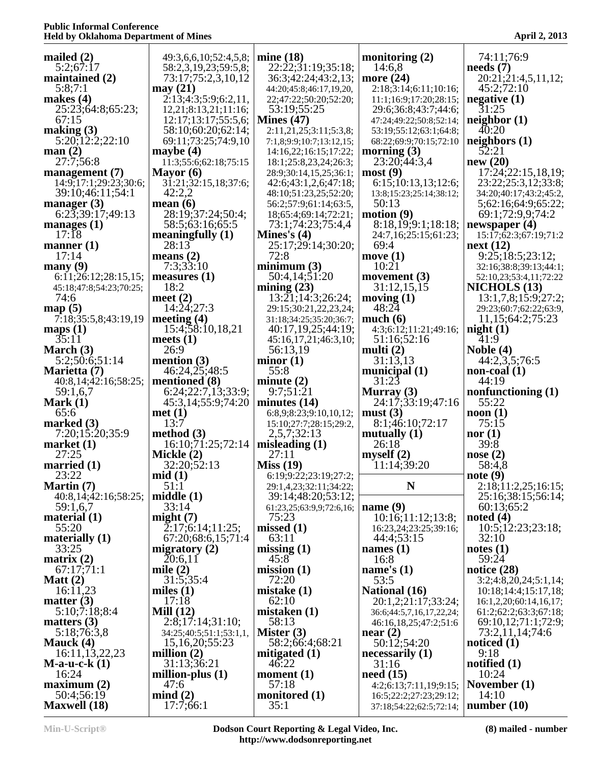| mailed $(2)$                                                                                            | 49:3,6,6,10;52:4,5,8;      | mine $(18)$              | monitoring $(2)$         | 74:11:76:9                        |
|---------------------------------------------------------------------------------------------------------|----------------------------|--------------------------|--------------------------|-----------------------------------|
| 5:2:67:17                                                                                               | 58:2,3,19,23;59:5,8;       | 22:22:31:19:35:18;       | 14:6,8                   | $\boldsymbol{\mathrm{needs}}$ (7) |
|                                                                                                         |                            |                          |                          |                                   |
| maintained (2)                                                                                          | 73:17;75:2,3,10,12         | 36:3;42:24;43:2,13;      | more $(24)$              | 20:21:21:4,5,11,12;               |
| 5:8;7:1                                                                                                 | may $(21)$                 | 44:20;45:8;46:17,19,20,  | 2:18;3:14;6:11;10:16;    | 45:2;72:10                        |
| makes $(4)$                                                                                             | 2:13;4:3;5:9;6:2,11,       |                          |                          | negative $(1)$                    |
|                                                                                                         |                            | 22;47:22;50:20;52:20;    | 11:1;16:9;17:20;28:15;   |                                   |
| 25:23;64:8;65:23;                                                                                       | 12,21;8:13,21;11:16;       | 53:19;55:25              | 29:6;36:8;43:7;44:6;     | 31:25                             |
| 67:15                                                                                                   | 12:17;13:17;55:5,6;        | Mines $(47)$             | 47:24;49:22;50:8;52:14;  | neighbour(1)                      |
|                                                                                                         |                            |                          |                          | 40:20                             |
| making $(3)$                                                                                            | 58:10;60:20;62:14;         | 2:11,21,25;3:11;5:3,8;   | 53:19;55:12;63:1;64:8;   |                                   |
| $5:20$ ; $12:2$ ; $22:10$                                                                               | 69:11;73:25;74:9,10        | 7:1,8;9:9;10:7;13:12,15; | 68:22;69:9;70:15;72:10   | neighbors $(1)$                   |
| man(2)                                                                                                  | maybe $(4)$                | 14:16,22;16:15;17:22;    | morning $(3)$            | 52:21                             |
|                                                                                                         |                            |                          |                          |                                   |
| 27:7;56:8                                                                                               | 11:3;55:6;62:18;75:15      | 18:1;25:8,23,24;26:3;    | 23:20, 44:3, 4           | new(20)                           |
| management (7)                                                                                          | Mayor $(6)$                | 28:9;30:14,15,25;36:1;   | most(9)                  | 17:24;22:15,18,19;                |
| 14:9;17:1;29:23;30:6;                                                                                   | 31:21;32:15,18;37:6;       | 42:6;43:1,2,6;47:18;     | 6:15;10:13,13;12:6;      | 23:22;25:3,12;33:8;               |
|                                                                                                         |                            |                          |                          |                                   |
| 39:10;46:11;54:1                                                                                        | 42:2,2                     | 48:10;51:23,25;52:20;    | 13:8;15:23;25:14;38:12;  | 34:20;40:17;43:2;45:2,            |
| manager $(3)$                                                                                           | mean $(6)$                 | 56:2;57:9;61:14;63:5,    | 50:13                    | 5;62:16;64:9;65:22;               |
| $6:2\overline{3}$ ; 39:17; 49:13                                                                        | 28:19;37:24;50:4;          | 18;65:4;69:14;72:21;     | motion(9)                | 69:1;72:9,9;74:2                  |
|                                                                                                         |                            |                          |                          |                                   |
| manages $(1)$                                                                                           | 58:5;63:16;65:5            | 73:1;74:23;75:4,4        | 8:18,19;9:1;18:18;       | newspaper $(4)$                   |
| 17:18                                                                                                   | meaningfully $(1)$         | Mines's $(4)$            | 24:7,16;25:15;61:23;     | 15:17;62:3;67:19;71:2             |
| manner $(1)$                                                                                            | 28:13                      | 25:17:29:14:30:20;       | 69:4                     | next(12)                          |
| 17:14                                                                                                   | means $(2)$                | 72:8                     | move $(1)$               | 9:25;18:5;23:12;                  |
|                                                                                                         |                            |                          |                          |                                   |
| many(9)                                                                                                 | 7:3;33:10                  | minimum(3)               | 10:21                    | 32:16;38:8;39:13;44:1;            |
| 6:11;26:12;28:15,15;                                                                                    | measures $(1)$             | 50:4,14;51:20            | movement $(3)$           | 52:10,23;53:4,11;72:22            |
| 45:18;47:8;54:23;70:25;                                                                                 | 18:2                       | mining $(23)$            | 31:12,15,15              | <b>NICHOLS</b> (13)               |
|                                                                                                         |                            |                          |                          |                                   |
| 74:6                                                                                                    | meet $(2)$                 | 13:21;14:3;26:24;        | moving $(1)$             | 13:1,7,8;15:9;27:2;               |
| map(5)                                                                                                  | 14:24:27:3                 | 29:15;30:21,22,23,24;    | 48:24                    | 29:23;60:7;62:22;63:9,            |
| 7:18;35:5,8;43:19,19                                                                                    | meeting $(4)$              | 31:18;34:25;35:20;36:7;  | much $(6)$               | 11,15;64:2;75:23                  |
|                                                                                                         |                            |                          |                          |                                   |
| maps $(1)$                                                                                              | 15:4;58:10,18,21           | 40:17,19,25;44:19;       | 4:3;6:12;11:21;49:16;    | night(1)                          |
| 35:11                                                                                                   | meets $(1)$                | 45:16,17,21;46:3,10;     | 51:16;52:16              | 41:9                              |
| March $(3)$                                                                                             | 26:9                       | 56:13,19                 | multi $(2)$              | Noble $(4)$                       |
|                                                                                                         |                            |                          |                          |                                   |
| 5:2;50:6;51:14                                                                                          | mention $(3)$              | minor(1)                 | 31:13,13                 | 44:2,3,5;76:5                     |
| Marietta (7)                                                                                            | 46:24,25;48:5              | 55:8                     | municipal $(1)$          | non-coal $(1)$                    |
| 40:8,14;42:16;58:25;                                                                                    | mentioned (8)              | minute $(2)$             | 31:23                    | 44:19                             |
|                                                                                                         |                            |                          |                          |                                   |
|                                                                                                         |                            |                          |                          |                                   |
| 59:1,6,7                                                                                                | 6:24;22:7,13;33:9;         | 9:7:51:21                | Murray $(3)$             | nonfunctioning (1)                |
|                                                                                                         | 45:3,14;55:9;74:20         | minutes $(14)$           | 24:17:33:19:47:16        | 55:22                             |
| Mark $(1)$                                                                                              |                            |                          |                          |                                   |
| 65:6                                                                                                    | met(1)                     | 6:8,9;8:23;9:10,10,12;   | must(3)                  | $\textbf{noon}(\textbf{1})$       |
|                                                                                                         | 13:7                       | 15:10;27:7;28:15;29:2,   | 8:1;46:10;72:17          | 75:15                             |
| 7:20;15:20;35:9                                                                                         | method $(3)$               | 2,5,7;32:13              | mutually $(1)$           | nor $(1)$                         |
|                                                                                                         | 16:10;71:25;72:14          |                          | 26:18                    | 39:8                              |
|                                                                                                         |                            | misleading $(1)$         |                          |                                   |
| 27:25                                                                                                   | Mickle (2)                 | 27:11                    | myself $(2)$             | nose $(2)$                        |
|                                                                                                         | 32:20;52:13                | Miss(19)                 | 11:14;39:20              | 58:4,8                            |
| marked $(3)$<br>market(1)<br>married $(1)$<br>23:22                                                     | mid(1)                     | 6:19;9:22;23:19;27:2;    |                          | note(9)                           |
|                                                                                                         |                            |                          | N                        |                                   |
| Martin (7)                                                                                              | 51:1                       | 29:1,4,23;32:11;34:22;   |                          | 2:18;11:2,25;16:15;               |
| 40:8,14;42:16;58:25;                                                                                    | middle(1)                  | 39:14;48:20;53:12;       |                          | 25:16:38:15:56:14;                |
| 59:1,6,7                                                                                                | 33:14                      | 61:23,25;63:9,9;72:6,16; | name $(9)$               | 60:13:65:2                        |
|                                                                                                         | might $(7)$                | 75:23                    | 10:16;11:12;13:8;        | noted $(4)$                       |
|                                                                                                         |                            |                          |                          |                                   |
| 55:20                                                                                                   | $\tilde{2}:17;6:14;11:25;$ | missed(1)                | 16:23,24;23:25;39:16;    | 10:5;12:23;23:18;                 |
|                                                                                                         | 67:20:68:6,15:71:4         | 63:11                    | 44:4;53:15               | 32:10                             |
| 33:25                                                                                                   | migratory $(2)$            | missing $(1)$            | names $(1)$              | notes $(1)$                       |
|                                                                                                         | 20:6,11                    | 45:8                     | 16:8                     | 59:24                             |
|                                                                                                         |                            |                          |                          |                                   |
| 67:17:71:1                                                                                              | mile $(2)$                 | mission(1)               | name's $(1)$             | notice $(28)$                     |
| Matt $(2)$                                                                                              | 31:5;35:4                  | 72:20                    | 53:5                     | 3:2;4:8,20,24;5:1,14;             |
| 16:11,23                                                                                                | miles $(1)$                | mistake $(1)$            | <b>National (16)</b>     | 10:18;14:4;15:17,18;              |
|                                                                                                         |                            |                          |                          |                                   |
|                                                                                                         | 17:18                      | 62:10                    | 20:1,2;21:17;33:24;      | 16:1,2,20;60:14,16,17;            |
| 5:10;7:18;8:4                                                                                           | Mill $(12)$                | mistaken(1)              | 36:6;44:5,7,16,17,22,24; | 61:2;62:2;63:3;67:18;             |
|                                                                                                         | 2:8;17:14;31:10;           | 58:13                    | 46:16,18,25;47:2;51:6    | 69:10,12;71:1;72:9;               |
|                                                                                                         |                            |                          |                          |                                   |
| 5:18;76:3,8                                                                                             | 34:25;40:5;51:1;53:1,1,    | Mister $(3)$             | near(2)                  | 73:2,11,14;74:6                   |
|                                                                                                         | 15, 16, 20; 55: 23         | 58:2;66:4;68:21          | 50:12;54:20              | noticed $(1)$                     |
| 16:11,13,22,23                                                                                          | million $(2)$              | mitigated $(1)$          | necessarily $(1)$        | 9:18                              |
|                                                                                                         | 31:13:36:21                | 46:22                    | 31:16                    | notified $(1)$                    |
| $M$ -a-u-c-k $(1)$                                                                                      |                            |                          |                          |                                   |
| material $(1)$<br>materially $(1)$<br>matrix (2)<br>matter $(3)$<br>matters $(3)$<br>Mauck (4)<br>16:24 | million-plus $(1)$         | moment $(1)$             | need(15)                 | 10:24                             |
|                                                                                                         | 47:6                       | 57:18                    | 4:2;6:13;7:11,19;9:15;   | November $(1)$                    |
| maximum(2)<br>50:4;56:19                                                                                | mind(2)                    | monitored $(1)$          | 16:5;22:2;27:23;29:12;   | 14:10                             |
| <b>Maxwell</b> (18)                                                                                     | 17:7;66:1                  | 35:1                     | 37:18;54:22;62:5;72:14;  | number $(10)$                     |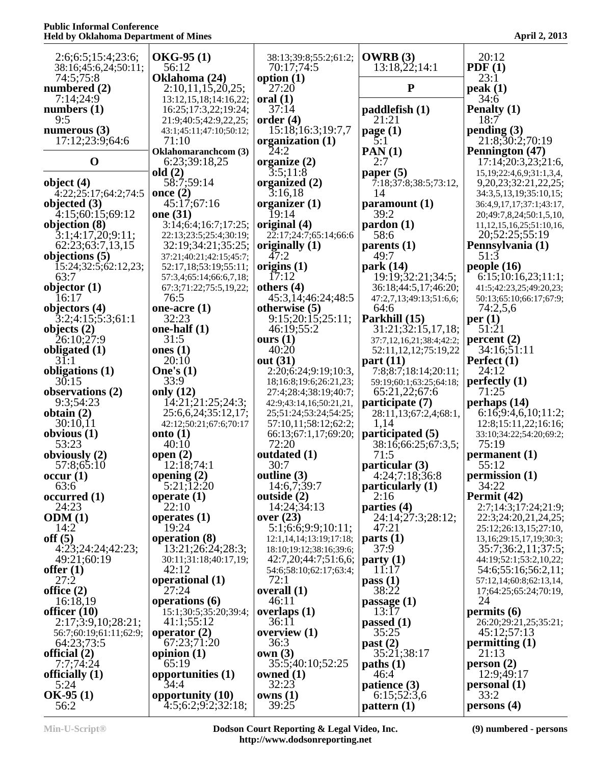| 2:6;6:5;15:4;23:6;                   | $OKG-95(1)$                                      | 38:13;39:8;55:2;61:2;                          | OWRB (3)                                        | 20:12                                                   |
|--------------------------------------|--------------------------------------------------|------------------------------------------------|-------------------------------------------------|---------------------------------------------------------|
| 38:16;45:6,24;50:11;                 | 56:12                                            | 70:17:74:5                                     | 13:18,22;14:1                                   | PDF(1)                                                  |
| 74:5;75:8                            | Oklahoma (24)                                    | option $(1)$                                   |                                                 | 23:1                                                    |
| numbered $(2)$<br>7:14;24:9          | 2:10,11,15,20,25;<br>13:12, 15, 18; 14: 16, 22;  | 27:20<br>$\bf{oral}$ $(1)$                     | ${\bf P}$                                       | peak(1)<br>34:6                                         |
| numbers $(1)$                        | 16:25;17:3,22;19:24;                             | 37:14                                          | paddlefish (1)                                  | Penalty (1)                                             |
| 9:5                                  | 21:9;40:5;42:9,22,25;                            | order $(4)$                                    | 21:21                                           | 18:7                                                    |
| numerous $(3)$                       | 43:1;45:11;47:10;50:12;                          | 15:18;16:3;19:7,7                              | page (1)                                        | pending(3)                                              |
| 17:12;23:9;64:6                      | 71:10                                            | organization (1)<br>24:2                       | $\overline{5:1}$                                | 21:8;30:2;70:19                                         |
| $\mathbf 0$                          | <b>Oklahomaranchcom</b> (3)<br>6:23;39:18,25     | organize $(2)$                                 | PAN(1)<br>2:7                                   | Pennington (47)<br>17:14;20:3,23;21:6,                  |
|                                      | old $(2)$                                        | 3:5;11:8                                       | paper $(5)$                                     | 15, 19; 22: 4, 6, 9; 31: 1, 3, 4,                       |
| object $(4)$                         | 58:7:59:14                                       | organized (2)                                  | 7:18;37:8;38:5;73:12,                           | 9, 20, 23; 32: 21, 22, 25;                              |
| 4:22;25:17;64:2;74:5                 | once $(2)$                                       | 3:16,18                                        | 14                                              | 34:3,5,13,19;35:10,15;                                  |
| objected $(3)$<br>4:15:60:15:69:12   | 45:17;67:16<br>one (31)                          | organizer $(1)$<br>19:14                       | paramount(1)<br>39:2                            | 36:4,9,17,17;37:1;43:17,<br>20;49:7,8,24;50:1,5,10,     |
| objection (8)                        | 3:14;6:4;16:7;17:25;                             | original (4)                                   | $\mathbf{p}$ ardon $(1)$                        | 11, 12, 15, 16, 25; 51: 10, 16,                         |
| 3:1;4:17,20;9:11;                    | 22:13;23:5;25:4;30:19;                           | 22:17;24:7;65:14;66:6                          | 58:6                                            | 20;52:25;55:19                                          |
| 62:23:63:7,13,15                     | 32:19;34:21;35:25;                               | originally $(1)$                               | parents $(1)$                                   | Pennsylvania (1)                                        |
| objections (5)                       | 37:21;40:21;42:15;45:7;                          | 47:2<br>origins $(1)$                          | 49:7<br>park (14)                               | 51:3<br>people $(16)$                                   |
| 15:24;32:5;62:12,23;<br>63:7         | 52:17,18;53:19;55:11;<br>57:3,4;65:14;66:6,7,18; | 17:12                                          | 19:19:32:21:34:5;                               | 6:15;10:16,23;11:1;                                     |
| objector $(1)$                       | 67:3;71:22;75:5,19,22;                           | others $(4)$                                   | 36:18:44:5,17:46:20;                            | 41:5;42:23,25;49:20,23;                                 |
| 16:17                                | 76:5                                             | 45:3,14;46:24;48:5                             | 47:2,7,13;49:13;51:6,6;                         | 50:13;65:10;66:17;67:9;                                 |
| objectors (4)                        | one-acre $(1)$<br>32:23                          | otherwise (5)                                  | 64:6                                            | 74:2,5,6                                                |
| 3:2;4:15;5:3;61:1<br>objects $(2)$   | one-half $(1)$                                   | 9:15;20:15;25:11;<br>46:19;55:2                | Parkhill (15)<br>31:21;32:15,17,18;             | per(1)<br>51:21                                         |
| 26:10;27:9                           | 31:5                                             | ours $(1)$                                     | 37:7,12,16,21;38:4;42:2;                        | percent(2)                                              |
| obligated $(1)$                      | ones $(1)$                                       | 40:20                                          | 52:11,12,12;75:19,22                            | 34:16;51:11                                             |
| $3\overline{1:1}$                    | 20:10                                            | out (31)                                       | part $(11)$                                     | Perfect $(1)$                                           |
| obligations (1)<br>30:15             | One's $(1)$<br>33:9                              | 2:20;6:24;9:19;10:3,<br>18;16:8;19:6;26:21,23; | 7:8;8:7;18:14;20:11;<br>59:19;60:1;63:25;64:18; | 24:12<br>perfectly $(1)$                                |
| observations (2)                     | only $(12)$                                      | 27:4;28:4;38:19;40:7;                          | 65:21,22;67:6                                   | 71:25                                                   |
| 9:3;54:23                            | 14:21;21:25;24:3;                                | 42:9;43:14,16;50:21,21,                        | participate (7)                                 | perhaps $(14)$                                          |
| obtain $(2)$                         | 25:6,6,24;35:12,17;                              | 25;51:24;53:24;54:25;                          | 28:11,13;67:2,4;68:1,                           | 6:16;9:4,6,10;11:2;                                     |
| 30:10,11<br>obvious $(1)$            | 42:12;50:21;67:6;70:17<br>onto $(1)$             | 57:10,11;58:12;62:2;<br>66:13;67:1,17;69:20;   | 1,14<br>participated (5)                        | 12:8;15:11,22;16:16;<br>33:10;34:22;54:20;69:2;         |
| 53:23                                | 40:10                                            | 72:20                                          | 38:16;66:25;67:3,5;                             | 75:19                                                   |
| obviously $(2)$                      | open $(2)$                                       | outdated (1)                                   | 71:5                                            | permannent(1)                                           |
| 57:8;65:10                           | 12:18;74:1                                       | 30:7                                           | particular (3)                                  | 55:12                                                   |
| occur(1)<br>63:6                     | opening $(2)$<br>5:21;12:20                      | outline (3)<br>14:6,7;39:7                     | 4:24;7:18;36:8<br>particularly (1)              | permission (1)<br>34:22                                 |
| occurred(1)                          | operate $(1)$                                    | outside (2)                                    | 2:16                                            | Permit (42)                                             |
| 24:23                                | 22:10                                            | 14:24;34:13                                    | parties (4)                                     | 2:7;14:3;17:24;21:9;                                    |
| ODM(1)                               | operates $(1)$                                   | over $(23)$                                    | 24:14;27:3;28:12;                               | 22:3;24:20,21,24,25;                                    |
| 14:2<br>off $(5)$                    | 19:24<br>operation (8)                           | 5:1;6:6;9:9;10:11;<br>12:1,14,14;13:19;17:18;  | 47:21<br>parts(1)                               | 25:12;26:13,15;27:10,<br>13, 16; 29: 15, 17, 19; 30: 3; |
| 4:23;24:24;42:23;                    | 13:21;26:24;28:3;                                | 18:10;19:12;38:16;39:6;                        | 37:9                                            | 35:7;36:2,11;37:5;                                      |
| 49:21;60:19                          | 30:11;31:18;40:17,19;                            | 42:7,20;44:7;51:6,6;                           | party(1)                                        | 44:19;52:1;53:2,10,22;                                  |
| offer $(1)$                          | 42:12                                            | 54:6;58:10;62:17;63:4;                         | 11:17                                           | 54:6;55:16;56:2,11;                                     |
| 27:2<br>office $(2)$                 | operational (1)<br>27:24                         | 72:1<br>overall (1)                            | pass(1)<br>38:22                                | 57:12,14;60:8;62:13,14,<br>17;64:25;65:24;70:19,        |
| 16:18,19                             | operations $(6)$                                 | 46:11                                          | passage $(1)$                                   | 24                                                      |
| officer $(10)$                       | 15:1;30:5;35:20;39:4;                            | overlaps $(1)$                                 | 13:17                                           | permits (6)                                             |
| 2:17;3:9,10;28:21;                   | 41:1;55:12                                       | 36:11                                          | passed $(1)$                                    | 26:20;29:21,25;35:21;                                   |
| 56:7;60:19;61:11;62:9;<br>64:23;73:5 | operator $(2)$<br>67:23;71:20                    | overview $(1)$<br>36:3                         | 35:25<br>past (2)                               | 45:12;57:13<br>permitting $(1)$                         |
| official $(2)$                       | opinion $(1)$                                    | own(3)                                         | 35:21;38:17                                     | 21:13                                                   |
| 7:7:74:24                            | 65:19                                            | 35:5;40:10;52:25                               | paths (1)                                       | person(2)                                               |
| officially $(1)$                     | opportunities (1)                                | owned $(1)$                                    | 46:4                                            | 12:9;49:17                                              |
| 5:24<br>$OK-95(1)$                   | 34:4<br>opportunity (10)                         | 32:23<br>owns(1)                               | patience (3)<br>6:15;52:3,6                     | personal (1)<br>33:2                                    |
| 56:2                                 | 4:5;6:2;9:2;32:18;                               | 39:25                                          | pattern(1)                                      | persons(4)                                              |

**Min-U-Script® Dodson Court Reporting & Legal Video, Inc. http://www.dodsonreporting.net**

**(9) numbered - persons**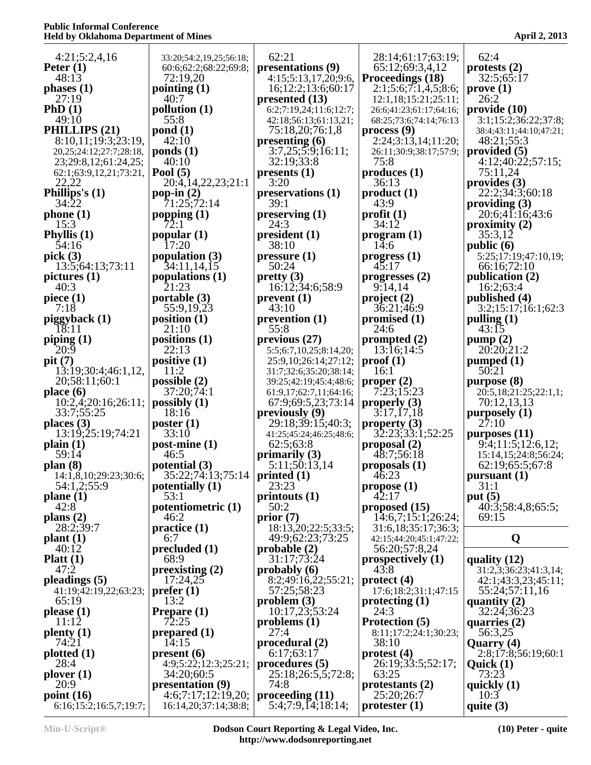| 4:21;5:2,4,16                    | 33:20;54:2,19,25;56:18;              | 62:21                              | 28:14;61:17;63:19;                | 62:4                                                 |
|----------------------------------|--------------------------------------|------------------------------------|-----------------------------------|------------------------------------------------------|
| Peter $(1)$                      | 60:6;62:2;68:22;69:8;                | presentations (9)                  | 65:12;69:3,4,12                   | protests $(2)$                                       |
| 48:13                            | 72:19,20                             | 4:15;5:13,17,20;9:6,               | Proceedings (18)                  | 32:5;65:17                                           |
| phases $(1)$                     | pointing $(1)$                       | 16;12:2;13:6;60:17                 | 2:1;5:6;7:1,4,5;8:6;              | prove(1)                                             |
| 27:19                            | 40:7                                 | presented $(13)$                   | 12:1,18;15:21;25:11;              | 26:2                                                 |
| PhD(1)                           | pollution $(1)$                      | 6:2;7:19,24;11:6;12:7;             | 26:6;41:23;61:17;64:16;           | $\boldsymbol{provided}\ (10)$                        |
| 49:10                            | 55:8                                 | 42:18;56:13;61:13,21;              | 68:25;73:6;74:14;76:13            | 3:1;15:2;36:22;37:8;                                 |
| PHILLIPS (21)                    | $\text{pond}(1)$                     | 75:18,20;76:1,8                    | process(9)                        | 38:4;43:11;44:10;47:21;                              |
| 8:10,11;19:3;23:19,              | 42:10                                | presenting $(6)$                   | 2:24;3:13,14;11:20;               | 48:21;55:3                                           |
| 20, 25; 24: 12; 27: 7; 28: 18,   | $\text{ponds}(1)$                    | 3:7,25;5:9;16:11;                  | 26:11;30:9;38:17;57:9;            | provided $(5)$                                       |
| 23;29:8,12;61:24,25;             | 40:10                                | 32:19;33:8                         | 75:8                              | 4:12;40:22;57:15;                                    |
| 62:1;63:9,12,21;73:21,           | Pool $(5)$                           | $p$ presents (1)                   | produces(1)                       | 75:11,24                                             |
| 22,22                            | 20:4, 14, 22, 23; 21:1               | 3:20                               | 36:13                             | provides $(3)$                                       |
| Phillips's $(1)$                 | pop-in $(2)$                         | preservations(1)                   | product(1)                        | 22:2:34:3:60:18                                      |
| 34:22                            | 71:25;72:14                          | 39:1                               | 43:9                              | providing $(3)$                                      |
| phone(1)                         | popping $(1)$                        | preserving (1)                     | profit(1)                         | 20:6;41:16;43:6                                      |
| 15:3                             | 72:1                                 | 24:3                               | 34:12                             | proximity $(2)$                                      |
| Phyllis $(1)$                    | popular $(1)$                        | president(1)                       | program (1)                       | 35:3,12                                              |
| 54:16                            | 17:20                                | 38:10                              | 14:6                              | public (6)                                           |
| pick $(3)$                       | population $(3)$                     | pressure(1)                        | progress <sub>1</sub> )           | 5:25;17:19;47:10,19;                                 |
| 13:5;64:13;73:11                 | 34:11,14,15                          | 50:24                              | $4\bar{5}:17$                     | 66:16;72:10                                          |
| picture (1)                      | populations $(1)$                    | pretty(3)                          | progresses $(2)$                  | publication $(2)$                                    |
| 40:3                             | 21:23                                | 16:12;34:6;58:9                    | 9:14,14                           | 16:2;63:4                                            |
| piece $(1)$                      | portable $(3)$                       | prevent(1)                         | project(2)                        | published (4)                                        |
| 7:18                             | 55:9,19,23                           | 43:10                              | 36:21:46:9                        | 3:2;15:17;16:1;62:3                                  |
| piggyback (1)                    | position $(1)$                       | prevention (1)                     | promised $(1)$                    | pulling $(1)$                                        |
| 18:11                            | 21:10                                | 55:8                               | 24:6                              | 43:15                                                |
| piping $(1)$                     | positions $(1)$                      | previous $(27)$                    | prompted $(2)$                    | pump(2)                                              |
| 20:9                             | 22:13                                | 5:5;6:7,10,25;8:14,20;             | 13:16;14:5                        | 20:20:21:2                                           |
| pit (7)                          | positive $(1)$                       | 25:9,10;26:14;27:12;               | prod(1)                           | pumped $(1)$                                         |
| 13:19:30:4:46:1,12,              | 11:2                                 | 31:7;32:6;35:20;38:14;             | 16:1                              | 50.21                                                |
| 20;58:11;60:1                    | possible $(2)$                       | 39:25;42:19;45:4;48:6;             | proper $(2)$                      | purpose (8)                                          |
| place $(6)$                      | 37:20;74:1                           | 61:9,17;62:7,11;64:16;             | 7:23:15:23                        | 20:5,18;21:25;22:1,1;                                |
| 10:2,4;20:16;26:11;              | possibly $(1)$                       | 67:9;69:5,23;73:14                 | properly $(3)$                    | 70:12,13,13                                          |
| 33:7;55:25                       | 18:16                                | previously $(9)$                   | 3:17,17,18                        | $p$ urposely $(1)$                                   |
| places $(3)$                     | poster $(1)$                         | 29:18:39:15:40:3:                  | property $(3)$                    | 27:10                                                |
| 13:19;25:19;74:21                | 33:10                                | 41:25;45:24;46:25;48:6;            | 32:23, 33: 1, 52: 25              | purposes $(11)$                                      |
| plain(1)                         | $post\text{-}\text{mine}$ (1)        | 62:5;63:8                          | proposal $(2)$                    | $9\overline{.}4;11\overline{.}5;12\overline{.}6,12;$ |
| 59:14                            | 46:5                                 | primarily $(3)$                    | 48:7;56:18                        | 15:14, 15:24:8:56:24;                                |
| plan(8)<br>14:1,8,10;29:23;30:6; | potential $(3)$<br>35:22;74:13;75:14 | 5:11;50:13,14                      | proposals $(1)$<br>$4\bar{6}$ :23 | 62:19;65:5;67:8                                      |
| 54:1,2;55:9                      | potentially $(1)$                    | printed $(1)$<br>23:23             | propose(1)                        | pursuant (1)<br>31:1                                 |
| plane(1)                         | 53:1                                 | printouts (1)                      | 42:17                             | put $(5)$                                            |
| 42:8                             | potentiometric (1)                   | 50:2                               | proposed (15)                     | 40:3;58:4,8;65:5;                                    |
| plans $(2)$                      | 46:2                                 | prior(7)                           | 14:6,7;15:1;26:24;                | 69:15                                                |
| 28:2;39:7                        | practive(1)                          | 18:13,20;22:5;33:5;                | 31:6,18;35:17;36:3;               |                                                      |
| plant(1)                         | 6:7                                  | 49:9;62:23;73:25                   | 42:15;44:20;45:1;47:22;           | Q                                                    |
| 40:12                            | precluded (1)                        | probable(2)                        | 56:20;57:8,24                     |                                                      |
| Platt $(1)$                      | 68:9                                 | 31:17;73:24                        | prospectively $(1)$               | quality $(12)$                                       |
| 47:2                             | preexisting $(2)$                    | probably $(6)$                     | 43:8                              | 31:2,3;36:23;41:3,14;                                |
| pleadings $(5)$                  | 17:24,25                             | 8:2;49:16,22;55:21;<br>57:25:58:23 | $\text{protect } (4)$             | 42:1;43:3,23;45:11;                                  |
| 41:19;42:19,22;63:23;            | prefer(1)                            | problem $(3)$                      | 17:6;18:2;31:1;47:15              | 55:24;57:11,16                                       |
| 65:19                            | 13:2                                 |                                    | $\mathbf{protect\,} (1)$          | quantity $(2)$                                       |
| please(1)                        | Prepare (1)                          | 10:17,23;53:24                     | 24:3                              | 32:24;36:23                                          |
| 11:12                            | 72:25                                | problems $(1)$                     | Protection (5)                    | quarries $(2)$                                       |
| $\mathbf{plenty}\left(1\right)$  | prepared $(1)$                       | 27:4                               | 8:11;17:2;24:1;30:23;             | 56:3,25                                              |
| 74:21                            | 14:15                                | $\boldsymbol{p}$ rocedural (2)     | 38:10                             | Quarry (4)                                           |
| plotted(1)                       | present(6)                           | 6:17;63:17                         | protest(4)                        | 2:8;17:8;56:19;60:1                                  |
| 28:4                             | 4:9;5:22;12:3;25:21;                 | procedures (5)                     | 26:19;33:5;52:17;                 | Quick $(1)$                                          |
| plover(1)                        | 34:20;60:5                           | 25:18;26:5,5;72:8;                 | 63:25                             | 73:23                                                |
| 20:9                             | presentation (9)                     | 74:8                               | protestants $(2)$                 | quickly $(1)$                                        |
| point $(16)$                     | 4:6;7:17;12:19,20;                   | proceeding (11)                    | 25:20;26:7                        | 10:3                                                 |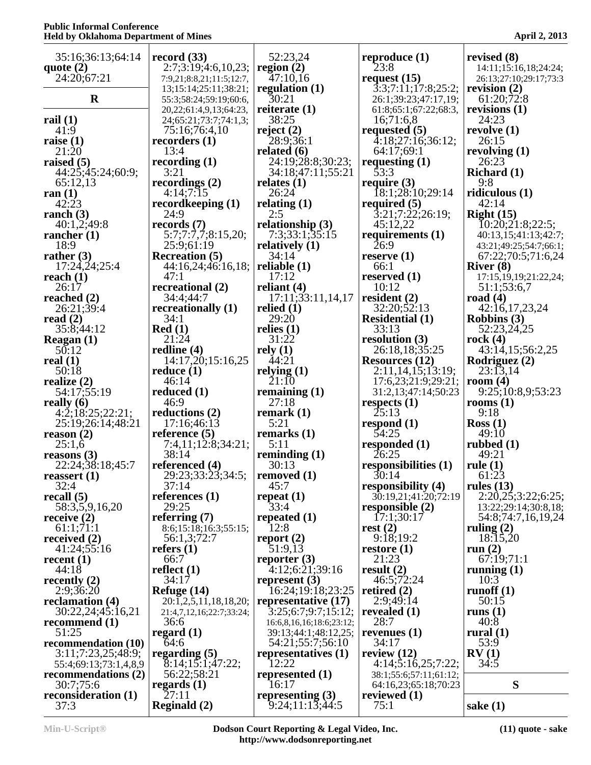| 35:16;36:13;64:14           | record $(33)$                 | 52:23,24                              | reproduce $(1)$                            | revised $(8)$                      |
|-----------------------------|-------------------------------|---------------------------------------|--------------------------------------------|------------------------------------|
| quote $(2)$                 | 2:7;3:19;4:6,10,23;           | region $(2)$                          | 23:8                                       | 14:11;15:16,18;24:24;              |
| 24:20;67:21                 | 7:9,21;8:8,21;11:5;12:7,      | 47:10,16                              | request $(15)$                             | 26:13;27:10;29:17;73:3             |
|                             | 13;15:14;25:11;38:21;         | regulation $(1)$                      | $\overline{3:3;7:11;17:8;25:2};$           | revision $(2)$                     |
| $\mathbf R$                 | 55:3;58:24;59:19;60:6,        | $\overline{30:21}$                    | 26:1;39:23;47:17,19;                       | 61:20;72:8                         |
|                             | 20, 22; 61: 4, 9, 13; 64: 23, | reiterate $(1)$                       | 61:8;65:1;67:22;68:3,                      | revisions $(1)$                    |
| rail $(1)$                  | 24;65:21;73:7;74:1,3;         | 38:25                                 | 16;71:6,8                                  | 24:23                              |
| 41:9                        | 75:16;76:4,10                 | reject $(2)$                          | requested $(5)$                            | revolve $(1)$                      |
| raise $(1)$                 | recorders $(1)$               | 28:9;36:1                             | $\overline{4:18;27:16;36:12};$             | 26:15                              |
| 21:20                       | 13:4                          | related $(6)$                         | 64:17;69:1                                 | revolving $(1)$                    |
| raised $(5)$                | recording $(1)$               | 24:19;28:8;30:23;                     | requesting $(1)$                           | 26:23                              |
| 44:25;45:24;60:9;           | 3:21                          | 34:18;47:11;55:21                     | 53:3                                       | Richard $(1)$                      |
| 65:12,13                    | recordings $(2)$<br>4:14;7:15 | relates $(1)$<br>26:24                | require $(3)$<br>18:1;28:10;29:14          | 9:8<br>ridiculous $(1)$            |
| ran $(1)$<br>42:23          | recordkeeping (1)             | relating $(1)$                        | required $(5)$                             | 42:14                              |
| ranch $(3)$                 | 24:9                          | 2:5                                   | 3:21;7:22;26:19;                           | Right $(15)$                       |
| 40:1,2;49:8                 | records $(7)$                 | relationship $(3)$                    | 45:12,22                                   | $\overline{1}0:20;21:8;22:5;$      |
| rancher $(1)$               | 5:7;7:7,7;8:15,20;            | 7:3;33:1;35:15                        | requirements $(1)$                         | 40:13,15;41:13;42:7;               |
| 18:9                        | 25:9;61:19                    | relatively $(1)$                      | 26:9                                       | 43:21;49:25;54:7;66:1;             |
| rather $(3)$                | <b>Recreation</b> (5)         | 34:14                                 | reserve $(1)$                              | 67:22;70:5;71:6,24                 |
| 17:24,24;25:4               | 44:16,24;46:16,18;            | reliable $(1)$                        | 66:1                                       | River $(8)$                        |
| reach $(1)$                 | 47:1                          | 17:12                                 | reserved $(1)$                             | 17:15, 19, 19; 21: 22, 24;         |
| 26:17                       | recreational (2)              | reliant $(4)$                         | 10:12                                      | 51:1;53:6,7                        |
| reached $(2)$               | 34:4;44:7                     | 17:11;33:11,14,17                     | resident $(2)$                             | road $(4)$                         |
| 26:21;39:4                  | recreationally (1)            | relied $(1)$                          | 32:20;52:13                                | 42:16,17,23,24                     |
| read $(2)$                  | 34:1                          | 29:20                                 | <b>Residential (1)</b>                     | <b>Robbins</b> (3)                 |
| 35:8;44:12                  | Red(1)                        | relies $(1)$                          | 33:13                                      | 52:23,24,25                        |
| Reagan $(1)$                | 21:24                         | 31:22                                 | resolution $(3)$                           | rock $(4)$                         |
| 50:12                       | redline (4)                   | rely(1)                               | 26:18,18;35:25                             | 43:14,15;56:2,25                   |
| real $(1)$                  | 14:17,20;15:16,25             | 44:21                                 | <b>Resources</b> (12)                      | Rodriguez (2)                      |
| 50:18                       | reduce $(1)$                  | relying $(1)$                         | 2:11,14,15;13:19;                          | 23:13,14                           |
| realize $(2)$               | 46:14                         | 21:10                                 | 17:6,23;21:9;29:21;                        | room $(4)$                         |
| 54:17:55:19                 | reduced $(1)$                 | remaining $(1)$                       | 31:2,13;47:14;50:23                        | 9:25;10:8,9;53:23                  |
| really $(6)$                | 46:9                          | 27:18                                 | respects $(1)$                             | rooms $(1)$                        |
| 4:2;18:25;22:21;            | reductions (2)                | remark $(1)$                          | 25:13                                      | 9:18                               |
| 25:19;26:14;48:21           | 17:16;46:13                   | 5:21                                  | respond $(1)$                              | $\text{Ross} (1)$                  |
| reason $(2)$                | reference $(5)$               | remarks $(1)$                         | 54:25                                      | 49:10                              |
| 25:1,6                      | 7:4,11;12:8;34:21;            | 5:11                                  | responded $(1)$                            | rubbed $(1)$                       |
| reasons $(3)$               | 38:14                         | reminding $(1)$                       | 26:25                                      | 49:21                              |
| 22:24;38:18;45:7            | referenced (4)                | 30:13                                 | responsibilities (1)                       | rule $(1)$<br>61:23                |
| reassert $(1)$<br>32:4      | 29:23;33:23;34:5;<br>37:14    | removed $(1)$<br>45:7                 | 30:14                                      |                                    |
| recall $(5)$                | references $(1)$              | repeat $(1)$                          | responsibility (4)<br>30:19,21;41:20;72:19 | rules $(13)$<br>2:20,25;3:22;6:25; |
| 58:3,5,9,16,20              | 29:25                         | 33:4                                  | responsible $(2)$                          | 13:22;29:14;30:8,18;               |
| receive $(2)$               | referring $(7)$               | repeated $(1)$                        | 17:1;30:17                                 | 54:8;74:7,16,19,24                 |
| 61:1;71:1                   | 8:6;15:18;16:3;55:15;         | 12:8                                  | rest $(2)$                                 | ruling $(2)$                       |
| received $(2)$              | 56:1,3;72:7                   | report $(2)$                          | 9:18;19:2                                  | 18:15,20                           |
| 41:24;55:16                 | refers $(1)$                  | 51:9,13                               | restore $(1)$                              | run $(2)$                          |
| recent $(1)$                | 66:7                          | reporter $(3)$                        | 21:23                                      | 67:19;71:1                         |
| 44:18                       | reflect $(1)$                 | 4:12;6:21;39:16                       | result $(2)$                               | running $(1)$                      |
| recently $(2)$              | 34:17                         | represent $(3)$                       | 46:5;72:24                                 | 10:3                               |
| 2:9;36:20                   | Refuge $(14)$                 | 16:24;19:18;23:25                     | retired $(2)$                              | runoff $(1)$                       |
| reclamation (4)             | 20:1,2,5,11,18,18,20;         | representative (17)                   | 2:9;49:14                                  | 50:15                              |
| 30:22,24;45:16,21           | 21:4,7,12,16;22:7;33:24;      | 3:25;6:7;9:7;15:12;                   | revealed $(1)$                             | runs $(1)$                         |
| recommend $(1)$             | 36:6                          | 16:6,8,16,16;18:6;23:12;              | 28:7                                       | 40:8                               |
| 51:25                       | regard $(1)$                  | 39:13;44:1;48:12,25;                  | revenues $(1)$                             | rural $(1)$                        |
| recommendation (10)         | 64:6                          | 54:21;55:7;56:10                      | 34:17                                      | 53:9                               |
| 3:11;7:23,25;48:9;          | regarding $(5)$               | representatives (1)                   | review $(12)$                              | RV(1)                              |
| 55:4;69:13;73:1,4,8,9       | 8:14;15:1;47:22;              | 12:22                                 | 4:14;5:16,25;7:22;                         | 34:5                               |
| recommendations $(2)$       | 56:22;58:21                   | represented $(1)$                     | 38:1;55:6;57:11;61:12;                     | S                                  |
| 30:7;75:6                   | regards $(1)$<br>27:11        | 16:17                                 | 64:16,23;65:18;70:23                       |                                    |
| reconsideration (1)<br>37:3 | <b>Reginald</b> (2)           | representing $(3)$<br>9:24;11:13;44:5 | reviewed $(1)$<br>75:1                     | sake $(1)$                         |
|                             |                               |                                       |                                            |                                    |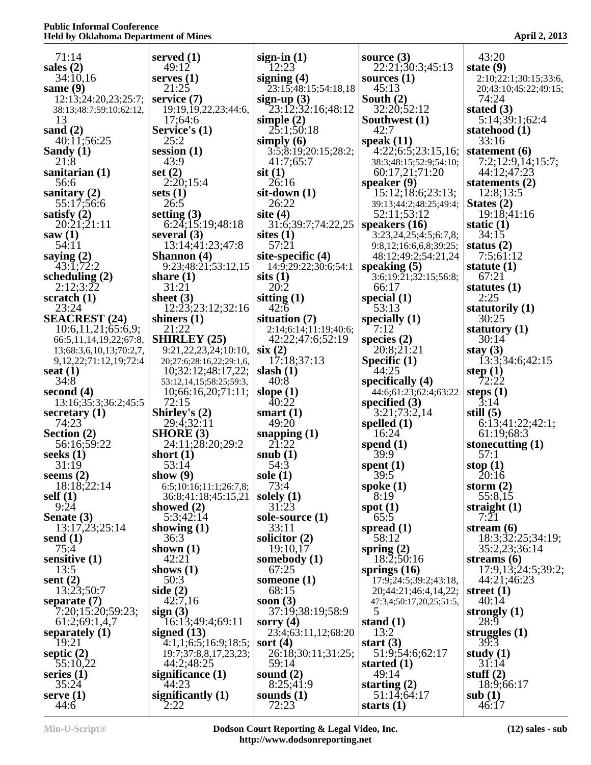| 71:14                                                   | served $(1)$                                         | sign-in $(1)$                        | source $(3)$                                  | 43:20                            |
|---------------------------------------------------------|------------------------------------------------------|--------------------------------------|-----------------------------------------------|----------------------------------|
| sales $(2)$                                             | 49:12                                                | 12:23                                | 22:21;30:3;45:13                              | state $(9)$                      |
| 34:10,16                                                | serves $(1)$                                         | signing $(4)$                        | sources $(1)$                                 | 2:10;22:1;30:15;33:6,            |
| same $(9)$<br>12:13;24:20,23;25:7;                      | 21:25<br>service $(7)$                               | 23:15;48:15;54:18,18                 | 45:13<br>South $(2)$                          | 20;43:10;45:22;49:15;<br>74:24   |
| 38:13;48:7;59:10;62:12,                                 | 19:19, 19, 22, 23; 44: 6,                            | sign-up (3)<br>$23:12;32:16;48:12$   | 32:20;52:12                                   | stated $(3)$                     |
| 13                                                      | 17;64:6                                              | simple $(2)$                         | Southwest (1)                                 | 5:14;39:1;62:4                   |
| sand $(2)$                                              | Service's (1)                                        | 25:1;50:18                           | 42:7                                          | statehood (1)                    |
| 40:11:56:25<br>Sandy $(1)$                              | 25:2<br>session $(1)$                                | simply $(6)$<br>3:5;8:19;20:15;28:2; | speak $(11)$<br>4:22; 6:5; 23:15,16;          | 33:16<br>statement $(6)$         |
| 21:8                                                    | 43:9                                                 | 41:7;65:7                            | 38:3;48:15;52:9;54:10;                        | 7:2;12:9,14;15:7;                |
| sanitarian $(1)$                                        | set $(2)$                                            | $s$ it $(1)$                         | 60:17,21;71:20                                | 44:12;47:23                      |
| 56:6                                                    | 2:20;15:4                                            | 26:16                                | speaker $(9)$                                 | statements $(2)$                 |
| sanitary $(2)$<br>55:17:56:6                            | sets $(1)$<br>26:5                                   | $s$ it-down $(1)$<br>26:22           | 15:12;18:6;23:13;<br>39:13;44:2;48:25;49:4;   | 12:8;13:5<br>States $(2)$        |
| satisfy $(2)$                                           | setting $(3)$                                        | site $(4)$                           | 52:11;53:12                                   | 19:18;41:16                      |
| 20:21:21:11                                             | $6:2\overline{4}$ ; 15:19; 48:18                     | 31:6;39:7;74:22,25                   | speakers $(16)$                               | static $(1)$                     |
| saw $(1)$                                               | several $(3)$                                        | sites $(1)$                          | 3:23,24,25;4:5;6:7,8;                         | 34:15                            |
| 54:11<br>saying $(2)$                                   | 13:14;41:23;47:8<br><b>Shannon</b> (4)               | 57:21<br>site-specific $(4)$         | 9:8,12;16:6,6,8;39:25;<br>48:12;49:2;54:21,24 | status $(2)$<br>7:5:61:12        |
| 43:1;72:2                                               | 9:23;48:21;53:12,15                                  | 14:9;29:22;30:6;54:1                 | speaking $(5)$                                | statute $(1)$                    |
| scheduling $(2)$                                        | share $(1)$                                          | sits(1)                              | $3:6;19:\overline{2}1;32:15;56:8;$            | 67:21                            |
| 2:12;3:22                                               | 31:21                                                | 20:2                                 | 66:17                                         | statutes $(1)$                   |
| scratch $(1)$<br>23:24                                  | sheet $(3)$<br>12:23:23:12:32:16                     | sitting $(1)$<br>42:6                | special $(1)$<br>53:13                        | 2:25<br>statutorily (1)          |
| <b>SEACREST (24)</b>                                    | shiners $(1)$                                        | situation $(7)$                      | specially $(1)$                               | 30:25                            |
| 10:6,11,21;65:6,9;                                      | 21:22                                                | 2:14;6:14;11:19;40:6;                | 7:12                                          | statutory $(1)$                  |
| 66:5, 11, 14, 19, 22; 67: 8,                            | <b>SHIRLEY (25)</b>                                  | 42:22;47:6;52:19                     | species $(2)$                                 | 30:14                            |
| 13;68:3,6,10,13;70:2,7,<br>9, 12, 22; 71: 12, 19; 72: 4 | 9:21, 22, 23, 24; 10:10,<br>20;27:6;28:16,22;29:1,6, | six(2)<br>17:18;37:13                | 20:8;21:21<br>Specific $(1)$                  | stay $(3)$<br>13:3:34:6:42:15    |
| seat $(1)$                                              | 10;32:12;48:17,22;                                   | slash $(1)$                          | 44:25                                         | step $(1)$                       |
| 34:8                                                    | 53:12,14,15;58:25;59:3,                              | 40:8                                 | specifically $(4)$                            | 72:22                            |
| second $(4)$                                            | 10;66:16,20;71:11;                                   | slope $(1)$                          | 44:6;61:23;62:4;63:22                         | steps $(1)$                      |
| 13:16;35:3;36:2;45:5<br>secretary $(1)$                 | 72:15<br>Shirley's $(2)$                             | 40:22<br>smart $(1)$                 | specified $(3)$<br>3:21;73:2,14               | $\overline{3:}14$<br>still $(5)$ |
| 74:23                                                   | 29:4;32:11                                           | 49:20                                | spelled $(1)$                                 | 6:13;41:22;42:1;                 |
| Section (2)                                             | SHORE(3)                                             | snapping $(1)$                       | 16:24                                         | 61:19:68:3                       |
| 56:16;59:22                                             | 24:11;28:20;29:2                                     | 21:22                                | spend $(1)$                                   | stonecutting $(1)$               |
| seeks $(1)$<br>31:19                                    | short $(1)$<br>53:14                                 | snub $(1)$<br>54:3                   | 39:9<br>spent $(1)$                           | 57:1<br>stop $(1)$               |
| seems $(2)$                                             | show $(9)$                                           | sole $(1)$                           | 39:5                                          | 20:16                            |
| 18:18;22:14                                             | 6:5;10:16;11:1;26:7,8;                               | 73:4                                 | spoke $(1)$                                   | storm $(2)$                      |
| self(1)<br>9:24                                         | 36:8;41:18;45:15,21                                  | solely $(1)$<br>31:23                | 8:19                                          | 55:8,15                          |
| Senate (3)                                              | showed $(2)$<br>5:3;42:14                            | sole-source $(1)$                    | spot $(1)$<br>65:5                            | straight $(1)$<br>7:21           |
| 13:17,23;25:14                                          | showing $(1)$                                        | 33:11                                | spread $(1)$                                  | stream $(6)$                     |
| send $(1)$                                              | 36:3                                                 | solicitor $(2)$                      | 58:12                                         | 18:3;32:25;34:19;                |
| 75:4<br>sensitive $(1)$                                 | shown $(1)$<br>42:21                                 | 19:10,17<br>somebody $(1)$           | spring $(2)$<br>18:2;50:16                    | 35:2,23;36:14<br>streams $(6)$   |
| 13:5                                                    | shows $(1)$                                          | 67:25                                | springs $(16)$                                | 17:9,13;24:5;39:2;               |
| sent $(2)$                                              | 50:3                                                 | someone $(1)$                        | 17:9;24:5;39:2;43:18,                         | 44:21;46:23                      |
| 13:23;50:7                                              | side $(2)$                                           | 68:15                                | 20;44:21;46:4,14,22;                          | street $(1)$                     |
| separate (7)<br>7:20;15:20;59:23;                       | 42:7,16<br>sign $(3)$                                | soon $(3)$<br>37:19;38:19;58:9       | 47:3,4;50:17,20,25;51:5,<br>5                 | 40:14<br>strongly $(1)$          |
| 61:2;69:1,4,7                                           | 16:13;49:4;69:11                                     | sorry $(4)$                          | stand $(1)$                                   | 28:9                             |
| separately (1)                                          | signed $(13)$                                        | 23:4;63:11,12;68:20                  | 13:2                                          | struggles $(1)$                  |
| 19:21                                                   | 4:1,1;6:5;16:9;18:5;                                 | sort $(4)$                           | start $(3)$                                   | 39:3                             |
| septic $(2)$<br>55:10,22                                | 19:7;37:8,8,17,23,23;<br>44:2;48:25                  | 26:18:30:11:31:25;<br>59:14          | 51:9;54:6;62:17<br>started $(1)$              | study $(1)$<br>31:14             |
| series $(1)$                                            | significance $(1)$                                   | sound $(2)$                          | 49:14                                         | stuff $(2)$                      |
| 35:24                                                   | 44:23                                                | 8:25;41:9                            | starting $(2)$                                | 18:9;66:17                       |
| serve $(1)$                                             | significantly $(1)$                                  | sounds $(1)$                         | 51:14;64:17                                   | sub(1)                           |
| 44:6                                                    | 2:22                                                 | 72:23                                | starts $(1)$                                  | 46:17                            |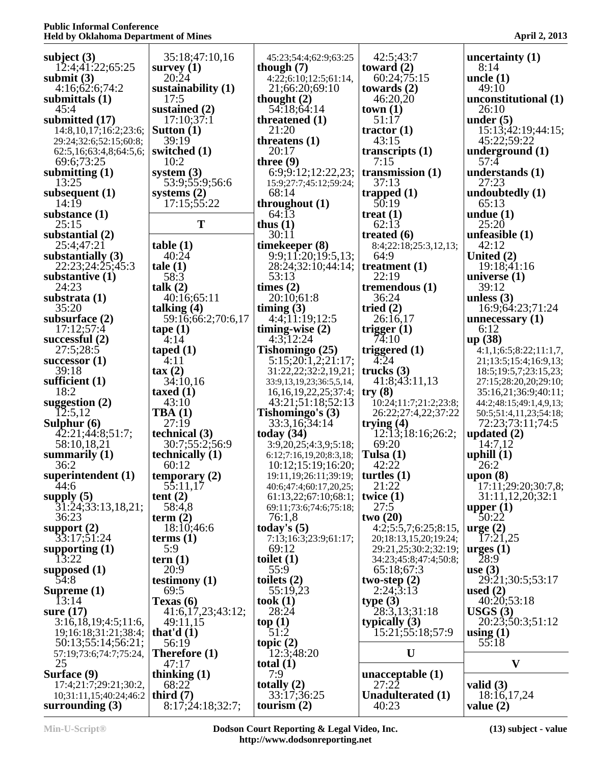| subject $(3)$                  | 35:18;47:10,16            | 45:23;54:4;62:9;63:25      | 42:5;43:7             | uncertainty $(1)$       |
|--------------------------------|---------------------------|----------------------------|-----------------------|-------------------------|
| 12:4;41:22;65:25               | survey $(1)$              | though $(7)$               | toward $(2)$          | 8:14                    |
| submit $(3)$                   | 20:24                     | 4:22;6:10;12:5;61:14,      | 60:24;75:15           | uncle $(1)$             |
| 4:16;62:6;74:2                 | sustainability $(1)$      | 21;66:20;69:10             | towards $(2)$         | 49:10                   |
| submittals (1)                 | 17:5                      | thought $(2)$              | 46:20,20              | unconstitutional (1)    |
| 45:4                           | sustained $(2)$           | 54.18;64:14                | town(1)               | 26:10                   |
| submitted $(17)$               | 17:10;37:1                | threatened $(1)$           | 51:17                 | under $(5)$             |
| 14:8, 10, 17; 16:2; 23:6;      | Sutton $(1)$              | 21:20                      | tractor $(1)$         | 15:13;42:19;44:15;      |
| 29:24;32:6;52:15;60:8;         | 39:19                     | threatens $(1)$            | 43:15                 | 45:22;59:22             |
| 62:5,16;63:4,8;64:5,6;         | switched (1)              | 20:17                      | transcripts $(1)$     | underground $(1)$       |
| 69:6;73:25                     | 10:2                      | three $(9)$                | 7:15                  | 57:4                    |
| submitting $(1)$               | system $(3)$              | 6:9:9:12:12:22,23;         | transmission $(1)$    | understands $(1)$       |
| 13:25                          | 53:9;55:9;56:6            | 15:9;27:7;45:12;59:24;     | 37:13                 | 27:23                   |
| subsequent $(1)$               | systems $(2)$             | 68:14                      | trapped $(1)$         | undoubtedly (1)         |
| 14:19                          | 17:15;55:22               | throughout $(1)$           | 50:19                 | 65:13                   |
| substance $(1)$                |                           | 64:13                      | treat $(1)$           | undue $(1)$             |
| 25:15                          | T                         | thus $(1)$                 | 62:13                 | 25:20                   |
| substantial $(2)$              |                           | 30:11                      | treated $(6)$         | unfeasible $(1)$        |
| 25:4;47:21                     | table(1)                  | timekeeper (8)             | 8:4;22:18;25:3,12,13; | 42:12                   |
| substantially $(3)$            | 40:24                     | 9:9;11:20;19:5,13;         | 64:9                  | United (2)              |
| 22:23;24:25;45:3               | tale(1)                   | 28:24;32:10;44:14;         | treatment $(1)$       | 19:18;41:16             |
| substantive $(1)$              | 58:3                      | 53:13                      | 22:19                 | universe $(1)$          |
| 24:23                          | talk $(2)$                | times $(2)$                | tremendous $(1)$      | 39:12                   |
| substrata $(1)$                | 40:16:65:11               | 20:10:61:8                 | 36:24                 | unless $(3)$            |
| 35:20                          | talking $(4)$             | timing $(3)$               | tried $(2)$           | 16:9;64:23;71:24        |
| subsurface $(2)$               | 59:16;66:2;70:6,17        | 4:4;11:19;12:5             | 26:16,17              | unnecessary $(1)$       |
| 17:12:57:4                     | $\text{tape} (1)$         | timing-wise $(2)$          | trigger $(1)$         | 6:12                    |
| successful $(2)$               | $-4:14$                   | 4:3,12:24                  | 74:10                 | up(38)                  |
| 27:5;28:5                      | taped $(1)$               | Tishomingo $(25)$          | triggered $(1)$       | 4:1,1;6:5;8:22;11:1,7,  |
| successor $(1)$                | 4:11                      | 5:15;20:1,2;21:17;         | 4:24                  | 21;13:5;15:4;16:9,13;   |
| 39:18                          | $\tan(2)$                 | 31:22,22;32:2,19,21;       | trucks $(3)$          | 18:5;19:5,7;23:15,23;   |
| sufficient $(1)$               | 34:10,16                  | 33:9,13,19,23;36:5,5,14,   | 41:8;43:11,13         | 27:15;28:20,20;29:10;   |
| 18:2                           | taxed $(1)$               | 16,16,19,22,25;37:4;       | try(8)                | 35:16,21;36:9;40:11;    |
| suggestion $(2)$               | 43:10                     | 43:21;51:18;52:13          | 10:24;11:7;21:2;23:8; | 44:2;48:15;49:1,4,9,13; |
| 12:5,12                        | TBA(1)                    | Tishomingo's (3)           | 26:22;27:4,22;37:22   | 50:5;51:4,11,23;54:18;  |
| Sulphur $(6)$                  | 27:19                     | 33:3,16,34:14              | trying $(4)$          | 72:23;73:11;74:5        |
| 42:21;44:8;51:7;               | technical $(3)$           | today $(34)$               | 12:13:18:16:26:2;     | updated $(2)$           |
| 58:10,18,21                    | 30:7;55:2;56:9            | 3:9,20,25;4:3,9;5:18;      | 69:20                 | 14:7,12                 |
| summarily $(1)$                | technically (1)           | 6:12;7:16,19,20;8:3,18;    | Tulsa $(1)$           | uphill $(1)$            |
| 36:2                           | 60:12                     | 10:12;15:19;16:20;         | 42:22                 | 26:2                    |
| superintendent $(1)$<br>$44:6$ |                           | 19:11, 19: 26: 11; 39: 19; | turtles $(1)$         | upon $(8)$              |
|                                | temporary (2)<br>55:11,17 | 40:6;47:4;60:17,20,25;     | 21:22                 | 17:11;29:20;30:7,8;     |
| supply $(5)$                   | tent $(2)$                | 61:13,22;67:10;68:1;       | twice $(1)$           | 31:11,12,20;32:1        |
| 31:24;33:13,18,21;             | 58:4,8                    | 69:11;73:6;74:6;75:18;     | 27:5                  | upper $(1)$             |
| 36:23                          | term $(2)$                | 76:1,8                     | two(20)               | 50:22                   |
| support $(2)$                  | 18:10;46:6                | today's $(5)$              | 4:2;5:5,7;6:25;8:15,  | $\text{urge} (2)$       |
| 33:17;51:24                    | terms <sub>(1)</sub>      | 7:13;16:3;23:9;61:17;      | 20;18:13,15,20;19:24; | 17:21,25                |
| supporting $(1)$               | 5:9                       | 69:12                      | 29:21,25;30:2;32:19;  | $\arges(1)$             |
| 13:22                          | tern $(1)$                | toilet $(1)$               | 34:23;45:8;47:4;50:8; | 28:9                    |
| supposed $(1)$                 | 20:9                      | 55:9                       | 65:18;67:3            | use $(3)$               |
| 54:8                           | testimony $(1)$           | toilets $(2)$              | two-step $(2)$        | 29:21;30:5;53:17        |
| Supreme $(1)$                  | 69:5                      | 55:19,23                   | 2:24;3:13             | used $(2)$              |
| I3:14                          | Texas (6)                 | took $(1)$                 | type(3)               | 40:20;53:18             |
| sure $(17)$                    | 41:6,17,23;43:12;         | 28:24                      | 28:3,13;31:18         | USGS(3)                 |
| 3:16,18,19;4:5;11:6            | 49:11,15                  | top(1)                     | typically $(3)$       | 20:23;50:3;51:12        |
| 19;16:18;31:21;38:4;           | that'd $(1)$              | 51:2                       | 15:21;55:18;57:9      | using $(1)$             |
| 50:13;55:14;56:21;             | 56:19                     | topic $(2)$                |                       | 55:18                   |
| 57:19;73:6;74:7;75:24,         | Therefore $(1)$           | 12:3;48:20                 | U                     |                         |
| 25                             | 47:17                     | total $(1)$                |                       | $\mathbf{V}$            |
| Surface (9)                    | thinking $(1)$            | 7:9                        | unacceptable $(1)$    |                         |
| 17:4;21:7;29:21;30:2,          | 68:22                     | totally $(2)$              | 27:22                 | valid $(3)$             |
| 10;31:11,15;40:24;46:2         | third $(7)$               | 33:17;36:25                | Unadulterated (1)     | 18:16,17,24             |
| surrounding $(3)$              | 8:17;24:18;32:7;          | tourism $(2)$              | 40:23                 | value $(2)$             |